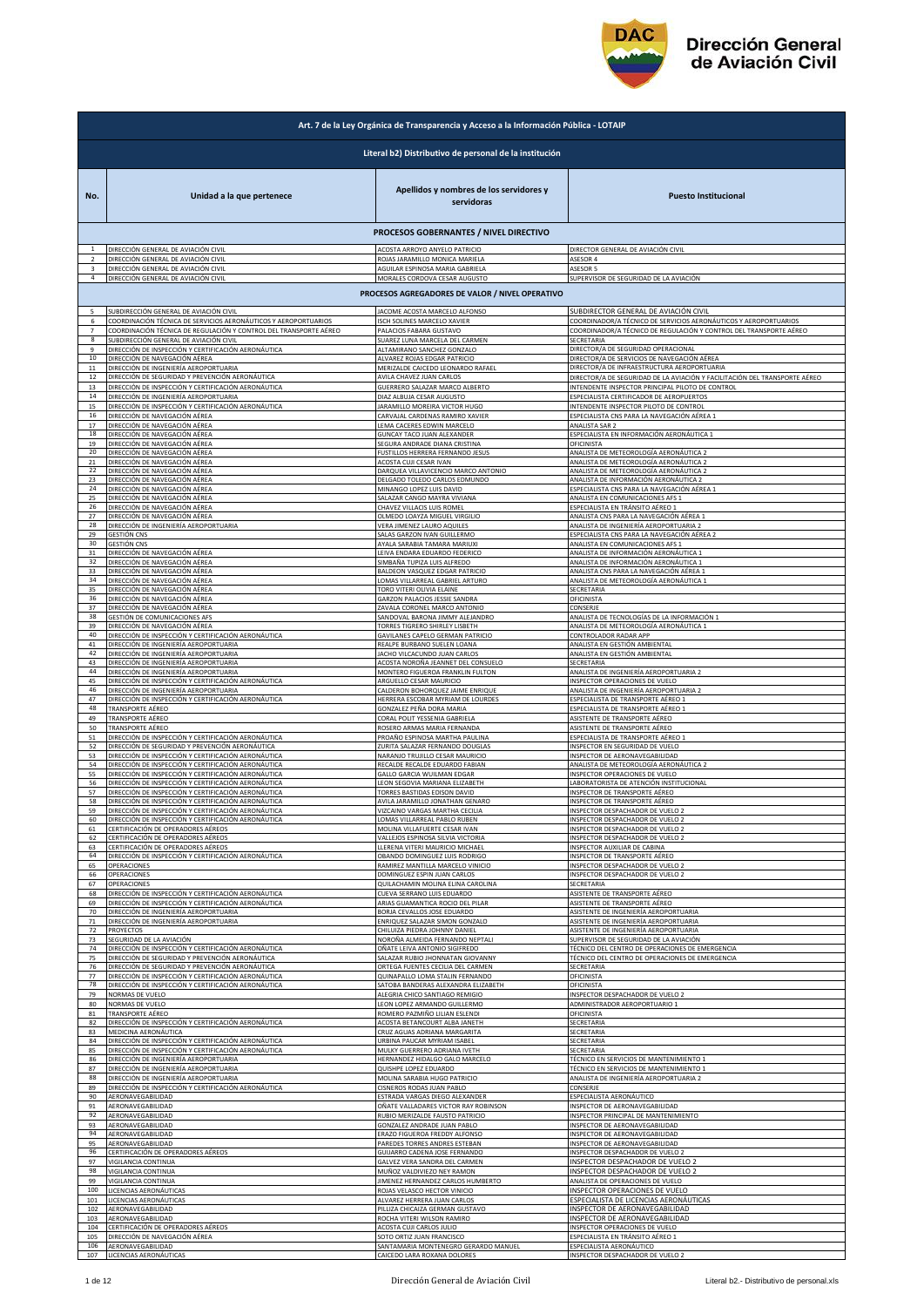

|                         | Art. 7 de la Ley Orgánica de Transparencia y Acceso a la Información Pública - LOTAIP                                                 |                                                                                                       |                                                                                                                |  |
|-------------------------|---------------------------------------------------------------------------------------------------------------------------------------|-------------------------------------------------------------------------------------------------------|----------------------------------------------------------------------------------------------------------------|--|
|                         | Literal b2) Distributivo de personal de la institución                                                                                |                                                                                                       |                                                                                                                |  |
| No.                     | Unidad a la que pertenece                                                                                                             | Apellidos y nombres de los servidores y<br>servidoras                                                 | <b>Puesto Institucional</b>                                                                                    |  |
|                         |                                                                                                                                       | <b>PROCESOS GOBERNANTES / NIVEL DIRECTIVO</b>                                                         |                                                                                                                |  |
| $\overline{1}$          | DIRECCIÓN GENERAL DE AVIACIÓN CIVIL                                                                                                   | ACOSTA ARROYO ANYELO PATRICIO                                                                         | DIRECTOR GENERAL DE AVIACIÓN CIVIL                                                                             |  |
|                         | DIRECCIÓN GENERAL DE AVIACIÓN CIVIL                                                                                                   | ROJAS JARAMILLO MONICA MARIELA                                                                        | ASESOR 4                                                                                                       |  |
| $\overline{\mathbf{3}}$ | DIRECCIÓN GENERAL DE AVIACIÓN CIVIL                                                                                                   | AGUILAR ESPINOSA MARIA GABRIELA                                                                       | ASESOR 5                                                                                                       |  |
| 4                       | DIRECCIÓN GENERAL DE AVIACIÓN CIVIL                                                                                                   | MORALES CORDOVA CESAR AUGUSTO<br>PROCESOS AGREGADORES DE VALOR / NIVEL OPERATIVO                      | SUPERVISOR DE SEGURIDAD DE LA AVIACIÓN                                                                         |  |
| 5                       | SUBDIRECCIÓN GENERAL DE AVIACIÓN CIVIL                                                                                                | JACOME ACOSTA MARCELO ALFONSO                                                                         | SUBDIRECTOR GENERAL DE AVIACIÓN CIVIL                                                                          |  |
| 6                       | COORDINACIÓN TÉCNICA DE SERVICIOS AERONÁUTICOS Y AEROPORTUARIOS                                                                       | ISCH SOLINES MARCELO XAVIER                                                                           | COORDINADOR/A TÉCNICO DE SERVICIOS AERONÁUTICOS Y AEROPORTUARIOS                                               |  |
| $\overline{7}$          | COORDINACIÓN TÉCNICA DE REGULACIÓN Y CONTROL DEL TRANSPORTE AÉREO                                                                     | PALACIOS FABARA GUSTAVO                                                                               | COORDINADOR/A TÉCNICO DE REGULACIÓN Y CONTROL DEL TRANSPORTE AÉREO                                             |  |
| 8                       | SUBDIRECCIÓN GENERAL DE AVIACIÓN CIVIL                                                                                                | SUAREZ LUNA MARCELA DEL CARMEN                                                                        | SECRETARIA                                                                                                     |  |
| 9                       | DIRECCIÓN DE INSPECCIÓN Y CERTIFICACIÓN AERONÁUTICA                                                                                   | ALTAMIRANO SANCHEZ GONZALO                                                                            | DIRECTOR/A DE SEGURIDAD OPERACIONAL                                                                            |  |
| 10                      | DIRECCIÓN DE NAVEGACIÓN AÉREA                                                                                                         | ALVAREZ ROJAS EDGAR PATRICIO                                                                          | DIRECTOR/A DE SERVICIOS DE NAVEGACIÓN AÉREA                                                                    |  |
| $11\,$                  | DIRECCIÓN DE INGENIERÍA AEROPORTUARIA                                                                                                 | MERIZALDE CAICEDO LEONARDO RAFAEL                                                                     | DIRECTOR/A DE INFRAESTRUCTURA AEROPORTUARIA                                                                    |  |
| 12                      | DIRECCIÓN DE SEGURIDAD Y PREVENCIÓN AERONÁUTICA                                                                                       | AVILA CHAVEZ JUAN CARLOS                                                                              | DIRECTOR/A DE SEGURIDAD DE LA AVIACIÓN Y FACILITACIÓN DEL TRANSPORTE AÉREO                                     |  |
| 13                      | DIRECCIÓN DE INSPECCIÓN Y CERTIFICACIÓN AERONÁUTICA                                                                                   | GUERRERO SALAZAR MARCO ALBERTO                                                                        | INTENDENTE INSPECTOR PRINCIPAL PILOTO DE CONTROL                                                               |  |
| 14                      | DIRECCIÓN DE INGENIERÍA AEROPORTUARIA                                                                                                 | DIAZ ALBUJA CESAR AUGUSTO                                                                             | ESPECIALISTA CERTIFICADOR DE AEROPUERTOS                                                                       |  |
| 15                      | DIRECCIÓN DE INSPECCIÓN Y CERTIFICACIÓN AERONÁUTICA                                                                                   | JARAMILLO MOREIRA VICTOR HUGO                                                                         | INTENDENTE INSPECTOR PILOTO DE CONTROL                                                                         |  |
| 16                      | DIRECCIÓN DE NAVEGACIÓN AÉREA                                                                                                         | CARVAJAL CARDENAS RAMIRO XAVIER                                                                       | ESPECIALISTA CNS PARA LA NAVEGACIÓN AÉREA 1                                                                    |  |
| 17                      | DIRECCIÓN DE NAVEGACIÓN AÉREA                                                                                                         | LEMA CACERES EDWIN MARCELO                                                                            | ANALISTA SAR 2                                                                                                 |  |
| 18                      | DIRECCIÓN DE NAVEGACIÓN AÉREA                                                                                                         | GUNCAY TACO JUAN ALEXANDER                                                                            | ESPECIALISTA EN INFORMACIÓN AERONÁUTICA 1                                                                      |  |
| 19                      | DIRECCIÓN DE NAVEGACIÓN AÉREA                                                                                                         | SEGURA ANDRADE DIANA CRISTINA                                                                         | OFICINISTA                                                                                                     |  |
| 20                      | DIRECCIÓN DE NAVEGACIÓN AÉREA                                                                                                         | FUSTILLOS HERRERA FERNANDO JESUS                                                                      | ANALISTA DE METEOROLOGÍA AERONÁUTICA 2                                                                         |  |
| $21\,$                  | DIRECCIÓN DE NAVEGACIÓN AÉREA                                                                                                         | ACOSTA CUJI CESAR IVAN                                                                                | ANALISTA DE METEOROLOGÍA AERONÁUTICA 2                                                                         |  |
| 22                      | DIRECCIÓN DE NAVEGACIÓN AÉREA                                                                                                         | DARQUEA VILLAVICENCIO MARCO ANTONIO                                                                   | ANALISTA DE METEOROLOGÍA AERONÁUTICA 2                                                                         |  |
| 23                      | DIRECCIÓN DE NAVEGACIÓN AÉREA                                                                                                         | DELGADO TOLEDO CARLOS EDMUNDO                                                                         | ANALISTA DE INFORMACIÓN AERONÁUTICA 2                                                                          |  |
| 24                      | DIRECCIÓN DE NAVEGACIÓN AÉREA                                                                                                         | MINANGO LOPEZ LUIS DAVID                                                                              | ESPECIALISTA CNS PARA LA NAVEGACIÓN AÉREA 1                                                                    |  |
| 25                      | DIRECCIÓN DE NAVEGACIÓN AÉREA                                                                                                         | SALAZAR CANGO MAYRA VIVIANA                                                                           | ANALISTA EN COMUNICACIONES AFS 1                                                                               |  |
| 26                      | DIRECCIÓN DE NAVEGACIÓN AÉREA                                                                                                         | CHAVEZ VILLACIS LUIS ROMEL                                                                            | ESPECIALISTA EN TRÁNSITO AÉREO 1                                                                               |  |
| 27                      | DIRECCIÓN DE NAVEGACIÓN AÉREA                                                                                                         | OLMEDO LOAYZA MIGUEL VIRGILIO                                                                         | ANALISTA CNS PARA LA NAVEGACIÓN AÉREA 1                                                                        |  |
| 28                      | DIRECCIÓN DE INGENIERÍA AEROPORTUARIA                                                                                                 | <b>VERA JIMENEZ LAURO AQUILES</b>                                                                     | ANALISTA DE INGENIERÍA AEROPORTUARIA 2                                                                         |  |
| 29                      | <b>GESTIÓN CNS</b>                                                                                                                    | SALAS GARZON IVAN GUILLERMO                                                                           | ESPECIALISTA CNS PARA LA NAVEGACIÓN AÉREA 2                                                                    |  |
| 30                      | <b>GESTIÓN CNS</b>                                                                                                                    | AYALA SARABIA TAMARA MARIUXI                                                                          | ANALISTA EN COMUNICACIONES AFS 1                                                                               |  |
| 31                      | DIRECCIÓN DE NAVEGACIÓN AÉREA                                                                                                         | EIVA ENDARA EDUARDO FEDERICO                                                                          | ANALISTA DE INFORMACIÓN AERONÁUTICA 1                                                                          |  |
| 32                      | DIRECCIÓN DE NAVEGACIÓN AÉREA                                                                                                         | SIMBAÑA TUPIZA LUIS ALFREDO                                                                           | ANALISTA DE INFORMACIÓN AERONÁUTICA 1                                                                          |  |
| 33                      | DIRECCIÓN DE NAVEGACIÓN AÉREA                                                                                                         | BALDEON VASQUEZ EDGAR PATRICIO                                                                        | ANALISTA CNS PARA LA NAVEGACIÓN AÉREA 1                                                                        |  |
| 34                      | DIRECCIÓN DE NAVEGACIÓN AÉREA                                                                                                         | LOMAS VILLARREAL GABRIEL ARTURO                                                                       | ANALISTA DE METEOROLOGÍA AERONÁUTICA 1                                                                         |  |
| 35                      | DIRECCIÓN DE NAVEGACIÓN AÉREA                                                                                                         | TORO VITERI OLIVIA ELAINE                                                                             | SECRETARIA                                                                                                     |  |
| 36<br>37<br>38          | DIRECCIÓN DE NAVEGACIÓN AÉREA<br>DIRECCIÓN DE NAVEGACIÓN AÉREA                                                                        | GARZON PALACIOS JESSIE SANDRA<br>ZAVALA CORONEL MARCO ANTONIO                                         | OFICINISTA<br>CONSERJE                                                                                         |  |
| 39<br>40                | GESTIÓN DE COMUNICACIONES AFS<br>DIRECCIÓN DE NAVEGACIÓN AÉREA                                                                        | SANDOVAL BARONA JIMMY ALEJANDRO<br>TORRES TIGRERO SHIRLEY LISBETH<br>GAVILANES CAPELO GERMAN PATRICIO | ANALISTA DE TECNOLOGÍAS DE LA INFORMACIÓN 1<br>ANALISTA DE METEOROLOGÍA AERONÁUTICA :<br>CONTROLADOR RADAR APP |  |
| 41<br>42                | DIRECCIÓN DE INSPECCIÓN Y CERTIFICACIÓN AERONÁUTICA<br>DIRECCIÓN DE INGENIERÍA AEROPORTUARIA<br>DIRECCIÓN DE INGENIERÍA AEROPORTUARIA | REALPE BURBANO SUELEN LOANA<br>JACHO VILCACUNDO JUAN CARLOS                                           | ANALISTA EN GESTIÓN AMBIENTAL<br>ANALISTA EN GESTIÓN AMBIENTAL                                                 |  |
| 43                      | DIRECCIÓN DE INGENIERÍA AEROPORTUARIA                                                                                                 | ACOSTA NOROÑA JEANNET DEL CONSUELO                                                                    | SECRETARIA                                                                                                     |  |
| 44                      | DIRECCIÓN DE INGENIERÍA AEROPORTUARIA                                                                                                 | MONTERO FIGUEROA FRANKLIN FULTON                                                                      | ANALISTA DE INGENIERÍA AEROPORTUARIA 2                                                                         |  |
| 45                      | DIRECCIÓN DE INSPECCIÓN Y CERTIFICACIÓN AERONÁUTICA                                                                                   | ARGUELLO CESAR MAURICIO                                                                               | INSPECTOR OPERACIONES DE VUELO                                                                                 |  |
| 46                      | DIRECCIÓN DE INGENIERÍA AEROPORTUARIA                                                                                                 | CALDERON BOHORQUEZ JAIME ENRIQUE                                                                      | ANALISTA DE INGENIERÍA AEROPORTUARIA 2                                                                         |  |
| 47                      | DIRECCIÓN DE INSPECCIÓN Y CERTIFICACIÓN AERONÁUTICA                                                                                   | HERRERA ESCOBAR MYRIAM DE LOURDES                                                                     | ESPECIALISTA DE TRANSPORTE AÉREO 1                                                                             |  |
| 48                      | TRANSPORTE AÉREO                                                                                                                      | GONZALEZ PEÑA DORA MARIA                                                                              | ESPECIALISTA DE TRANSPORTE AÉREO 1                                                                             |  |
| 49                      | TRANSPORTE AÉREO                                                                                                                      | CORAL POLIT YESSENIA GABRIELA                                                                         | ASISTENTE DE TRANSPORTE AÉREO                                                                                  |  |
| 50                      | TRANSPORTE AÉREO                                                                                                                      | ROSERO ARMAS MARIA FERNANDA                                                                           | ASISTENTE DE TRANSPORTE AÉREO                                                                                  |  |
| 51                      | DIRECCIÓN DE INSPECCIÓN Y CERTIFICACIÓN AERONÁUTICA                                                                                   | PROAÑO ESPINOSA MARTHA PAULINA                                                                        | ESPECIALISTA DE TRANSPORTE AÉREO 1                                                                             |  |
| 52                      | DIRECCIÓN DE SEGURIDAD Y PREVENCIÓN AERONÁUTICA                                                                                       | ZURITA SALAZAR FERNANDO DOUGLAS                                                                       | INSPECTOR EN SEGURIDAD DE VUELO                                                                                |  |
| 53                      | DIRECCIÓN DE INSPECCIÓN Y CERTIFICACIÓN AERONÁUTICA                                                                                   | NARANJO TRUJILLO CESAR MAURICIO                                                                       | INSPECTOR DE AERONAVEGABILIDAD                                                                                 |  |
| 54                      | DIRECCIÓN DE INSPECCIÓN Y CERTIFICACIÓN AERONÁUTICA                                                                                   | RECALDE RECALDE EDUARDO FABIAN                                                                        | ANALISTA DE METEOROLOGÍA AERONÁUTICA 2                                                                         |  |
| 55                      | DIRECCIÓN DE INSPECCIÓN Y CERTIFICACIÓN AERONÁUTICA                                                                                   | GALLO GARCIA WUILMAN EDGAR                                                                            | INSPECTOR OPERACIONES DE VUELO                                                                                 |  |
| 56                      | DIRECCIÓN DE INSPECCIÓN Y CERTIFICACIÓN AERONÁUTICA                                                                                   | LEON SEGOVIA MARIANA ELIZABETH                                                                        | LABORATORISTA DE ATENCIÓN INSTITUCIONAL                                                                        |  |
| 57                      | DIRECCIÓN DE INSPECCIÓN Y CERTIFICACIÓN AERONÁUTICA                                                                                   | TORRES BASTIDAS EDISON DAVID                                                                          | INSPECTOR DE TRANSPORTE AÉREO                                                                                  |  |
| 58                      | DIRECCIÓN DE INSPECCIÓN Y CERTIFICACIÓN AERONÁUTICA                                                                                   | AVILA JARAMILLO JONATHAN GENARO                                                                       | INSPECTOR DE TRANSPORTE AÉREO                                                                                  |  |
| 60                      | DIRECCIÓN DE INSPECCIÓN Y CERTIFICACIÓN AERONÁUTICA                                                                                   | /IZCAINO VARGAS MARTHA CECILIA                                                                        | INSPECTOR DESPACHADOR DE VUELO 2                                                                               |  |
|                         | DIRECCIÓN DE INSPECCIÓN Y CERTIFICACIÓN AERONÁUTICA                                                                                   | LOMAS VILLARREAL PABLO RUBEN                                                                          | INSPECTOR DESPACHADOR DE VUELO 2                                                                               |  |
| 61                      | CERTIFICACIÓN DE OPERADORES AÉREOS                                                                                                    | MOLINA VILLAFUERTE CESAR IVAN                                                                         | INSPECTOR DESPACHADOR DE VUELO 2                                                                               |  |
| 62                      | CERTIFICACIÓN DE OPERADORES AÉREOS                                                                                                    | VALLEJOS ESPINOSA SILVIA VICTORIA                                                                     | INSPECTOR DESPACHADOR DE VUELO 2                                                                               |  |
| 63                      | CERTIFICACIÓN DE OPERADORES AÉREOS                                                                                                    | LLERENA VITERI MAURICIO MICHAEL                                                                       | INSPECTOR AUXILIAR DE CABINA                                                                                   |  |
| 64                      | DIRECCIÓN DE INSPECCIÓN Y CERTIFICACIÓN AERONÁUTICA                                                                                   | OBANDO DOMINGUEZ LUIS RODRIGO                                                                         | INSPECTOR DE TRANSPORTE AÉREO                                                                                  |  |
| 65                      | OPERACIONES                                                                                                                           | RAMIREZ MANTILLA MARCELO VINICIO                                                                      | INSPECTOR DESPACHADOR DE VUELO 2                                                                               |  |
| 66                      | OPERACIONES                                                                                                                           | DOMINGUEZ ESPIN JUAN CARLOS                                                                           | INSPECTOR DESPACHADOR DE VUELO 2                                                                               |  |
| 67                      | OPERACIONES                                                                                                                           | QUILACHAMIN MOLINA ELINA CAROLINA                                                                     | SECRETARIA                                                                                                     |  |
| 68                      | DIRECCIÓN DE INSPECCIÓN Y CERTIFICACIÓN AERONÁUTICA                                                                                   | CUEVA SERRANO LUIS EDUARDO                                                                            | ASISTENTE DE TRANSPORTE AÉREO                                                                                  |  |
| 69                      | DIRECCIÓN DE INSPECCIÓN Y CERTIFICACIÓN AERONÁUTICA                                                                                   | ARIAS GUAMANTICA ROCIO DEL PILAR                                                                      | ASISTENTE DE TRANSPORTE AÉREO                                                                                  |  |
| 70                      | DIRECCIÓN DE INGENIERÍA AEROPORTUARIA                                                                                                 | BORJA CEVALLOS JOSE EDUARDO                                                                           | ASISTENTE DE INGENIERÍA AEROPORTUARIA                                                                          |  |
| 71                      | DIRECCIÓN DE INGENIERÍA AEROPORTUARIA                                                                                                 | INRIQUEZ SALAZAR SIMON GONZALO                                                                        | ASISTENTE DE INGENIERÍA AEROPORTUARIA                                                                          |  |
| 72                      | PROYECTOS                                                                                                                             | HILUIZA PIEDRA JOHNNY DANIEL                                                                          | ASISTENTE DE INGENIERÍA AEROPORTUARIA                                                                          |  |
| 73                      | SEGURIDAD DE LA AVIACIÓN                                                                                                              | NOROÑA ALMEIDA FERNANDO NEPTALI                                                                       | SUPERVISOR DE SEGURIDAD DE LA AVIACIÓN                                                                         |  |
| 74                      | DIRECCIÓN DE INSPECCIÓN Y CERTIFICACIÓN AERONÁUTICA                                                                                   | OÑATE LEIVA ANTONIO SIGIFREDO                                                                         | TÉCNICO DEL CENTRO DE OPERACIONES DE EMERGENCIA                                                                |  |
| 75                      | DIRECCIÓN DE SEGURIDAD Y PREVENCIÓN AERONÁUTICA                                                                                       | SALAZAR RUBIO JHONNATAN GIOVANNY                                                                      | TÉCNICO DEL CENTRO DE OPERACIONES DE EMERGENCIA                                                                |  |
| 76                      | DIRECCIÓN DE SEGURIDAD Y PREVENCIÓN AERONÁUTICA                                                                                       | ORTEGA FUENTES CECILIA DEL CARMEN                                                                     | SECRETARIA                                                                                                     |  |
| 77                      | DIRECCIÓN DE INSPECCIÓN Y CERTIFICACIÓN AERONÁUTICA                                                                                   | QUINAPALLO LOMA STALIN FERNANDO                                                                       | OFICINISTA                                                                                                     |  |
| 78                      | DIRECCIÓN DE INSPECCIÓN Y CERTIFICACIÓN AERONÁUTICA                                                                                   | SATOBA BANDERAS ALEXANDRA ELIZABETH                                                                   | OFICINISTA                                                                                                     |  |
| 79                      | NORMAS DE VUELO                                                                                                                       | ALEGRIA CHICO SANTIAGO REMIGIO                                                                        | INSPECTOR DESPACHADOR DE VUELO 2                                                                               |  |
| 80                      | NORMAS DE VUELO                                                                                                                       | LEON LOPEZ ARMANDO GUILLERMO                                                                          | ADMINISTRADOR AEROPORTUARIO 1                                                                                  |  |
| 81                      | TRANSPORTE AÉREO                                                                                                                      | ROMERO PAZMIÑO LILIAN ESLENDI                                                                         | OFICINISTA                                                                                                     |  |
| 82                      | DIRECCIÓN DE INSPECCIÓN Y CERTIFICACIÓN AERONÁUTICA                                                                                   | ACOSTA BETANCOURT ALBA JANETH                                                                         | SECRETARIA                                                                                                     |  |
| 83                      | MEDICINA AERONÁUTICA                                                                                                                  | CRUZ AGUAS ADRIANA MARGARITA                                                                          | SECRETARIA                                                                                                     |  |
| 84                      | DIRECCIÓN DE INSPECCIÓN Y CERTIFICACIÓN AERONÁUTICA                                                                                   | URBINA PAUCAR MYRIAM ISABEL                                                                           | SECRETARIA                                                                                                     |  |
| 85                      | DIRECCIÓN DE INSPECCIÓN Y CERTIFICACIÓN AERONÁUTICA                                                                                   | MULKY GUERRERO ADRIANA IVETH                                                                          | <b>SECRETARIA</b>                                                                                              |  |
| 86                      | DIRECCIÓN DE INGENIERÍA AEROPORTUARIA                                                                                                 | HERNANDEZ HIDALGO GALO MARCELO                                                                        | TÉCNICO EN SERVICIOS DE MANTENIMIENTO 1                                                                        |  |
| 87                      | DIRECCIÓN DE INGENIERÍA AEROPORTUARIA                                                                                                 | QUISHPE LOPEZ EDUARDO                                                                                 | TÉCNICO EN SERVICIOS DE MANTENIMIENTO 1                                                                        |  |
| 88                      | DIRECCIÓN DE INGENIERÍA AEROPORTUARIA                                                                                                 | MOLINA SARABIA HUGO PATRICIO                                                                          | ANALISTA DE INGENIERÍA AEROPORTUARIA 2                                                                         |  |
| 89                      | DIRECCIÓN DE INSPECCIÓN Y CERTIFICACIÓN AERONÁUTICA                                                                                   | CISNEROS RODAS JUAN PABLO                                                                             | CONSERJE                                                                                                       |  |
| 90                      | AERONAVEGABILIDAD                                                                                                                     | ESTRADA VARGAS DIEGO ALEXANDER                                                                        | ESPECIALISTA AERONÁUTICO                                                                                       |  |
| 91                      | AERONAVEGABILIDAD                                                                                                                     | OÑATE VALLADARES VICTOR RAY ROBINSON                                                                  | INSPECTOR DE AERONAVEGABILIDAD                                                                                 |  |
| 92                      | AERONAVEGABILIDAD                                                                                                                     | RUBIO MERIZALDE FAUSTO PATRICIO                                                                       | INSPECTOR PRINCIPAL DE MANTENIMIENTO                                                                           |  |
| 93<br>94<br>95          | AERONAVEGABILIDAD<br>AERONAVEGABILIDAD                                                                                                | GONZALEZ ANDRADE JUAN PABLO<br>ERAZO FIGUEROA FREDDY ALFONSO                                          | INSPECTOR DE AERONAVEGABILIDAD<br>INSPECTOR DE AERONAVEGABILIDAD                                               |  |
| 96                      | AERONAVEGABILIDAD                                                                                                                     | PAREDES TORRES ANDRES ESTEBAN                                                                         | INSPECTOR DE AERONAVEGABILIDAD                                                                                 |  |
| 97                      | CERTIFICACIÓN DE OPERADORES AÉREOS                                                                                                    | GUIJARRO CADENA JOSE FERNANDO                                                                         | INSPECTOR DESPACHADOR DE VUELO 2                                                                               |  |
| 98                      | VIGILANCIA CONTINUA                                                                                                                   | GALVEZ VERA SANDRA DEL CARMEN                                                                         | INSPECTOR DESPACHADOR DE VUELO 2                                                                               |  |
|                         | VIGILANCIA CONTINUA                                                                                                                   | MUÑOZ VALDIVIEZO NEY RAMON                                                                            | INSPECTOR DESPACHADOR DE VUELO 2                                                                               |  |
| 99                      | VIGILANCIA CONTINUA                                                                                                                   | JIMENEZ HERNANDEZ CARLOS HUMBERTO                                                                     | ANALISTA DE OPERACIONES DE VUELO                                                                               |  |
| 100                     | LICENCIAS AERONÁUTICAS                                                                                                                | ROJAS VELASCO HECTOR VINICIO                                                                          | INSPECTOR OPERACIONES DE VUELO                                                                                 |  |
| 101                     | LICENCIAS AERONÁUTICAS                                                                                                                | ALVAREZ HERRERA JUAN CARLOS                                                                           | ESPECIALISTA DE LICENCIAS AERONÁUTICAS                                                                         |  |
| 102                     | AERONAVEGABILIDAD                                                                                                                     | PILLIZA CHICAIZA GERMAN GUSTAVO                                                                       | INSPECTOR DE AERONAVEGABILIDAD                                                                                 |  |
| 103<br>104<br>105       | AERONAVEGABILIDAD<br>CERTIFICACIÓN DE OPERADORES AÉREOS                                                                               | ROCHA VITERI WILSON RAMIRO<br>ACOSTA CUJI CARLOS JULIO                                                | INSPECTOR DE AERONAVEGABILIDAD<br>INSPECTOR OPERACIONES DE VUELO                                               |  |
| 106<br>107              | DIRECCIÓN DE NAVEGACIÓN AÉREA<br>AERONAVEGABILIDAD<br>LICENCIAS AERONÁUTICAS                                                          | SOTO ORTIZ JUAN FRANCISCO<br>SANTAMARIA MONTENEGRO GERARDO MANUEL<br>CAICEDO LARA ROXANA DOLORES      | ESPECIALISTA EN TRÁNSITO AÉREO 1<br>ESPECIALISTA AERONÁUTICO<br>INSPECTOR DESPACHADOR DE VUELO 2               |  |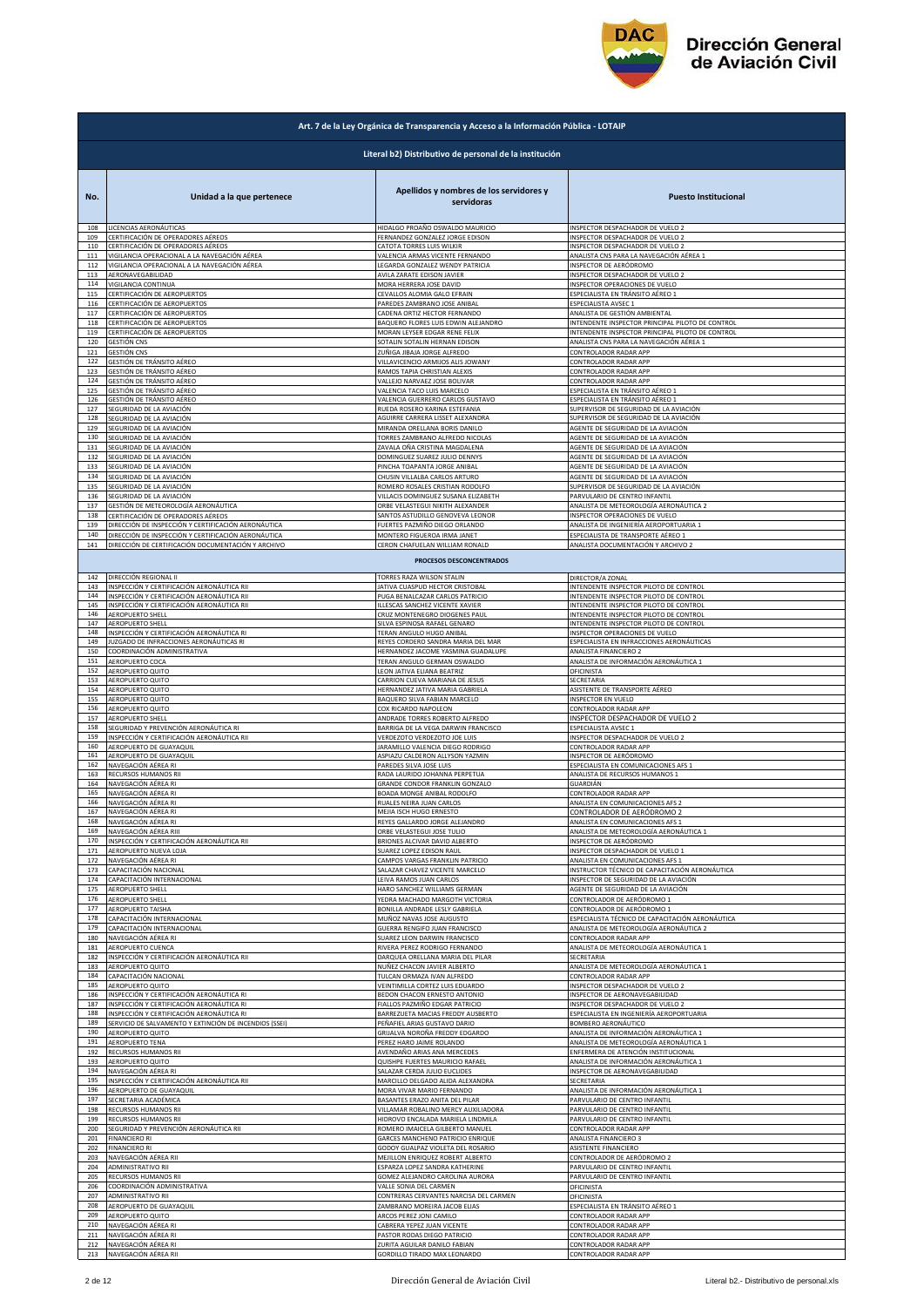

| Art. 7 de la Ley Orgánica de Transparencia y Acceso a la Información Pública - LOTAIP |                                                        |                                                                     |                                                                                     |  |
|---------------------------------------------------------------------------------------|--------------------------------------------------------|---------------------------------------------------------------------|-------------------------------------------------------------------------------------|--|
|                                                                                       | Literal b2) Distributivo de personal de la institución |                                                                     |                                                                                     |  |
| No.                                                                                   | Unidad a la que pertenece                              | Apellidos y nombres de los servidores y<br>servidoras               | <b>Puesto Institucional</b>                                                         |  |
| 108                                                                                   | LICENCIAS AERONÁUTICAS                                 | HIDALGO PROAÑO OSWALDO MAURICIO                                     | INSPECTOR DESPACHADOR DE VUELO 2                                                    |  |
| 109                                                                                   | CERTIFICACIÓN DE OPERADORES AÉREOS                     | FERNANDEZ GONZALEZ JORGE EDISON                                     | INSPECTOR DESPACHADOR DE VUELO 2                                                    |  |
| 110                                                                                   | CERTIFICACIÓN DE OPERADORES AÉREOS                     | CATOTA TORRES LUIS WILKIR                                           | INSPECTOR DESPACHADOR DE VUELO 2                                                    |  |
| 111                                                                                   | VIGILANCIA OPERACIONAL A LA NAVEGACIÓN AÉREA           | VALENCIA ARMAS VICENTE FERNANDO                                     | ANALISTA CNS PARA LA NAVEGACIÓN AÉREA 1                                             |  |
| 112                                                                                   | VIGILANCIA OPERACIONAL A LA NAVEGACIÓN AÉREA           | LEGARDA GONZALEZ WENDY PATRICIA                                     | INSPECTOR DE AERÓDROMO                                                              |  |
| 113                                                                                   | AERONAVEGABILIDAD                                      | AVILA ZARATE EDISON JAVIER                                          | INSPECTOR DESPACHADOR DE VUELO 2                                                    |  |
| 114                                                                                   | VIGILANCIA CONTINUA                                    | MORA HERRERA JOSE DAVID                                             | INSPECTOR OPERACIONES DE VUELO                                                      |  |
| 115                                                                                   | CERTIFICACIÓN DE AEROPUERTOS                           | CEVALLOS ALOMIA GALO EFRAIN                                         | ESPECIALISTA EN TRÁNSITO AÉREO 1                                                    |  |
| 116                                                                                   | CERTIFICACIÓN DE AEROPUERTOS                           | PAREDES ZAMBRANO JOSE ANIBAL                                        | ESPECIALISTA AVSEC 1                                                                |  |
| 117                                                                                   | CERTIFICACIÓN DE AEROPUERTOS                           | CADENA ORTIZ HECTOR FERNANDO                                        | ANALISTA DE GESTIÓN AMBIENTAL                                                       |  |
| 118                                                                                   | CERTIFICACIÓN DE AEROPUERTOS                           | BAQUERO FLORES LUIS EDWIN ALEJANDRO                                 | INTENDENTE INSPECTOR PRINCIPAL PILOTO DE CONTROL                                    |  |
| 119                                                                                   | CERTIFICACIÓN DE AEROPUERTOS                           | MORAN LEYSER EDGAR RENE FELIX                                       | INTENDENTE INSPECTOR PRINCIPAL PILOTO DE CONTROL                                    |  |
| 120                                                                                   | <b>GESTIÓN CNS</b>                                     | SOTALIN SOTALIN HERNAN EDISON                                       | ANALISTA CNS PARA LA NAVEGACIÓN AÉREA 1                                             |  |
| 121                                                                                   | <b>GESTIÓN CNS</b>                                     | ZUÑIGA JIBAJA JORGE ALFREDO                                         | CONTROLADOR RADAR APP                                                               |  |
| 122                                                                                   | GESTIÓN DE TRÁNSITO AÉREO                              | VILLAVICENCIO ARMIJOS ALIS JOWANY                                   | CONTROLADOR RADAR APP                                                               |  |
| 123                                                                                   | GESTIÓN DE TRÁNSITO AÉREO                              | RAMOS TAPIA CHRISTIAN ALEXIS                                        | CONTROLADOR RADAR APP                                                               |  |
| 124                                                                                   | GESTIÓN DE TRÁNSITO AÉREO                              | VALLEJO NARVAEZ JOSE BOLIVAR                                        | CONTROLADOR RADAR APP                                                               |  |
| 125                                                                                   | GESTIÓN DE TRÁNSITO AÉREO                              | VALENCIA TACO LUIS MARCELO                                          | ESPECIALISTA EN TRÁNSITO AÉREO 1                                                    |  |
| 126                                                                                   | GESTIÓN DE TRÁNSITO AÉREO                              | VALENCIA GUERRERO CARLOS GUSTAVO                                    | ESPECIALISTA EN TRÁNSITO AÉREO 1                                                    |  |
| 127                                                                                   | SEGURIDAD DE LA AVIACIÓN                               | RUEDA ROSERO KARINA ESTEFANIA                                       | SUPERVISOR DE SEGURIDAD DE LA AVIACIÓN                                              |  |
| 128                                                                                   | SEGURIDAD DE LA AVIACIÓN                               | AGUIRRE CARRERA LISSET ALEXANDRA                                    | SUPERVISOR DE SEGURIDAD DE LA AVIACIÓN                                              |  |
| 129                                                                                   | SEGURIDAD DE LA AVIACIÓN                               | MIRANDA ORELLANA BORIS DANILO                                       | AGENTE DE SEGURIDAD DE LA AVIACIÓN                                                  |  |
| 130                                                                                   | SEGURIDAD DE LA AVIACIÓN                               | TORRES ZAMBRANO ALFREDO NICOLAS                                     | AGENTE DE SEGURIDAD DE LA AVIACIÓN                                                  |  |
| 131                                                                                   | SEGURIDAD DE LA AVIACIÓN                               | ZAVALA OÑA CRISTINA MAGDALENA                                       | AGENTE DE SEGURIDAD DE LA AVIACIÓN                                                  |  |
| 132                                                                                   | SEGURIDAD DE LA AVIACIÓN                               | DOMINGUEZ SUAREZ JULIO DENNYS                                       | AGENTE DE SEGURIDAD DE LA AVIACIÓN                                                  |  |
| 133                                                                                   | SEGURIDAD DE LA AVIACIÓN                               | PINCHA TOAPANTA JORGE ANIBAL                                        | AGENTE DE SEGURIDAD DE LA AVIACIÓN                                                  |  |
| 134                                                                                   | SEGURIDAD DE LA AVIACIÓN                               | CHUSIN VILLALBA CARLOS ARTURO                                       | AGENTE DE SEGURIDAD DE LA AVIACIÓN                                                  |  |
| 135                                                                                   | SEGURIDAD DE LA AVIACIÓN                               | ROMERO ROSALES CRISTIAN RODOLFO                                     | SUPERVISOR DE SEGURIDAD DE LA AVIACIÓN                                              |  |
| 136                                                                                   | SEGURIDAD DE LA AVIACIÓN                               | VILLACIS DOMINGUEZ SUSANA ELIZABETH                                 | PARVULARIO DE CENTRO INFANTIL                                                       |  |
| 137                                                                                   | GESTIÓN DE METEOROLOGÍA AERONÁUTICA                    | ORBE VELASTEGUI NIKITH ALEXANDER                                    | ANALISTA DE METEOROLOGÍA AERONÁUTICA 2                                              |  |
| 138                                                                                   | CERTIFICACIÓN DE OPERADORES AÉREOS                     | SANTOS ASTUDILLO GENOVEVA LEONOR                                    | INSPECTOR OPERACIONES DE VUELO                                                      |  |
| 139                                                                                   | DIRECCIÓN DE INSPECCIÓN Y CERTIFICACIÓN AERONÁUTICA    | FUERTES PAZMIÑO DIEGO ORLANDO                                       | ANALISTA DE INGENIERÍA AEROPORTUARIA 1                                              |  |
| 140                                                                                   | DIRECCIÓN DE INSPECCIÓN Y CERTIFICACIÓN AERONÁUTICA    | MONTERO FIGUEROA IRMA JANET                                         | <b>ESPECIALISTA DE TRANSPORTE AÉREO 1</b>                                           |  |
| 141                                                                                   | DIRECCIÓN DE CERTIFICACIÓN DOCUMENTACIÓN Y ARCHIVO     | CERON CHAFUELAN WILLIAM RONALD                                      | ANALISTA DOCUMENTACIÓN Y ARCHIVO 2                                                  |  |
|                                                                                       |                                                        | PROCESOS DESCONCENTRADOS                                            |                                                                                     |  |
| 142                                                                                   | DIRECCIÓN REGIONAL II                                  | TORRES RAZA WILSON STALIN                                           | DIRECTOR/A ZONAL                                                                    |  |
| 143                                                                                   | INSPECCIÓN Y CERTIFICACIÓN AERONÁUTICA RII             | JATIVA CUASPUD HECTOR CRISTOBAL                                     | INTENDENTE INSPECTOR PILOTO DE CONTROL                                              |  |
| 144                                                                                   | INSPECCIÓN Y CERTIFICACIÓN AERONÁUTICA RII             | PUGA BENALCAZAR CARLOS PATRICIO                                     | INTENDENTE INSPECTOR PILOTO DE CONTROL                                              |  |
| 145                                                                                   | INSPECCIÓN Y CERTIFICACIÓN AERONÁUTICA RII             | ILLESCAS SANCHEZ VICENTE XAVIER                                     | INTENDENTE INSPECTOR PILOTO DE CONTROL                                              |  |
| 146                                                                                   | AEROPUERTO SHELL                                       | CRUZ MONTENEGRO DIOGENES PAUL                                       | INTENDENTE INSPECTOR PILOTO DE CONTROL                                              |  |
| 147                                                                                   | <b>AEROPUERTO SHELL</b>                                | SILVA ESPINOSA RAFAEL GENARO                                        | INTENDENTE INSPECTOR PILOTO DE CONTROL                                              |  |
| 148                                                                                   | INSPECCIÓN Y CERTIFICACIÓN AERONÁUTICA RI              | TERAN ANGULO HUGO ANIBAL                                            | INSPECTOR OPERACIONES DE VUELO                                                      |  |
| 149                                                                                   | JUZGADO DE INFRACCIONES AERONÁUTICAS RI                | REYES CORDERO SANDRA MARIA DEL MAR                                  | ESPECIALISTA EN INFRACCIONES AERONÁUTICAS                                           |  |
| 150                                                                                   | COORDINACIÓN ADMINISTRATIVA                            | HERNANDEZ JACOME YASMINA GUADALUPE                                  | ANALISTA FINANCIERO 2                                                               |  |
| 151                                                                                   | AEROPUERTO COCA                                        | TERAN ANGULO GERMAN OSWALDO                                         | ANALISTA DE INFORMACIÓN AERONÁUTICA 1                                               |  |
| 152                                                                                   | AEROPUERTO QUITO                                       | LEON JATIVA ELIANA BEATRIZ                                          | OFICINISTA                                                                          |  |
| 153                                                                                   | AEROPUERTO QUITO                                       | CARRION CUEVA MARIANA DE JESUS                                      | SECRETARIA                                                                          |  |
| 154                                                                                   | AEROPUERTO QUITO                                       | HERNANDEZ JATIVA MARIA GABRIELA                                     | ASISTENTE DE TRANSPORTE AÉREO                                                       |  |
| 155                                                                                   | AEROPUERTO QUITO                                       | BAQUERO SILVA FABIAN MARCELO                                        | INSPECTOR EN VUELO                                                                  |  |
| 156                                                                                   | AEROPUERTO QUITO                                       | COX RICARDO NAPOLEON                                                | CONTROLADOR RADAR APP                                                               |  |
| 157                                                                                   | AEROPUERTO SHELL                                       | ANDRADE TORRES ROBERTO ALFREDO                                      | INSPECTOR DESPACHADOR DE VUELO 2                                                    |  |
| 158                                                                                   | SEGURIDAD Y PREVENCIÓN AERONÁUTICA RI                  | BARRIGA DE LA VEGA DARWIN FRANCISCO                                 | ESPECIALISTA AVSEC 1                                                                |  |
| 159                                                                                   | INSPECCIÓN Y CERTIFICACIÓN AERONÁUTICA RII             | VERDEZOTO VERDEZOTO JOE LUIS                                        |                                                                                     |  |
| 160<br>161                                                                            | AEROPUERTO DE GUAYAQUIL                                | JARAMILLO VALENCIA DIEGO RODRIGO<br>ASPIAZU CALDERON ALLYSON YAZMIN | INSPECTOR DESPACHADOR DE VUELO 2<br>CONTROLADOR RADAR APP<br>INSPECTOR DE AERÓDROMO |  |
| 162<br>163                                                                            | AEROPUERTO DE GUAYAQUIL<br>NAVEGACIÓN AÉREA RI         | PAREDES SILVA JOSE LUIS                                             | ESPECIALISTA EN COMUNICACIONES AFS 1                                                |  |
| 164                                                                                   | RECURSOS HUMANOS RII<br>NAVEGACIÓN AÉREA RI            | RADA LAURIDO JOHANNA PERPETUA<br>GRANDE CONDOR FRANKLIN GONZALO     | ANALISTA DE RECURSOS HUMANOS 1<br>GUARDIÁN<br>CONTROLADOR RADAR APP                 |  |
| 165                                                                                   | NAVEGACIÓN AÉREA RI                                    | BOADA MONGE ANIBAL RODOLFO                                          | ANALISTA EN COMUNICACIONES AFS 2                                                    |  |
| 166                                                                                   | NAVEGACIÓN AÉREA RI                                    | RUALES NEIRA JUAN CARLOS                                            |                                                                                     |  |
| 167                                                                                   | NAVEGACIÓN AÉREA RI                                    | MEJIA ISCH HUGO ERNESTO                                             | CONTROLADOR DE AERÓDROMO 2                                                          |  |
| 168                                                                                   | NAVEGACIÓN AÉREA RI                                    | REYES GALLARDO JORGE ALEJANDRO                                      | ANALISTA EN COMUNICACIONES AFS 1                                                    |  |
| 169                                                                                   | NAVEGACIÓN AÉREA RIII                                  | ORBE VELASTEGUI JOSE TULIO                                          | ANALISTA DE METEOROLOGÍA AERONÁUTICA 1                                              |  |
| 170                                                                                   | INSPECCIÓN Y CERTIFICACIÓN AERONÁUTICA RII             | BRIONES ALCIVAR DAVID ALBERTO                                       | INSPECTOR DE AERÓDROMO                                                              |  |
| 171                                                                                   | AEROPUERTO NUEVA LOJA                                  | SUAREZ LOPEZ EDISON RAUL                                            | INSPECTOR DESPACHADOR DE VUELO 1                                                    |  |
| 172                                                                                   | NAVEGACIÓN AÉREA RI                                    | CAMPOS VARGAS FRANKLIN PATRICIO                                     | ANALISTA EN COMUNICACIONES AFS 1                                                    |  |
| 173                                                                                   | CAPACITACIÓN NACIONAL                                  | SALAZAR CHAVEZ VICENTE MARCELO                                      | INSTRUCTOR TÉCNICO DE CAPACITACIÓN AERONÁUTICA                                      |  |
| 174                                                                                   | CAPACITACIÓN INTERNACIONAL                             | LEIVA RAMOS JUAN CARLOS                                             | INSPECTOR DE SEGURIDAD DE LA AVIACIÓN                                               |  |
| 175                                                                                   | AEROPUERTO SHELL                                       | HARO SANCHEZ WILLIAMS GERMAN                                        | AGENTE DE SEGURIDAD DE LA AVIACIÓN                                                  |  |
| 176                                                                                   | AEROPUERTO SHELL                                       | YEDRA MACHADO MARGOTH VICTORIA                                      | CONTROLADOR DE AERÓDROMO 1                                                          |  |
| 177                                                                                   | <b>AEROPUERTO TAISHA</b>                               | BONILLA ANDRADE LESLY GABRIELA                                      | CONTROLADOR DE AERÓDROMO 1                                                          |  |
| 178                                                                                   | CAPACITACIÓN INTERNACIONAL                             | MUÑOZ NAVAS JOSE AUGUSTO                                            | ESPECIALISTA TÉCNICO DE CAPACITACIÓN AERONÁUTICA                                    |  |
| 179                                                                                   | CAPACITACIÓN INTERNACIONAL                             | GUERRA RENGIFO JUAN FRANCISCO                                       | ANALISTA DE METEOROLOGÍA AERONÁUTICA 2                                              |  |
| 180                                                                                   | NAVEGACIÓN AÉREA RI                                    | SUAREZ LEON DARWIN FRANCISCO                                        | CONTROLADOR RADAR APP                                                               |  |
| 181                                                                                   | <b>AEROPUERTO CUENCA</b>                               | RIVERA PEREZ RODRIGO FERNANDO                                       | ANALISTA DE METEOROLOGÍA AERONÁUTICA 1                                              |  |
| 182                                                                                   | INSPECCIÓN Y CERTIFICACIÓN AERONÁUTICA RII             | DARQUEA ORELLANA MARIA DEL PILAR                                    | SECRETARIA                                                                          |  |
| 183                                                                                   | AEROPUERTO QUITO                                       | NUÑEZ CHACON JAVIER ALBERTO                                         | ANALISTA DE METEOROLOGÍA AERONÁUTICA 1                                              |  |
| 184                                                                                   | CAPACITACIÓN NACIONAL                                  | TULCAN ORMAZA IVAN ALFREDO                                          | CONTROLADOR RADAR APP                                                               |  |
| 185                                                                                   | AEROPUERTO QUITO                                       | VEINTIMILLA CORTEZ LUIS EDUARDO                                     | INSPECTOR DESPACHADOR DE VUELO 2                                                    |  |
| 186                                                                                   | INSPECCIÓN Y CERTIFICACIÓN AERONÁUTICA RI              | BEDON CHACON ERNESTO ANTONIO                                        | INSPECTOR DE AERONAVEGABILIDAD                                                      |  |
| 187<br>188                                                                            | INSPECCIÓN Y CERTIFICACIÓN AERONÁUTICA RI              | FIALLOS PAZMIÑO EDGAR PATRICIO                                      | INSPECTOR DESPACHADOR DE VUELO 2                                                    |  |
| 189                                                                                   | INSPECCIÓN Y CERTIFICACIÓN AERONÁUTICA RI              | BARREZUETA MACIAS FREDDY AUSBERTO                                   | ESPECIALISTA EN INGENIERÍA AEROPORTUARIA                                            |  |
|                                                                                       | SERVICIO DE SALVAMENTO Y EXTINCIÓN DE INCENDIOS (SSEI) | PEÑAFIEL ARIAS GUSTAVO DARIO                                        | BOMBERO AERONÁUTICO                                                                 |  |
| 190                                                                                   | AEROPUERTO QUITO                                       | GRIJALVA NOROÑA FREDDY EDGARDO                                      | ANALISTA DE INFORMACIÓN AERONÁUTICA 1                                               |  |
| 191                                                                                   | <b>AEROPUERTO TENA</b>                                 | PEREZ HARO JAIME ROLANDO                                            | ANALISTA DE METEOROLOGÍA AERONÁUTICA 1                                              |  |
| 192                                                                                   | RECURSOS HUMANOS RII                                   | AVENDAÑO ARIAS ANA MERCEDES                                         | ENFERMERA DE ATENCIÓN INSTITUCIONAL                                                 |  |
| 193                                                                                   | AEROPUERTO QUITO                                       | QUISHPE FUERTES MAURICIO RAFAEL                                     | ANALISTA DE INFORMACIÓN AERONÁUTICA 1                                               |  |
| 194                                                                                   | NAVEGACIÓN AÉREA RI                                    | SALAZAR CERDA JULIO EUCLIDES                                        | INSPECTOR DE AERONAVEGABILIDAD                                                      |  |
| 195                                                                                   | INSPECCIÓN Y CERTIFICACIÓN AERONÁUTICA RII             | MARCILLO DELGADO ALIDA ALEXANDRA                                    | SECRETARIA                                                                          |  |
| 196                                                                                   | AEROPUERTO DE GUAYAQUIL                                | MORA VIVAR MARIO FERNANDO                                           | ANALISTA DE INFORMACIÓN AERONÁUTICA 1                                               |  |
| 197                                                                                   | SECRETARIA ACADÉMICA                                   | BASANTES ERAZO ANITA DEL PILAR                                      | PARVULARIO DE CENTRO INFANTIL                                                       |  |
| 198                                                                                   | RECURSOS HUMANOS RII                                   | VILLAMAR ROBALINO MERCY AUXILIADORA                                 | PARVULARIO DE CENTRO INFANTIL                                                       |  |
| 199                                                                                   | RECURSOS HUMANOS RII                                   | HIDROVO ENCALADA MARIELA LINDMILA                                   | PARVULARIO DE CENTRO INFANTIL                                                       |  |
| 200                                                                                   | SEGURIDAD Y PREVENCIÓN AERONÁUTICA RII                 | ROMERO IMAICELA GILBERTO MANUEL                                     | CONTROLADOR RADAR APP                                                               |  |
| 201                                                                                   | <b>FINANCIERO RI</b>                                   | GARCES MANCHENO PATRICIO ENRIQUE                                    | ANALISTA FINANCIERO 3                                                               |  |
| 202                                                                                   | <b>FINANCIERO RI</b>                                   | GODOY GUALPAZ VIOLETA DEL ROSARIO                                   | ASISTENTE FINANCIERO                                                                |  |
| 203                                                                                   | NAVEGACIÓN AÉREA RII                                   | MEJILLON ENRIQUEZ ROBERT ALBERTO                                    | CONTROLADOR DE AERÓDROMO 2                                                          |  |
| 204                                                                                   | <b>ADMINISTRATIVO RII</b>                              | ESPARZA LOPEZ SANDRA KATHERINE                                      | PARVULARIO DE CENTRO INFANTIL                                                       |  |
| 205                                                                                   | RECURSOS HUMANOS RII                                   | GOMEZ ALEJANDRO CAROLINA AURORA                                     | PARVULARIO DE CENTRO INFANTIL                                                       |  |
| 206                                                                                   | COORDINACIÓN ADMINISTRATIVA                            | VALLE SONIA DEL CARMEN                                              | OFICINISTA                                                                          |  |
| 207                                                                                   | ADMINISTRATIVO RII                                     | CONTRERAS CERVANTES NARCISA DEL CARMEN                              | OFICINISTA                                                                          |  |
| 208                                                                                   | AEROPUERTO DE GUAYAQUIL                                | ZAMBRANO MOREIRA JACOB ELIAS                                        | ESPECIALISTA EN TRÁNSITO AÉREO 1                                                    |  |
| 209                                                                                   | AEROPUERTO QUITO                                       | ARCOS PEREZ JONI CAMILO                                             | CONTROLADOR RADAR APP                                                               |  |
| 210<br>211                                                                            | NAVEGACIÓN AÉREA RI                                    | CABRERA YEPEZ JUAN VICENTE                                          | CONTROLADOR RADAR APP                                                               |  |
| 212                                                                                   | NAVEGACIÓN AÉREA RI                                    | PASTOR RODAS DIEGO PATRICIO                                         | CONTROLADOR RADAR APP                                                               |  |
|                                                                                       | NAVEGACIÓN AÉREA RI                                    | ZURITA AGUILAR DANILO FABIAN                                        | CONTROLADOR RADAR APP                                                               |  |
| 213                                                                                   | NAVEGACIÓN AÉREA RII                                   | GORDILLO TIRADO MAX LEONARDO                                        | CONTROLADOR RADAR APP                                                               |  |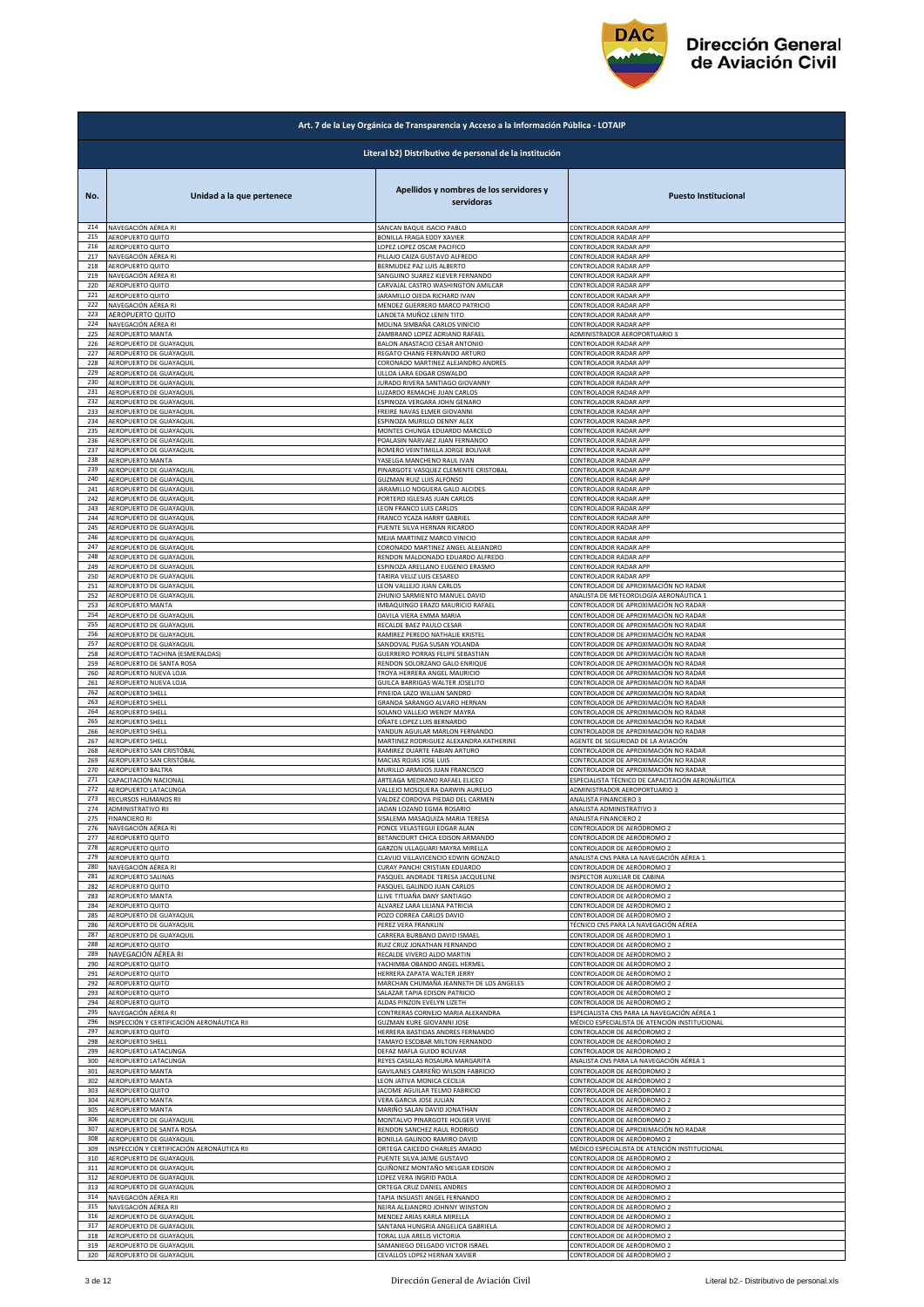

|            | Art. 7 de la Ley Orgánica de Transparencia y Acceso a la Información Pública - LOTAIP |                                                                |                                                                              |  |
|------------|---------------------------------------------------------------------------------------|----------------------------------------------------------------|------------------------------------------------------------------------------|--|
|            | Literal b2) Distributivo de personal de la institución                                |                                                                |                                                                              |  |
| No.        | Unidad a la que pertenece                                                             | Apellidos y nombres de los servidores y<br>servidoras          | <b>Puesto Institucional</b>                                                  |  |
| 214        | NAVEGACIÓN AÉREA RI                                                                   | SANCAN BAQUE ISACIO PABLO                                      | CONTROLADOR RADAR APP                                                        |  |
| 215        | AEROPUERTO QUITO                                                                      | BONILLA FRAGA EDDY XAVIER                                      | CONTROLADOR RADAR APP                                                        |  |
| 216        | AEROPUERTO QUITO                                                                      | LOPEZ LOPEZ OSCAR PACIFICO                                     | CONTROLADOR RADAR APP                                                        |  |
| 217        | NAVEGACIÓN AÉREA RI                                                                   | PILLAJO CAIZA GUSTAVO ALFREDO                                  | CONTROLADOR RADAR APP                                                        |  |
| 218        | AEROPUERTO QUITO                                                                      | BERMUDEZ PAZ LUIS ALBERTO                                      | CONTROLADOR RADAR APP                                                        |  |
| 219        | NAVEGACIÓN AÉREA RI                                                                   | SANGUINO SUAREZ KLEVER FERNANDO                                | CONTROLADOR RADAR APP                                                        |  |
| 220        | AEROPUERTO QUITO                                                                      | CARVAJAL CASTRO WASHINGTON AMILCAR                             | CONTROLADOR RADAR APP                                                        |  |
| 221        | AEROPUERTO QUITO                                                                      | JARAMILLO OJEDA RICHARD IVAN                                   | CONTROLADOR RADAR APP                                                        |  |
| 222        | NAVEGACIÓN AÉREA RI                                                                   | MENDEZ GUERRERO MARCO PATRICIO                                 | CONTROLADOR RADAR APP                                                        |  |
| 223        | <b>AEROPUERTO QUITO</b>                                                               | LANDETA MUÑOZ LENIN TITO                                       | CONTROLADOR RADAR APP                                                        |  |
| 224        | VAVEGACIÓN AÉREA RI                                                                   | MOLINA SIMBAÑA CARLOS VINICIO                                  | ONTROLADOR RADAR APP                                                         |  |
| 225        | AEROPUERTO MANTA                                                                      | ZAMBRANO LOPEZ ADRIANO RAFAEL                                  | ADMINISTRADOR AEROPORTUARIO 3                                                |  |
| 226        | AEROPUERTO DE GUAYAQUIL                                                               | BALON ANASTACIO CESAR ANTONIO                                  | CONTROLADOR RADAR APP                                                        |  |
| 227        | AEROPUERTO DE GUAYAQUIL                                                               | REGATO CHANG FERNANDO ARTURO                                   | CONTROLADOR RADAR APP                                                        |  |
| 228        | AEROPUERTO DE GUAYAQUIL                                                               | CORONADO MARTINEZ ALEJANDRO ANDRES                             | CONTROLADOR RADAR APP                                                        |  |
| 229        | AEROPUERTO DE GUAYAQUIL                                                               | ULLOA LARA EDGAR OSWALDO                                       | CONTROLADOR RADAR APP                                                        |  |
| 230        | AEROPUERTO DE GUAYAQUIL                                                               | <b>JURADO RIVERA SANTIAGO GIOVANNY</b>                         | <b>CONTROLADOR RADAR APP</b>                                                 |  |
| 231        | AEROPUERTO DE GUAYAQUIL                                                               | LUZARDO REMACHE JUAN CARLOS                                    | CONTROLADOR RADAR APP                                                        |  |
| 232        | AEROPUERTO DE GUAYAQUIL                                                               | ESPINOZA VERGARA JOHN GENARO                                   | CONTROLADOR RADAR APP                                                        |  |
| 233        | AEROPUERTO DE GUAYAQUIL                                                               | FREIRE NAVAS ELMER GIOVANNI                                    | CONTROLADOR RADAR APP                                                        |  |
| 234        | AEROPUERTO DE GUAYAQUIL                                                               | ESPINOZA MURILLO DENNY ALEX                                    | CONTROLADOR RADAR APP                                                        |  |
| 235        | AEROPUERTO DE GUAYAQUIL                                                               | MONTES CHUNGA EDUARDO MARCELO                                  | CONTROLADOR RADAR APP                                                        |  |
| 236        | AEROPUERTO DE GUAYAQUIL                                                               | POALASIN NARVAEZ JUAN FERNANDO                                 | CONTROLADOR RADAR APP                                                        |  |
| 237        | AEROPUERTO DE GUAYAQUIL                                                               | ROMERO VEINTIMILLA JORGE BOLIVAR                               | CONTROLADOR RADAR APP                                                        |  |
| 238        | <b>AEROPUERTO MANTA</b>                                                               | YASELGA MANCHENO RAUL IVAN                                     | CONTROLADOR RADAR APP                                                        |  |
| 239        | AEROPUERTO DE GUAYAQUIL                                                               | PINARGOTE VASQUEZ CLEMENTE CRISTOBAL                           | CONTROLADOR RADAR APP                                                        |  |
| 240        | AEROPUERTO DE GUAYAQUIL                                                               | <b>GUZMAN RUIZ LUIS ALFONSO</b>                                | CONTROLADOR RADAR APP                                                        |  |
| 241        | AEROPUERTO DE GUAYAQUIL                                                               | JARAMILLO NOGUERA GALO ALCIDES                                 | CONTROLADOR RADAR APP                                                        |  |
| 242        | AEROPUERTO DE GUAYAQUIL                                                               | PORTERO IGLESIAS JUAN CARLOS                                   | CONTROLADOR RADAR APP                                                        |  |
| 243        | AEROPUERTO DE GUAYAQUIL                                                               | LEON FRANCO LUIS CARLOS                                        | CONTROLADOR RADAR APP                                                        |  |
| 244        | AEROPUERTO DE GUAYAQUIL                                                               | FRANCO YCAZA HARRY GABRIEL                                     | CONTROLADOR RADAR APP                                                        |  |
| 245        | AEROPUERTO DE GUAYAQUIL                                                               | PUENTE SILVA HERNAN RICARDO                                    | CONTROLADOR RADAR APP                                                        |  |
| 246        | AEROPUERTO DE GUAYAQUIL                                                               | MEJIA MARTINEZ MARCO VINICIO                                   | CONTROLADOR RADAR APP                                                        |  |
| 247        | AEROPUERTO DE GUAYAQUIL                                                               | CORONADO MARTINEZ ANGEL ALEJANDRO                              | CONTROLADOR RADAR APP                                                        |  |
| 248        | AEROPUERTO DE GUAYAQUIL                                                               | RENDON MALDONADO EDUARDO ALFREDO                               | CONTROLADOR RADAR APP                                                        |  |
| 249        | AEROPUERTO DE GUAYAQUIL                                                               | ESPINOZA ARELLANO EUGENIO ERASMO                               | CONTROLADOR RADAR APP                                                        |  |
| 250        | AEROPUERTO DE GUAYAQUIL                                                               | TARIRA VELIZ LUIS CESAREO                                      | <b>CONTROLADOR RADAR APP</b>                                                 |  |
| 251        | AEROPUERTO DE GUAYAQUIL                                                               | LEON VALLEJO JUAN CARLOS                                       | CONTROLADOR DE APROXIMACIÓN NO RADAR                                         |  |
| 252        | AEROPUERTO DE GUAYAQUIL                                                               | ZHUNIO SARMIENTO MANUEL DAVID                                  | ANALISTA DE METEOROLOGÍA AERONÁUTICA 1                                       |  |
| 253        | AEROPUERTO MANTA                                                                      | IMBAQUINGO ERAZO MAURICIO RAFAEL                               | CONTROLADOR DE APROXIMACIÓN NO RADAR                                         |  |
| 254        | AEROPUERTO DE GUAYAQUIL                                                               | DAVILA VIERA EMMA MARIA                                        | CONTROLADOR DE APROXIMACIÓN NO RADAR                                         |  |
| 255        | AEROPUERTO DE GUAYAQUIL                                                               | RECALDE BAEZ PAULO CESAR                                       | CONTROLADOR DE APROXIMACIÓN NO RADAR                                         |  |
| 256        | AEROPUERTO DE GUAYAQUIL                                                               | RAMIREZ PEREDO NATHALIE KRISTEL                                | CONTROLADOR DE APROXIMACIÓN NO RADAR                                         |  |
| 257        | AEROPUERTO DE GUAYAQUIL                                                               | SANDOVAL PUGA SUSAN YOLANDA                                    | CONTROLADOR DE APROXIMACIÓN NO RADAR                                         |  |
| 258        | AEROPUERTO TACHINA (ESMERALDAS)                                                       | GUERRERO PORRAS FELIPE SEBASTIAN                               | CONTROLADOR DE APROXIMACIÓN NO RADAR                                         |  |
| 259        | AEROPUERTO DE SANTA ROSA                                                              | RENDON SOLORZANO GALO ENRIQUE                                  | CONTROLADOR DE APROXIMACIÓN NO RADAR                                         |  |
| 260<br>261 | AEROPUERTO NUEVA LOJA<br>AEROPUERTO NUEVA LOJA                                        | TROYA HERRERA ANGEL MAURICIO                                   | CONTROLADOR DE APROXIMACIÓN NO RADAR                                         |  |
| 262        | <b>AEROPUERTO SHELL</b>                                                               | GUILCA BARRIGAS WALTER JOSELITO<br>PINEIDA LAZO WILLIAN SANDRO | CONTROLADOR DE APROXIMACIÓN NO RADAR<br>CONTROLADOR DE APROXIMACIÓN NO RADAR |  |
| 263        | <b>LEROPUERTO SHELL</b>                                                               | GRANDA SARANGO ALVARO HERNAN                                   | CONTROLADOR DE APROXIMACIÓN NO RADAR                                         |  |
| 264        | AEROPUERTO SHELL                                                                      | SOLANO VALLEJO WENDY MAYRA                                     | CONTROLADOR DE APROXIMACIÓN NO RADAR                                         |  |
| 265        | AEROPUERTO SHELL                                                                      | OÑATE LOPEZ LUIS BERNARDO                                      | CONTROLADOR DE APROXIMACIÓN NO RADAR                                         |  |
| 266        | <b>AEROPUERTO SHELL</b>                                                               | YANDUN AGUILAR MARLON FERNANDO                                 | CONTROLADOR DE APROXIMACIÓN NO RADAR                                         |  |
| 267        | <b>AEROPUERTO SHELL</b>                                                               | MARTINEZ RODRIGUEZ ALEXANDRA KATHERINE                         | AGENTE DE SEGURIDAD DE LA AVIACIÓN                                           |  |
| 268        | AEROPUERTO SAN CRISTÓBAL                                                              | RAMIREZ DUARTE FABIAN ARTURO                                   | CONTROLADOR DE APROXIMACIÓN NO RADAR                                         |  |
| 269<br>270 | AEROPUERTO SAN CRISTÓBAL                                                              | MACIAS ROJAS JOSE LUIS                                         | CONTROLADOR DE APROXIMACIÓN NO RADAR                                         |  |
| 271        | AEROPUERTO BALTRA                                                                     | MURILLO ARMIJOS JUAN FRANCISCO                                 | CONTROLADOR DE APROXIMACIÓN NO RADAR                                         |  |
|            | CAPACITACIÓN NACIONAL                                                                 | ARTEAGA MEDRANO RAFAEL ELICEO                                  | ESPECIALISTA TÉCNICO DE CAPACITACIÓN AERONÁUTICA                             |  |
| 272        | AEROPUERTO LATACUNGA                                                                  | VALLEJO MOSQUERA DARWIN AURELIO                                | ADMINISTRADOR AEROPORTUARIO 3                                                |  |
| 273        | RECURSOS HUMANOS RII                                                                  | VALDEZ CORDOVA PIEDAD DEL CARMEN                               | ANALISTA FINANCIERO 3                                                        |  |
| 274        | ADMINISTRATIVO RII                                                                    | JADAN LOZANO EGMA ROSARIO                                      | ANALISTA ADMINISTRATIVO 3                                                    |  |
| 275        | <b>FINANCIERO RI</b>                                                                  | SISALEMA MASAQUIZA MARIA TERESA                                | ANALISTA FINANCIERO 2                                                        |  |
| 276        | NAVEGACIÓN AÉREA RI                                                                   | PONCE VELASTEGUI EDGAR ALAN                                    | CONTROLADOR DE AERÓDROMO 2                                                   |  |
| 277        | AEROPUERTO QUITO                                                                      | BETANCOURT CHICA EDISON ARMANDO                                | CONTROLADOR DE AERÓDROMO 2                                                   |  |
| 278        | AEROPUERTO QUITO                                                                      | GARZON ULLAGUARI MAYRA MIRELLA                                 | CONTROLADOR DE AERÓDROMO 2                                                   |  |
| 279        | AEROPUERTO QUITO                                                                      | CLAVIJO VILLAVICENCIO EDWIN GONZALO                            | ANALISTA CNS PARA LA NAVEGACIÓN AÉREA 1                                      |  |
| 280        | NAVEGACIÓN AÉREA RI                                                                   | CURAY PANCHI CRISTIAN EDUARDO                                  | CONTROLADOR DE AERÓDROMO 2                                                   |  |
| 281        | AEROPUERTO SALINAS                                                                    | PASQUEL ANDRADE TERESA JACQUELINE                              | NSPECTOR AUXILIAR DE CABINA                                                  |  |
| 282        | AEROPUERTO QUITO                                                                      | PASQUEL GALINDO JUAN CARLOS                                    | CONTROLADOR DE AERÓDROMO 2                                                   |  |
| 283        | AEROPUERTO MANTA                                                                      | LLIVE TITUAÑA DANY SANTIAGO                                    | CONTROLADOR DE AERÓDROMO 2                                                   |  |
| 284        | AEROPUERTO QUITO                                                                      | ALVAREZ LARA LILIANA PATRICIA                                  | CONTROLADOR DE AERÓDROMO 2                                                   |  |
| 285        | AEROPUERTO DE GUAYAQUIL                                                               | POZO CORREA CARLOS DAVID                                       | CONTROLADOR DE AERÓDROMO 2                                                   |  |
| 286        | AEROPUERTO DE GUAYAQUIL                                                               | PEREZ VERA FRANKLIN                                            | TÉCNICO CNS PARA LA NAVEGACIÓN AÉREA                                         |  |
| 287        | AEROPUERTO DE GUAYAQUIL                                                               | CARRERA BURBANO DAVID ISMAEL                                   | CONTROLADOR DE AERÓDROMO 1                                                   |  |
| 288        | AEROPUERTO QUITO                                                                      | RUIZ CRUZ JONATHAN FERNANDO                                    | CONTROLADOR DE AERÓDROMO 2                                                   |  |
| 289        | NAVEGACIÓN AÉREA RI                                                                   | RECALDE VIVERO ALDO MARTIN                                     | CONTROLADOR DE AERÓDROMO 2                                                   |  |
| 290        | AEROPUERTO QUITO                                                                      | YACHIMBA OBANDO ANGEL HERMEL                                   | CONTROLADOR DE AERÓDROMO 2                                                   |  |
| 291        | AEROPUERTO QUITO                                                                      | HERRERA ZAPATA WALTER JERRY                                    | CONTROLADOR DE AERÓDROMO 2                                                   |  |
| 292        | AEROPUERTO QUITO                                                                      | MARCHAN CHUMAÑA JEANNETH DE LOS ANGELES                        | CONTROLADOR DE AERÓDROMO 2                                                   |  |
| 293        | AEROPUERTO QUITO                                                                      | SALAZAR TAPIA EDISON PATRICIO                                  | CONTROLADOR DE AERÓDROMO 2                                                   |  |
| 294        | AEROPUERTO QUITO                                                                      | ALDAS PINZON EVELYN LIZETH                                     | CONTROLADOR DE AERÓDROMO 2                                                   |  |
| 295        | NAVEGACIÓN AÉREA RI                                                                   | CONTRERAS CORNEJO MARIA ALEXANDRA                              | ESPECIALISTA CNS PARA LA NAVEGACIÓN AÉREA 1                                  |  |
| 296        | INSPECCIÓN Y CERTIFICACIÓN AERONÁUTICA RII                                            | <b>GUZMAN KURE GIOVANNI JOSE</b>                               | MÉDICO ESPECIALISTA DE ATENCIÓN INSTITUCIONAL                                |  |
| 297        | AEROPUERTO QUITO                                                                      | HERRERA BASTIDAS ANDRES FERNANDO                               | CONTROLADOR DE AERÓDROMO 2                                                   |  |
| 298        | AEROPUERTO SHELL                                                                      | TAMAYO ESCOBAR MILTON FERNANDO                                 | CONTROLADOR DE AERÓDROMO 2                                                   |  |
| 299        | AEROPUERTO LATACUNGA                                                                  | DEFAZ MAFLA GUIDO BOLIVAR                                      | CONTROLADOR DE AERÓDROMO 2                                                   |  |
| 300        | AEROPUERTO LATACUNGA                                                                  | REYES CASILLAS ROSAURA MARGARITA                               | ANALISTA CNS PARA LA NAVEGACIÓN AÉREA 1                                      |  |
| 301        | AEROPUERTO MANTA                                                                      | GAVILANES CARREÑO WILSON FABRICIO                              | CONTROLADOR DE AERÓDROMO 2                                                   |  |
| 302        | AEROPUERTO MANTA                                                                      | LEON JATIVA MONICA CECILIA                                     | CONTROLADOR DE AERÓDROMO 2                                                   |  |
| 303        | AEROPUERTO QUITO                                                                      | <b>JACOME AGUILAR TELMO FABRICIO</b>                           | CONTROLADOR DE AERÓDROMO 2                                                   |  |
| 304        | AEROPUERTO MANTA                                                                      | VERA GARCIA JOSE JULIAN                                        | CONTROLADOR DE AERÓDROMO 2                                                   |  |
| 305        | AEROPUERTO MANTA                                                                      | MARIÑO SALAN DAVID JONATHAN                                    | CONTROLADOR DE AERÓDROMO 2                                                   |  |
| 306        | AEROPUERTO DE GUAYAQUIL                                                               | MONTALVO PINARGOTE HOLGER VIVIE                                | CONTROLADOR DE AERÓDROMO 2                                                   |  |
| 307        | AEROPUERTO DE SANTA ROSA                                                              | RENDON SANCHEZ RAUL RODRIGO                                    | CONTROLADOR DE APROXIMACIÓN NO RADAR                                         |  |
| 308        | AEROPUERTO DE GUAYAQUIL                                                               | BONILLA GALINDO RAMIRO DAVID                                   | CONTROLADOR DE AERÓDROMO 2                                                   |  |
| 309        | NSPECCIÓN Y CERTIFICACIÓN AERONÁUTICA RII                                             | ORTEGA CAICEDO CHARLES AMADO                                   |                                                                              |  |
| 310        | AEROPUERTO DE GUAYAQUIL                                                               | PUENTE SILVA JAIME GUSTAVO                                     | MÉDICO ESPECIALISTA DE ATENCIÓN INSTITUCIONAL<br>CONTROLADOR DE AERÓDROMO 2  |  |
| 311        | AEROPUERTO DE GUAYAQUIL                                                               | QUIÑONEZ MONTAÑO MELGAR EDISON                                 | CONTROLADOR DE AERÓDROMO 2                                                   |  |
| 312        | AEROPUERTO DE GUAYAQUIL                                                               | LOPEZ VERA INGRID PAOLA                                        | CONTROLADOR DE AERÓDROMO 2                                                   |  |
| 313        | AEROPUERTO DE GUAYAQUIL                                                               | ORTEGA CRUZ DANIEL ANDRES                                      | CONTROLADOR DE AERÓDROMO 2                                                   |  |
| 314        | NAVEGACIÓN AÉREA RII                                                                  | TAPIA INSUASTI ANGEL FERNANDO                                  | CONTROLADOR DE AERÓDROMO 2                                                   |  |
| 315<br>316 | NAVEGACIÓN AÉREA RII                                                                  | NEIRA ALEJANDRO JOHNNY WINSTON<br>MENDEZ ARIAS KARLA MIRELLA   | CONTROLADOR DE AERÓDROMO 2                                                   |  |
| 317        | AEROPUERTO DE GUAYAQUIL<br>AEROPUERTO DE GUAYAQUIL                                    | SANTANA HUNGRIA ANGELICA GABRIELA                              | CONTROLADOR DE AERÓDROMO 2<br>CONTROLADOR DE AERÓDROMO 2                     |  |
| 318        | AEROPUERTO DE GUAYAQUIL                                                               | TORAL LUA ARELIS VICTORIA                                      | CONTROLADOR DE AERÓDROMO 2                                                   |  |
| 319        | AEROPUERTO DE GUAYAQUIL                                                               | SAMANIEGO DELGADO VICTOR ISRAEL                                | CONTROLADOR DE AERÓDROMO 2                                                   |  |
| 320        | AEROPUERTO DE GUAYAQUIL                                                               | CEVALLOS LOPEZ HERNAN XAVIER                                   | CONTROLADOR DE AERÓDROMO 2                                                   |  |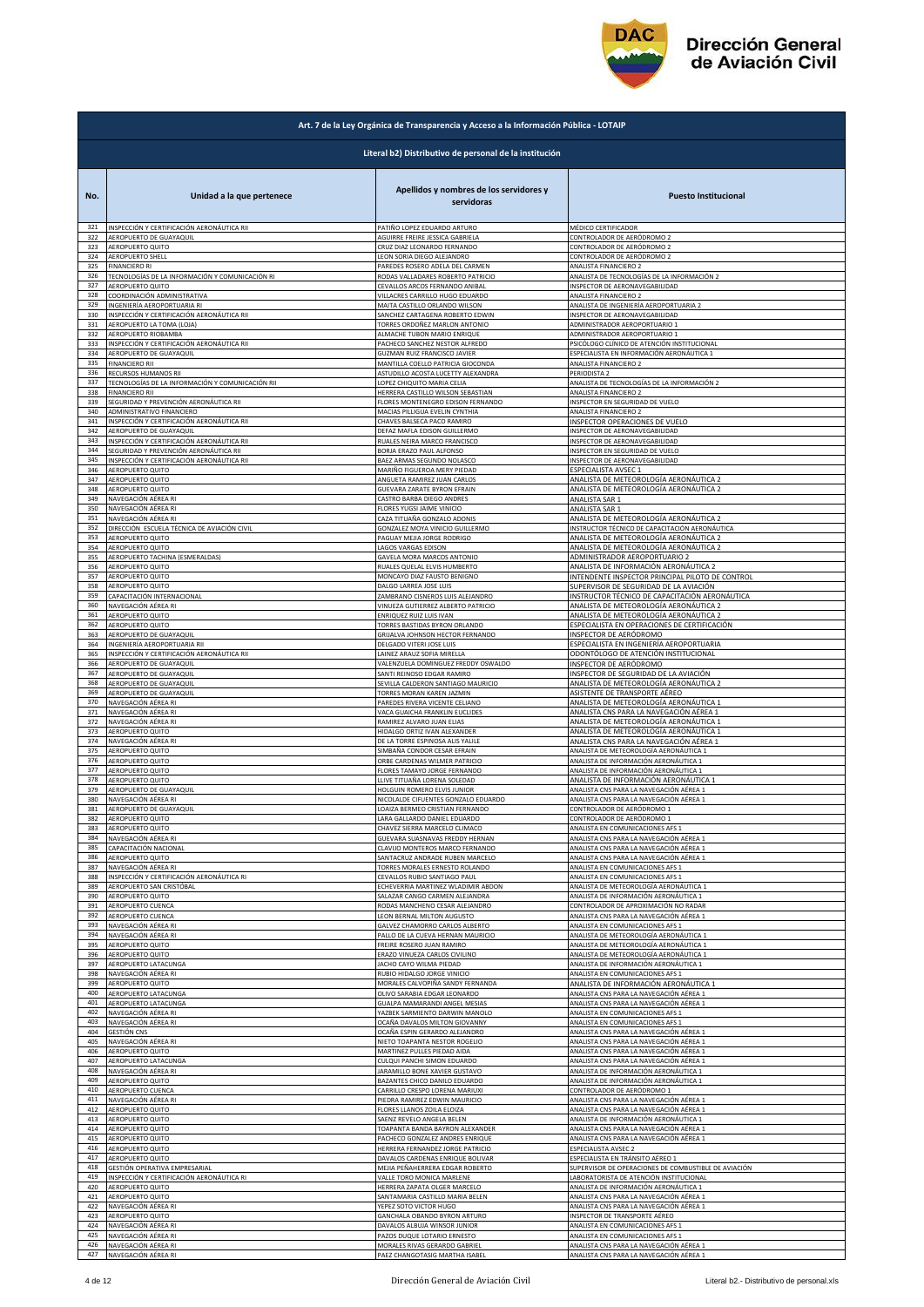

|            | Art. 7 de la Ley Orgánica de Transparencia y Acceso a la Información Pública - LOTAIP |                                                         |                                                      |  |
|------------|---------------------------------------------------------------------------------------|---------------------------------------------------------|------------------------------------------------------|--|
|            | Literal b2) Distributivo de personal de la institución                                |                                                         |                                                      |  |
| No.        | Unidad a la que pertenece                                                             | Apellidos y nombres de los servidores y<br>servidoras   | <b>Puesto Institucional</b>                          |  |
| 321        | INSPECCIÓN Y CERTIFICACIÓN AERONÁUTICA RII                                            | PATIÑO LOPEZ EDUARDO ARTURO                             | MÉDICO CERTIFICADOR                                  |  |
| 322        | AEROPUERTO DE GUAYAQUIL                                                               | AGUIRRE FREIRE JESSICA GABRIELA                         | CONTROLADOR DE AERÓDROMO 2                           |  |
| 323        | AEROPUERTO QUITO                                                                      | CRUZ DIAZ LEONARDO FERNANDO                             | CONTROLADOR DE AERÓDROMO 2                           |  |
| 324        | AEROPUERTO SHELL                                                                      | LEON SORIA DIEGO ALEJANDRO                              | CONTROLADOR DE AERÓDROMO 2                           |  |
| 325        | <b>FINANCIERO RI</b>                                                                  | PAREDES ROSERO ADELA DEL CARMEN                         | ANALISTA FINANCIERO 2                                |  |
| 326        | TECNOLOGÍAS DE LA INFORMACIÓN Y COMUNICACIÓN RI                                       | RODAS VALLADARES ROBERTO PATRICIO                       | ANALISTA DE TECNOLOGÍAS DE LA INFORMACIÓN 2          |  |
| 327        | AEROPUERTO QUITO                                                                      | CEVALLOS ARCOS FERNANDO ANIBAL                          | INSPECTOR DE AERONAVEGABILIDAD                       |  |
| 328        | COORDINACIÓN ADMINISTRATIVA                                                           | VILLACRES CARRILLO HUGO EDUARDO                         | ANALISTA FINANCIERO 2                                |  |
| 329        | INGENIERÍA AEROPORTUARIA RI                                                           | MAITA CASTILLO ORLANDO WILSON                           | ANALISTA DE INGENIERÍA AEROPORTUARIA 2               |  |
| 330        | INSPECCIÓN Y CERTIFICACIÓN AERONÁUTICA RII                                            | SANCHEZ CARTAGENA ROBERTO EDWIN                         | INSPECTOR DE AERONAVEGABILIDAD                       |  |
| 331        | AEROPUERTO LA TOMA (LOJA)                                                             | TORRES ORDOÑEZ MARLON ANTONIO                           | ADMINISTRADOR AEROPORTUARIO 1                        |  |
| 332        | AEROPUERTO RIOBAMBA                                                                   | ALMACHE TUBON MARIO ENRIQUE                             | ADMINISTRADOR AEROPORTUARIO 1                        |  |
| 333        | INSPECCIÓN Y CERTIFICACIÓN AERONÁUTICA RII                                            | PACHECO SANCHEZ NESTOR ALFREDO                          | PSICÓLOGO CLÍNICO DE ATENCIÓN INSTITUCIONAL          |  |
| 334        | AEROPUERTO DE GUAYAQUIL                                                               | GUZMAN RUIZ FRANCISCO JAVIER                            | ESPECIALISTA EN INFORMACIÓN AERONÁUTICA 1            |  |
| 335        | FINANCIERO RII                                                                        | MANTILLA COELLO PATRICIA GIOCONDA                       | ANALISTA FINANCIERO 2                                |  |
| 336        | RECURSOS HUMANOS RII                                                                  | ASTUDILLO ACOSTA LUCETTY ALEXANDRA                      | PERIODISTA 2                                         |  |
| 337        | TECNOLOGÍAS DE LA INFORMACIÓN Y COMUNICACIÓN RII                                      | LOPEZ CHIQUITO MARIA CELIA                              | ANALISTA DE TECNOLOGÍAS DE LA INFORMACIÓN 2          |  |
| 338        | <b>FINANCIERO RII</b>                                                                 | HERRERA CASTILLO WILSON SEBASTIAN                       | ANALISTA FINANCIERO 2                                |  |
| 339        | SEGURIDAD Y PREVENCIÓN AERONÁUTICA RII                                                | FLORES MONTENEGRO EDISON FERNANDO                       | INSPECTOR EN SEGURIDAD DE VUELO                      |  |
| 340        | ADMINISTRATIVO FINANCIERO                                                             | MACIAS PILLIGUA EVELIN CYNTHIA                          | ANALISTA FINANCIERO 2                                |  |
| 341        | INSPECCIÓN Y CERTIFICACIÓN AERONÁUTICA RII                                            | CHAVES BALSECA PACO RAMIRO                              | INSPECTOR OPERACIONES DE VUELO                       |  |
| 342        | AEROPUERTO DE GUAYAQUIL                                                               | DEFAZ MAFLA EDISON GUILLERMO                            | INSPECTOR DE AERONAVEGABILIDAD                       |  |
| 343        | INSPECCIÓN Y CERTIFICACIÓN AERONÁUTICA RII                                            | RUALES NEIRA MARCO FRANCISCO                            | INSPECTOR DE AERONAVEGABILIDAD                       |  |
| 344        | SEGURIDAD Y PREVENCIÓN AERONÁUTICA RII                                                | BORJA ERAZO PAUL ALFONSO                                | INSPECTOR EN SEGURIDAD DE VUELO                      |  |
| 345        | INSPECCIÓN Y CERTIFICACIÓN AERONÁUTICA RII                                            | BAEZ ARMAS SEGUNDO NOLASCO                              | INSPECTOR DE AERONAVEGABILIDAD                       |  |
| 346        | AEROPUERTO QUITO                                                                      | MARIÑO FIGUEROA MERY PIEDAD                             | ESPECIALISTA AVSEC 1                                 |  |
| 347        | AEROPUERTO QUITO                                                                      | ANGUETA RAMIREZ JUAN CARLOS                             | ANALISTA DE METEOROLOGÍA AERONÁUTICA 2               |  |
| 348<br>349 | AEROPUERTO QUITO<br>NAVEGACIÓN AÉREA RI                                               | GUEVARA ZARATE BYRON EFRAIN                             | ANALISTA DE METEOROLOGÍA AERONÁUTICA 2               |  |
| 350        | NAVEGACIÓN AÉREA RI                                                                   | CASTRO BARBA DIEGO ANDRES<br>FLORES YUGSI JAIME VINICIO | ANALISTA SAR 1<br>ANALISTA SAR 1                     |  |
| 351        | NAVEGACIÓN AÉREA RI                                                                   | CAZA TITUAÑA GONZALO ADONIS                             | ANALISTA DE METEOROLOGÍA AERONÁUTICA 2               |  |
| 352        | DIRECCIÓN ESCUELA TÉCNICA DE AVIACIÓN CIVIL                                           | GONZALEZ MOYA VINICIO GUILLERMO                         | INSTRUCTOR TÉCNICO DE CAPACITACIÓN AERONÁUTICA       |  |
| 353        | AEROPUERTO QUITO                                                                      | PAGUAY MEJIA JORGE RODRIGO                              | ANALISTA DE METEOROLOGÍA AERONÁUTICA 2               |  |
| 354        | AEROPUERTO QUITO                                                                      | LAGOS VARGAS EDISON                                     | ANALISTA DE METEOROLOGÍA AERONÁUTICA 2               |  |
| 355        | AEROPUERTO TACHINA (ESMERALDAS)                                                       | GAVELA MORA MARCOS ANTONIO                              | ADMINISTRADOR AEROPORTUARIO 2                        |  |
| 356        | AEROPUERTO QUITO                                                                      | RUALES QUELAL ELVIS HUMBERTO                            | ANALISTA DE INFORMACIÓN AERONÁUTICA 2                |  |
| 357        | AEROPUERTO QUITO                                                                      | MONCAYO DIAZ FAUSTO BENIGNO                             | INTENDENTE INSPECTOR PRINCIPAL PILOTO DE CONTROL     |  |
| 358        | AEROPUERTO QUITO                                                                      | DALGO LARREA JOSE LUIS                                  | SUPERVISOR DE SEGURIDAD DE LA AVIACIÓN               |  |
| 359        | CAPACITACIÓN INTERNACIONAL                                                            | ZAMBRANO CISNEROS LUIS ALEJANDRO                        | INSTRUCTOR TÉCNICO DE CAPACITACIÓN AERONÁUTICA       |  |
| 360        | NAVEGACIÓN AÉREA RI                                                                   | VINUEZA GUTIERREZ ALBERTO PATRICIO                      | ANALISTA DE METEOROLOGÍA AERONÁUTICA 2               |  |
| 361        | AEROPUERTO QUITO                                                                      | ENRIQUEZ RUIZ LUIS IVAN                                 | ANALISTA DE METEOROLOGÍA AERONÁUTICA 2               |  |
| 362        | AEROPUERTO QUITO                                                                      | TORRES BASTIDAS BYRON ORLANDO                           | ESPECIALISTA EN OPERACIONES DE CERTIFICACIÓN         |  |
| 363        | AEROPUERTO DE GUAYAQUIL                                                               | GRIJALVA JOHNSON HECTOR FERNANDO                        | INSPECTOR DE AERÓDROMO                               |  |
| 364        | INGENIERÍA AEROPORTUARIA RII                                                          | DELGADO VITERI JOSE LUIS                                | ESPECIALISTA EN INGENIERÍA AEROPORTUARIA             |  |
| 365        | INSPECCIÓN Y CERTIFICACIÓN AERONÁUTICA RII                                            | LAINEZ ARAUZ SOFIA MIRELLA                              | ODONTÓLOGO DE ATENCIÓN INSTITUCIONAL                 |  |
| 366        | AEROPUERTO DE GUAYAQUIL                                                               | VALENZUELA DOMINGUEZ FREDDY OSWALDO                     | INSPECTOR DE AERÓDROMO                               |  |
| 367        | AEROPUERTO DE GUAYAQUIL                                                               | SANTI REINOSO EDGAR RAMIRO                              | INSPECTOR DE SEGURIDAD DE LA AVIACIÓN                |  |
| 368        | AEROPUERTO DE GUAYAQUIL                                                               | SEVILLA CALDERON SANTIAGO MAURICIO                      | ANALISTA DE METEOROLOGÍA AERONÁUTICA 2               |  |
| 369        | AEROPUERTO DE GUAYAQUIL                                                               | TORRES MORAN KAREN JAZMIN                               | ASISTENTE DE TRANSPORTE AÉREO                        |  |
| 370        | NAVEGACIÓN AÉREA RI                                                                   | PAREDES RIVERA VICENTE CELIANO                          | ANALISTA DE METEOROLOGÍA AERONÁUTICA 1               |  |
| 371        | NAVEGACIÓN AÉREA RI                                                                   | VACA GUAICHA FRANKLIN EUCLIDES                          | ANALISTA CNS PARA LA NAVEGACIÓN AÉREA 1              |  |
| 372        | NAVEGACIÓN AÉREA RI                                                                   | RAMIREZ ALVARO JUAN ELIAS                               | ANALISTA DE METEOROLOGÍA AERONÁUTICA 1               |  |
| 373        | AEROPUERTO QUITO                                                                      | HIDALGO ORTIZ IVAN ALEXANDER                            | ANALISTA DE METEOROLOGÍA AERONÁUTICA 1               |  |
| 374        | NAVEGACIÓN AÉREA RI                                                                   | DE LA TORRE ESPINOSA ALIS YALILE                        | ANALISTA CNS PARA LA NAVEGACIÓN AÉREA 1              |  |
| 375        | AEROPUERTO QUITO                                                                      | SIMBAÑA CONDOR CESAR EFRAIN                             | ANALISTA DE METEOROLOGÍA AERONÁUTICA 1               |  |
| 376        | AEROPUERTO QUITO                                                                      | ORBE CARDENAS WILMER PATRICIO                           | ANALISTA DE INFORMACIÓN AERONÁUTICA 1                |  |
| 377        | AEROPUERTO QUITO                                                                      | FLORES TAMAYO JORGE FERNANDO                            | ANALISTA DE INFORMACIÓN AERONÁUTICA 1                |  |
| 378        | AEROPUERTO QUITO                                                                      | LLIVE TITUAÑA LORENA SOLEDAD                            | ANALISTA DE INFORMACIÓN AERONÁUTICA 1                |  |
| 379        | AEROPUERTO DE GUAYAQUIL                                                               | HOLGUIN ROMERO ELVIS JUNIOR                             | ANALISTA CNS PARA LA NAVEGACIÓN AÉREA 1              |  |
| 380        | NAVEGACIÓN AÉREA RI                                                                   | NICOLALDE CIFUENTES GONZALO EDUARDO                     | ANALISTA CNS PARA LA NAVEGACIÓN AÉREA 1              |  |
|            | <b>EROBLIERTO DE GUAVAOUL</b>                                                         | OAIZA REPMEO CRISTIAN EERNAND                           | <b>ONTROLADOR DE AERÓDROMO</b>                       |  |
| 382        | AEROPUERTO QUITO                                                                      | LARA GALLARDO DANIEL EDUARDO                            | CONTROLADOR DE AERÓDROMO 1                           |  |
| 383        | AEROPUERTO QUITO                                                                      | CHAVEZ SIERRA MARCELO CLIMACO                           | ANALISTA EN COMUNICACIONES AFS                       |  |
| 384        | NAVEGACIÓN AÉREA RI                                                                   | GUEVARA SUASNAVAS FREDDY HERNAN                         | ANALISTA CNS PARA LA NAVEGACIÓN AÉREA 1              |  |
| 385        | CAPACITACIÓN NACIONAL                                                                 | CLAVIJO MONTEROS MARCO FERNANDO                         | ANALISTA CNS PARA LA NAVEGACIÓN AÉREA 1              |  |
| 386        | AEROPUERTO QUITO                                                                      | SANTACRUZ ANDRADE RUBEN MARCELO                         | ANALISTA CNS PARA LA NAVEGACIÓN AÉREA 1              |  |
| 387        | NAVEGACIÓN AÉREA RI                                                                   | <b>TORRES MORALES ERNESTO ROLANDO</b>                   | ANALISTA EN COMUNICACIONES AFS 1                     |  |
| 388        | INSPECCIÓN Y CERTIFICACIÓN AERONÁUTICA RI                                             | CEVALLOS RUBIO SANTIAGO PAUL                            | ANALISTA EN COMUNICACIONES AFS 1                     |  |
| 389        | AEROPUERTO SAN CRISTÓBAL                                                              | ECHEVERRIA MARTINEZ WLADIMIR ABDON                      | ANALISTA DE METEOROLOGÍA AERONÁUTICA 1               |  |
| 390        | AEROPUERTO QUITO                                                                      | SALAZAR CANGO CARMEN ALEJANDRA                          | ANALISTA DE INFORMACIÓN AERONÁUTICA 1                |  |
| 391        | AEROPUERTO CUENCA                                                                     | RODAS MANCHENO CESAR ALEJANDRO                          | CONTROLADOR DE APROXIMACIÓN NO RADAR                 |  |
| 392        | AEROPUERTO CUENCA                                                                     | <b>LEON BERNAL MILTON AUGUSTO</b>                       | ANALISTA CNS PARA LA NAVEGACIÓN AÉREA 1              |  |
| 393        | NAVEGACIÓN AÉREA RI                                                                   | GALVEZ CHAMORRO CARLOS ALBERTO                          | ANALISTA EN COMUNICACIONES AFS 1                     |  |
| 394        | NAVEGACIÓN AÉREA RI                                                                   | PALLO DE LA CUEVA HERNAN MAURICIO                       | ANALISTA DE METEOROLOGÍA AERONÁUTICA 1               |  |
| 395        | AEROPUERTO QUITO                                                                      | FREIRE ROSERO JUAN RAMIRO                               | ANALISTA DE METEOROLOGÍA AERONÁUTICA 1               |  |
| 396        | AEROPUERTO QUITO                                                                      | ERAZO VINUEZA CARLOS CIVILINO                           | ANALISTA DE METEOROLOGÍA AERONÁUTICA 1               |  |
| 397        | <b>AEROPUERTO LATACUNGA</b>                                                           | ACHO CAYO WILMA PIEDAD                                  | ANALISTA DE INFORMACIÓN AERONÁUTICA 1                |  |
| 398        | NAVEGACIÓN AÉREA RI                                                                   | RUBIO HIDALGO JORGE VINICIO                             | ANALISTA EN COMUNICACIONES AFS 1                     |  |
| 399<br>400 | AEROPUERTO QUITO                                                                      | MORALES CALVOPIÑA SANDY FERNANDA                        | ANALISTA DE INFORMACIÓN AERONÁUTICA 1                |  |
| 401        | AEROPUERTO LATACUNGA                                                                  | OLIVO SARABIA EDGAR LEONARDO                            | ANALISTA CNS PARA LA NAVEGACIÓN AÉREA 1              |  |
|            | AEROPUERTO LATACUNGA                                                                  | GUALPA MAMARANDI ANGEL MESIAS                           | ANALISTA CNS PARA LA NAVEGACIÓN AÉREA 1              |  |
| 402        | NAVEGACIÓN AÉREA RI                                                                   | YAZBEK SARMIENTO DARWIN MANOLO                          | ANALISTA EN COMUNICACIONES AFS 1                     |  |
| 403        | NAVEGACIÓN AÉREA RI                                                                   | OCAÑA DAVALOS MILTON GIOVANNY                           | ANALISTA EN COMUNICACIONES AFS 1                     |  |
| 404        | <b>GESTIÓN CNS</b>                                                                    | OCAÑA ESPIN GERARDO ALEJANDRO                           | ANALISTA CNS PARA LA NAVEGACIÓN AÉREA 1              |  |
| 405        | NAVEGACIÓN AÉREA RI                                                                   | NIETO TOAPANTA NESTOR ROGELIO                           | ANALISTA CNS PARA LA NAVEGACIÓN AÉREA 1              |  |
| 406        | AEROPUERTO QUITO                                                                      | MARTINEZ PULLES PIEDAD AIDA                             | ANALISTA CNS PARA LA NAVEGACIÓN AÉREA 1              |  |
| 407        | AEROPUERTO LATACUNGA                                                                  | CULQUI PANCHI SIMON EDUARDO                             | ANALISTA CNS PARA LA NAVEGACIÓN AÉREA 1              |  |
| 408        | NAVEGACIÓN AÉREA RI                                                                   | JARAMILLO BONE XAVIER GUSTAVO                           | ANALISTA DE INFORMACIÓN AERONÁUTICA 1                |  |
| 409        | AEROPUERTO QUITO                                                                      | BAZANTES CHICO DANILO EDUARDO                           | ANALISTA DE INFORMACIÓN AERONÁUTICA 1                |  |
| 410        | AEROPUERTO CUENCA                                                                     | CARRILLO CRESPO LORENA MARIUXI                          | CONTROLADOR DE AERÓDROMO 1                           |  |
| 411        | NAVEGACIÓN AÉREA RI                                                                   | PIEDRA RAMIREZ EDWIN MAURICIO                           | ANALISTA CNS PARA LA NAVEGACIÓN AÉREA 1              |  |
| 412        | AEROPUERTO QUITO                                                                      | FLORES LLANOS ZOILA ELOIZA                              | ANALISTA CNS PARA LA NAVEGACIÓN AÉREA 1              |  |
| 413        | AEROPUERTO QUITO                                                                      | SAENZ REVELO ANGELA BELEN                               | ANALISTA DE INFORMACIÓN AERONÁUTICA 1                |  |
| 414        | AEROPUERTO QUITO                                                                      | TOAPANTA BANDA BAYRON ALEXANDER                         | ANALISTA CNS PARA LA NAVEGACIÓN AÉREA 1              |  |
| 415        | AEROPUERTO QUITO                                                                      | PACHECO GONZALEZ ANDRES ENRIQUE                         | ANALISTA CNS PARA LA NAVEGACIÓN AÉREA 1              |  |
| 416        | AEROPUERTO QUITO                                                                      | HERRERA FERNANDEZ JORGE PATRICIO                        | ESPECIALISTA AVSEC 2                                 |  |
| 417        | AEROPUERTO QUITO                                                                      | DAVALOS CARDENAS ENRIQUE BOLIVAR                        | SPECIALISTA EN TRÁNSITO AÉREO 1                      |  |
| 418        | GESTIÓN OPERATIVA EMPRESARIAL                                                         | MEJIA PEÑAHERRERA EDGAR ROBERTO                         | SUPERVISOR DE OPERACIONES DE COMBUSTIBLE DE AVIACIÓN |  |
| 419        | INSPECCIÓN Y CERTIFICACIÓN AERONÁUTICA RI                                             | VALLE TORO MONICA MARLENE                               | LABORATORISTA DE ATENCIÓN INSTITUCIONAL              |  |
| 420        | AEROPUERTO QUITO                                                                      | HERRERA ZAPATA OLGER MARCELO                            | ANALISTA DE INFORMACIÓN AERONÁUTICA 1                |  |
| 421        | AEROPUERTO QUITO                                                                      | SANTAMARIA CASTILLO MARIA BELEN                         | ANALISTA CNS PARA LA NAVEGACIÓN AÉREA 1              |  |
| 422        | NAVEGACIÓN AÉREA RI                                                                   | <b>FEPEZ SOTO VICTOR HUGO</b>                           | ANALISTA CNS PARA LA NAVEGACIÓN AÉREA 1              |  |
| 423        | AEROPUERTO QUITO                                                                      | GANCHALA OBANDO BYRON ARTURO                            | INSPECTOR DE TRANSPORTE AÉREO                        |  |
| 424        | NAVEGACIÓN AÉREA RI                                                                   | DAVALOS ALBUJA WINSOR JUNIOR                            | ANALISTA EN COMUNICACIONES AFS 1                     |  |
| 425        | NAVEGACIÓN AÉREA RI                                                                   | PAZOS DUQUE LOTARIO ERNESTO                             | ANALISTA EN COMUNICACIONES AFS 1                     |  |
| 426        | NAVEGACIÓN AÉREA RI                                                                   | MORALES RIVAS GERARDO GABRIEI                           | ANALISTA CNS PARA LA NAVEGACIÓN AÉREA 1              |  |
| 427        | NAVEGACIÓN AÉREA RI                                                                   | PAEZ CHANGOTASIG MARTHA ISABEL                          | ANALISTA CNS PARA LA NAVEGACIÓN AÉREA 1              |  |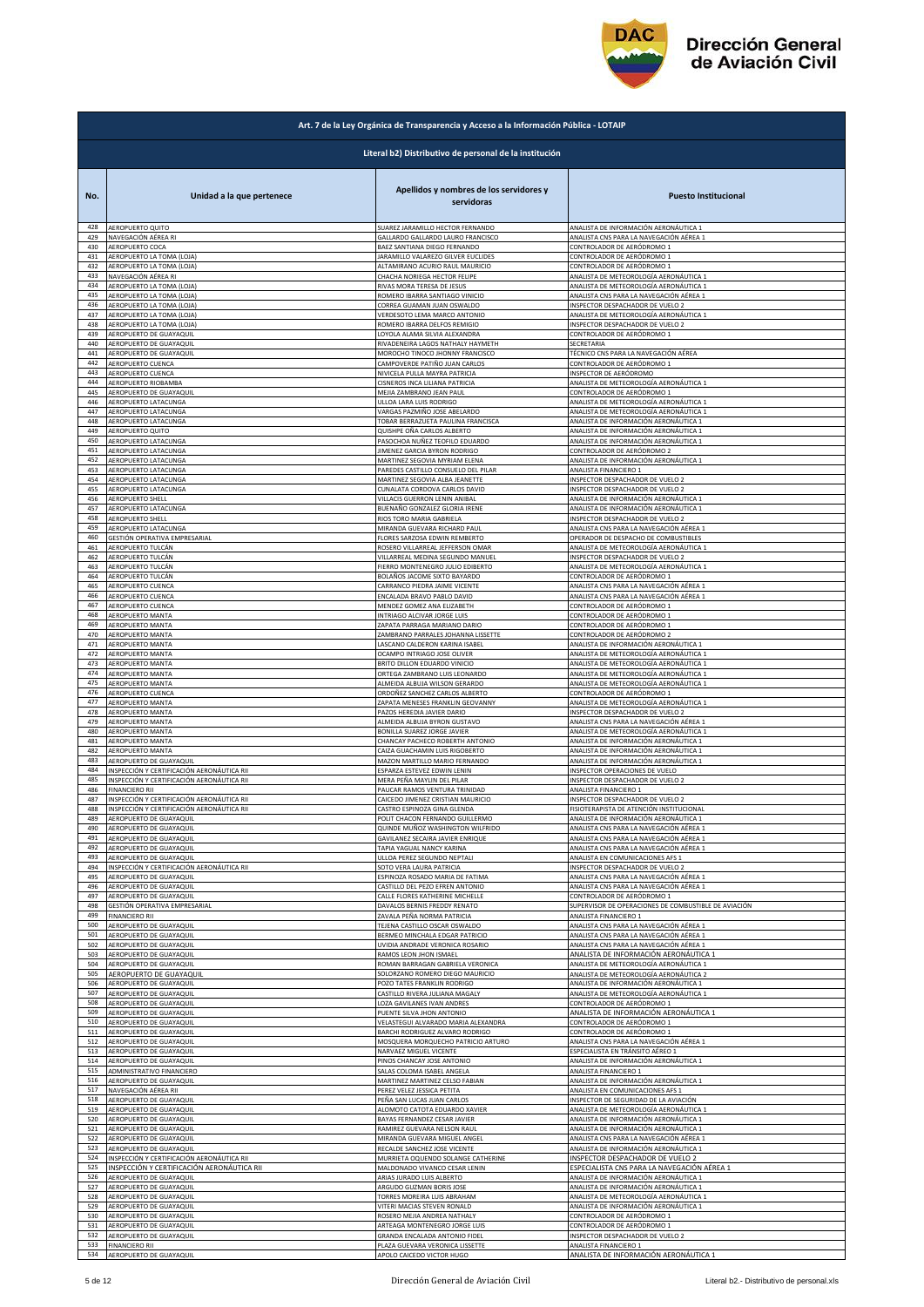

| Literal b2) Distributivo de personal de la institución<br>Apellidos y nombres de los servidores y<br>No.<br>Unidad a la que pertenece<br><b>Puesto Institucional</b><br>servidoras<br>428<br>JUAREZ JARAMILLO HECTOR FERNANDO<br>ANALISTA DE INFORMACIÓN AERONÁUTICA 1<br>AEROPUERTO QUITO<br>NAVEGACIÓN AÉREA RI<br>429<br>GALLARDO GALLARDO LAURO FRANCISCO<br>ANALISTA CNS PARA LA NAVEGACIÓN AÉREA 1<br>430<br>CONTROLADOR DE AERÓDROMO 1<br>AEROPUERTO COCA<br>BAEZ SANTIANA DIEGO FERNANDO<br>431<br>AEROPUERTO LA TOMA (LOJA)<br>JARAMILLO VALAREZO GILVER EUCLIDES<br>CONTROLADOR DE AERÓDROMO 1<br>AEROPUERTO LA TOMA (LOJA)<br>ALTAMIRANO ACURIO RAUL MAURICIO<br>CONTROLADOR DE AERÓDROMO 1<br>432<br>433<br>NAVEGACIÓN AÉREA RI<br>CHACHA NORIEGA HECTOR FELIPE<br>ANALISTA DE METEOROLOGÍA AERONÁUTICA 1<br>434<br>AEROPUERTO LA TOMA (LOJA)<br>RIVAS MORA TERESA DE JESUS<br>ANALISTA DE METEOROLOGÍA AERONÁUTICA 1<br>435<br>AEROPUERTO LA TOMA (LOJA)<br>ROMERO IBARRA SANTIAGO VINICIO<br>ANALISTA CNS PARA LA NAVEGACIÓN AÉREA 1<br>436<br>AEROPUERTO LA TOMA (LOJA)<br>CORREA GUAMAN JUAN OSWALDO<br>INSPECTOR DESPACHADOR DE VUELO 2<br>437<br>AEROPUERTO LA TOMA (LOJA)<br>VERDESOTO LEMA MARCO ANTONIO<br>ANALISTA DE METEOROLOGÍA AERONÁUTICA 1<br>438<br>AEROPUERTO LA TOMA (LOJA)<br>ROMERO IBARRA DELFOS REMIGIO<br>INSPECTOR DESPACHADOR DE VUELO 2<br>CONTROLADOR DE AERÓDROMO 1<br>439<br>AEROPUERTO DE GUAYAQUIL<br>LOYOLA ALAMA SILVIA ALEXANDRA<br>440<br>AEROPUERTO DE GUAYAQUIL<br>RIVADENEIRA LAGOS NATHALY HAYMETH<br>SECRETARIA<br>441<br>AEROPUERTO DE GUAYAQUIL<br>MOROCHO TINOCO JHONNY FRANCISCO<br>TÉCNICO CNS PARA LA NAVEGACIÓN AÉREA<br>442<br>AEROPUERTO CUENCA<br>CAMPOVERDE PATIÑO JUAN CARLOS<br>CONTROLADOR DE AERÓDROMO 1<br>443<br>AEROPUERTO CUENCA<br>NIVICELA PULLA MAYRA PATRICIA<br>INSPECTOR DE AERÓDROMO<br>444<br>AEROPUERTO RIOBAMBA<br>CISNEROS INCA LILIANA PATRICIA<br>ANALISTA DE METEOROLOGÍA AERONÁUTICA 1<br>445<br>AEROPUERTO DE GUAYAQUIL<br>MEJIA ZAMBRANO JEAN PAUL<br>CONTROLADOR DE AERÓDROMO 1<br>446<br>AEROPUERTO LATACUNGA<br>ULLOA LARA LUIS RODRIGO<br>ANALISTA DE METEOROLOGÍA AERONÁUTICA 1<br>447<br>AEROPUERTO LATACUNGA<br>VARGAS PAZMIÑO JOSE ABELARDO<br>ANALISTA DE METEOROLOGÍA AERONÁUTICA 1<br>448<br>AEROPUERTO LATACUNGA<br>TOBAR BERRAZUETA PAULINA FRANCISCA<br>ANALISTA DE INFORMACIÓN AERONÁUTICA 1<br>449<br>AEROPUERTO QUITO<br>QUISHPE OÑA CARLOS ALBERTO<br>ANALISTA DE INFORMACIÓN AERONÁUTICA 1<br>450<br>AEROPUERTO LATACUNGA<br>PASOCHOA NUÑEZ TEOFILO EDUARDO<br>ANALISTA DE INFORMACIÓN AERONÁUTICA 1<br>451<br>AEROPUERTO LATACUNGA<br>JIMENEZ GARCIA BYRON RODRIGO<br>CONTROLADOR DE AERÓDROMO 2<br>452<br>AEROPUERTO LATACUNGA<br>MARTINEZ SEGOVIA MYRIAM ELENA<br>ANALISTA DE INFORMACIÓN AERONÁUTICA 1<br>453<br>AEROPUERTO LATACUNGA<br>PAREDES CASTILLO CONSUELO DEL PILAR<br>ANALISTA FINANCIERO 1<br>454<br>AEROPUERTO LATACUNGA<br>MARTINEZ SEGOVIA ALBA JEANETTE<br>INSPECTOR DESPACHADOR DE VUELO 2<br>455<br>AEROPUERTO LATACUNGA<br>CUNALATA CORDOVA CARLOS DAVID<br>INSPECTOR DESPACHADOR DE VUELO 2<br>456<br>VILLACIS GUERRON LENIN ANIBAL<br>ANALISTA DE INFORMACIÓN AERONÁUTICA 1<br>AEROPUERTO SHELL<br>AEROPUERTO LATACUNGA<br>BUENAÑO GONZALEZ GLORIA IRENE<br>ANALISTA DE INFORMACIÓN AERONÁUTICA 1<br>457<br>458<br>AEROPUERTO SHELL<br>RIOS TORO MARIA GABRIELA<br>INSPECTOR DESPACHADOR DE VUELO 2<br>459<br>ANALISTA CNS PARA LA NAVEGACIÓN AÉREA 1<br>AEROPUERTO LATACUNGA<br>MIRANDA GUEVARA RICHARD PAUL<br>460<br>GESTIÓN OPERATIVA EMPRESARIAL<br>FLORES SARZOSA EDWIN REMBERTO<br>OPERADOR DE DESPACHO DE COMBUSTIBLES<br>461<br>AEROPUERTO TULCÁN<br>ROSERO VILLARREAL JEFFERSON OMAR<br>ANALISTA DE METEOROLOGÍA AERONÁUTICA 1<br>462<br>AEROPUERTO TULCÁN<br>VILLARREAL MEDINA SEGUNDO MANUEL<br>INSPECTOR DESPACHADOR DE VUELO 2<br>463<br>AEROPUERTO TULCÁN<br>FIERRO MONTENEGRO JULIO EDIBERTO<br>ANALISTA DE METEOROLOGÍA AERONÁUTICA 1<br>464<br>AEROPUERTO TULCÁN<br>BOLAÑOS JACOME SIXTO BAYARDO<br>CONTROLADOR DE AERÓDROMO 1<br>465<br>ANALISTA CNS PARA LA NAVEGACIÓN AÉREA 1<br>AEROPUERTO CUENCA<br>CARRANCO PIEDRA JAIME VICENTE<br>466<br>AEROPUERTO CUENCA<br>ENCALADA BRAVO PABLO DAVID<br>ANALISTA CNS PARA LA NAVEGACIÓN AÉREA 1<br>467<br>AEROPUERTO CUENCA<br>MENDEZ GOMEZ ANA ELIZABETH<br>CONTROLADOR DE AERÓDROMO 1<br>468<br>AEROPUERTO MANTA<br>INTRIAGO ALCIVAR JORGE LUIS<br>CONTROLADOR DE AERÓDROMO 1<br>AEROPUERTO MANTA<br>ZAPATA PARRAGA MARIANO DARIO<br>CONTROLADOR DE AERÓDROMO 1<br>469<br>470<br>AEROPUERTO MANTA<br>ZAMBRANO PARRALES JOHANNA LISSETTE<br>ONTROLADOR DE AERÓDROMO 2<br>471<br>AEROPUERTO MANTA<br>LASCANO CALDERON KARINA ISABEL<br>ANALISTA DE INFORMACIÓN AERONÁUTICA 1<br>472<br>AEROPUERTO MANTA<br>OCAMPO INTRIAGO JOSE OLIVER<br>ANALISTA DE METEOROLOGÍA AERONÁUTICA 1<br>473<br>AEROPUERTO MANTA<br>BRITO DILLON EDUARDO VINICIO<br>ANALISTA DE METEOROLOGÍA AERONÁUTICA 1<br>474<br>AEROPUERTO MANTA<br>ORTEGA ZAMBRANO LUIS LEONARDO<br>ANALISTA DE METEOROLOGÍA AERONÁUTICA 1<br>475<br>AEROPUERTO MANTA<br>ALMEIDA ALBUJA WILSON GERARDO<br>ANALISTA DE METEOROLOGÍA AERONÁUTICA 1<br>476<br>AEROPUERTO CUENCA<br>ORDOÑEZ SANCHEZ CARLOS ALBERTO<br>CONTROLADOR DE AERÓDROMO 1<br>477<br>AEROPUERTO MANTA<br>ZAPATA MENESES FRANKLIN GEOVANNY<br>ANALISTA DE METEOROLOGÍA AERONÁUTICA 1<br>478<br>PAZOS HEREDIA JAVIER DARIO<br>INSPECTOR DESPACHADOR DE VUELO 2<br>AEROPUERTO MANTA<br>479<br>ALMEIDA ALBUJA BYRON GUSTAVO<br>ANALISTA CNS PARA LA NAVEGACIÓN AÉREA 1<br><b>AEROPUERTO MANTA</b><br>480<br>AEROPUERTO MANTA<br>BONILLA SUAREZ JORGE JAVIER<br>ANALISTA DE METEOROLOGÍA AERONÁUTICA 1<br>481<br>AEROPUERTO MANTA<br>CHANCAY PACHECO ROBERTH ANTONIO<br>ANALISTA DE INFORMACIÓN AERONÁUTICA 1<br>482<br>AEROPUERTO MANTA<br>CAIZA GUACHAMIN LUIS RIGOBERTO<br><b>NNALISTA DE INFORMACIÓN AERONÁUTICA 1</b><br>483<br>AEROPUERTO DE GUAYAQUIL<br>MAZON MARTILLO MARIO FERNANDO<br>ANALISTA DE INFORMACIÓN AERONÁUTICA 1<br>484<br>INSPECCIÓN Y CERTIFICACIÓN AERONÁUTICA RII<br>ESPARZA ESTEVEZ EDWIN LENIN<br>INSPECTOR OPERACIONES DE VUELO<br>485<br>INSPECCIÓN Y CERTIFICACIÓN AERONÁUTICA RII<br>INSPECTOR DESPACHADOR DE VUELO 2<br>MERA PEÑA MAYLIN DEL PILAR<br>486<br>FINANCIERO RII<br>PAUCAR RAMOS VENTURA TRINIDAD<br>ANALISTA FINANCIERO 1<br>INSPECCIÓN Y CERTIFICACIÓN AERONÁUTICA RII<br>487<br>CAICEDO JIMENEZ CRISTIAN MAURICIO<br>INSPECTOR DESPACHADOR DE VUELO 2<br>488<br>INSPECCIÓN Y CERTIFICACIÓN AFRONÁLITICA RIL<br>CASTRO ESPINOZA GINA GLENDA<br>FISIOTER APISTA DE ATENCIÓN INSTITUCIONAL<br>489<br>AEROPUERTO DE GUAYAQUIL<br>POLIT CHACON FERNANDO GUILLERMO<br>ANALISTA DE INFORMACIÓN AERONÁUTICA 1<br>490<br>AEROPUERTO DE GUAYAQUIL<br>QUINDE MUÑOZ WASHINGTON WILFRIDO<br>ANALISTA CNS PARA LA NAVEGACIÓN AÉREA 1<br>GAVILANEZ SECAIRA JAVIER ENRIQUE<br>491<br>AEROPUERTO DE GUAYAQUIL<br>ANALISTA CNS PARA LA NAVEGACIÓN AÉREA 1<br>492<br>ANALISTA CNS PARA LA NAVEGACIÓN AÉREA 1<br>AEROPUERTO DE GUAYAQUIL<br>TAPIA YAGUAL NANCY KARINA<br>493<br>AEROPUERTO DE GUAYAQUIL<br>ULLOA PEREZ SEGUNDO NEPTALI<br>ANALISTA EN COMUNICACIONES AFS 1<br>INSPECCIÓN Y CERTIFICACIÓN AERONÁUTICA RII<br>SOTO VERA LAURA PATRICIA<br>INSPECTOR DESPACHADOR DE VUELO 2<br>494<br>495<br>ESPINOZA ROSADO MARIA DE FATIMA<br>ANALISTA CNS PARA LA NAVEGACIÓN AÉREA 1<br>AEROPUERTO DE GUAYAQUIL<br>496<br>AEROPUERTO DE GUAYAQUIL<br>CASTILLO DEL PEZO EFREN ANTONIO<br>ANALISTA CNS PARA LA NAVEGACIÓN AÉREA 1<br>AEROPUERTO DE GUAYAQUIL<br>CALLE FLORES KATHERINE MICHELLE<br>CONTROLADOR DE AERÓDROMO 1<br>497<br>498<br>GESTIÓN OPERATIVA EMPRESARIAL<br>DAVALOS BERNIS FREDDY RENATO<br>SUPERVISOR DE OPERACIONES DE COMBUSTIBLE DE AVIACIÓN<br>499<br><b>FINANCIERO RII</b><br>ZAVALA PEÑA NORMA PATRICIA<br>ANALISTA FINANCIERO 1<br>500<br>AEROPUERTO DE GUAYAQUIL<br>TEJENA CASTILLO OSCAR OSWALDO<br>ANALISTA CNS PARA LA NAVEGACIÓN AÉREA 1<br>ANALISTA CNS PARA LA NAVEGACIÓN AÉREA 1<br>501<br>AEROPUERTO DE GUAYAQUIL<br>BERMEO MINCHALA EDGAR PATRICIO<br>502<br>AEROPUERTO DE GUAYAQUIL<br>UVIDIA ANDRADE VERONICA ROSARIO<br>ANALISTA CNS PARA LA NAVEGACIÓN AÉREA 1<br>ANALISTA DE INFORMACIÓN AERONÁUTICA 1<br>503<br>AEROPUERTO DE GUAYAQUIL<br>RAMOS LEON JHON ISMAEL<br>504<br>ROMAN BARRAGAN GABRIELA VERONICA<br>ANALISTA DE METEOROLOGÍA AERONÁUTICA 1<br>AEROPUERTO DE GUAYAQUIL<br>505<br>AEROPUERTO DE GUAYAQUIL<br>SOLORZANO ROMERO DIEGO MAURICIO<br>ANALISTA DE METEOROLOGÍA AERONÁUTICA 2<br>506<br>AEROPUERTO DE GUAYAQUIL<br>POZO TATES FRANKLIN RODRIGO<br>ANALISTA DE INFORMACIÓN AERONÁUTICA 1<br>507<br>ANALISTA DE METEOROLOGÍA AERONÁUTICA 1<br>AEROPUERTO DE GUAYAQUIL<br>CASTILLO RIVERA JULIANA MAGALY<br>508<br>AEROPUERTO DE GUAYAQUIL<br>LOZA GAVILANES IVAN ANDRES<br>CONTROLADOR DE AERÓDROMO 1<br>509<br>AEROPUERTO DE GUAYAQUIL<br>ANALISTA DE INFORMACIÓN AERONÁUTICA 1<br>PUENTE SILVA JHON ANTONIO<br>510<br>AEROPUERTO DE GUAYAQUIL<br>VELASTEGUI ALVARADO MARIA ALEXANDRA<br>CONTROLADOR DE AERÓDROMO 1<br>511<br>AEROPUERTO DE GUAYAQUIL<br>BARCHI RODRIGUEZ ALVARO RODRIGO<br>CONTROLADOR DE AERÓDROMO 1<br>512<br>AEROPUERTO DE GUAYAQUIL<br>MOSQUERA MORQUECHO PATRICIO ARTURO<br>ANALISTA CNS PARA LA NAVEGACIÓN AÉREA 1<br>513<br>AEROPUERTO DE GUAYAQUIL<br>NARVAEZ MIGUEL VICENTE<br>ESPECIALISTA EN TRÁNSITO AÉREO 1<br>514<br>AEROPUERTO DE GUAYAQUIL<br>PINOS CHANCAY JOSE ANTONIO<br>ANALISTA DE INFORMACIÓN AERONÁUTICA 1<br>515<br>ADMINISTRATIVO FINANCIERO<br>SALAS COLOMA ISABEL ANGELA<br>ANALISTA FINANCIERO 1<br>516<br>ANALISTA DE INFORMACIÓN AERONÁUTICA 1<br>AEROPUERTO DE GUAYAQUIL<br>MARTINEZ MARTINEZ CELSO FABIAN<br>517<br>NAVEGACIÓN AÉREA RII<br>PEREZ VELEZ JESSICA PETITA<br>ANALISTA EN COMUNICACIONES AFS 1<br>518<br>AEROPUERTO DE GUAYAQUIL<br>PEÑA SAN LUCAS JUAN CARLOS<br>INSPECTOR DE SEGURIDAD DE LA AVIACIÓN<br>519<br>AEROPUERTO DE GUAYAQUIL<br>ALOMOTO CATOTA EDUARDO XAVIER<br>ANALISTA DE METEOROLOGÍA AERONÁUTICA 1<br>520<br>AEROPUERTO DE GUAYAQUIL<br>BAYAS FERNANDEZ CESAR JAVIER<br>ANALISTA DE INFORMACIÓN AERONÁUTICA 1<br>521<br>AEROPUERTO DE GUAYAQUIL<br>RAMIREZ GUEVARA NELSON RAUL<br>ANALISTA DE INFORMACIÓN AERONÁUTICA 1<br>AEROPUERTO DE GUAYAQUIL<br>MIRANDA GUEVARA MIGUEL ANGEL<br>ANALISTA CNS PARA LA NAVEGACIÓN AÉREA 1<br>522<br>523<br>AEROPUERTO DE GUAYAQUIL<br>RECALDE SANCHEZ JOSE VICENTE<br>ANALISTA DE INFORMACIÓN AERONÁUTICA 1<br>524<br>INSPECCIÓN Y CERTIFICACIÓN AERONÁUTICA RII<br>MURRIETA OQUENDO SOLANGE CATHERINE<br>INSPECTOR DESPACHADOR DE VUELO 2<br>525<br>INSPECCIÓN Y CERTIFICACIÓN AERONÁUTICA RII<br>MALDONADO VIVANCO CESAR LENIN<br>ESPECIALISTA CNS PARA LA NAVEGACIÓN AÉREA 1<br>526<br>AEROPUERTO DE GUAYAQUIL<br>ARIAS JURADO LUIS ALBERTO<br>ANALISTA DE INFORMACIÓN AERONÁUTICA 1<br>527<br>AEROPUERTO DE GUAYAQUIL<br>ARGUDO GUZMAN BORIS JOSE<br>ANALISTA DE INFORMACIÓN AERONÁUTICA 1<br>ANALISTA DE METEOROLOGÍA AERONÁUTICA 1<br>528<br>AEROPUERTO DE GUAYAQUIL<br><b>TORRES MOREIRA LUIS ABRAHAM</b><br>529<br>VITERI MACIAS STEVEN RONALD<br>ANALISTA DE INFORMACIÓN AERONÁUTICA 1<br>AEROPUERTO DE GUAYAQUIL<br>530<br>AEROPUERTO DE GUAYAQUIL<br>ROSERO MEJIA ANDREA NATHALY<br>CONTROLADOR DE AERÓDROMO 1<br>531<br>AEROPUERTO DE GUAYAQUIL<br>ARTEAGA MONTENEGRO JORGE LUIS<br>CONTROLADOR DE AERÓDROMO 1<br>532<br>AEROPUERTO DE GUAYAQUIL<br>GRANDA ENCALADA ANTONIO FIDEL<br>NSPECTOR DESPACHADOR DE VUELO 2<br>533<br><b>FINANCIERO RII</b><br>PLAZA GUEVARA VERONICA LISSETTE<br>ANALISTA FINANCIERO 1<br>AEROPUERTO DE GUAYAQUIL<br>534<br>APOLO CAICEDO VICTOR HUGO<br>ANALISTA DE INFORMACIÓN AERONÁUTICA 1 | Art. 7 de la Ley Orgánica de Transparencia y Acceso a la Información Pública - LOTAIP |  |  |  |
|----------------------------------------------------------------------------------------------------------------------------------------------------------------------------------------------------------------------------------------------------------------------------------------------------------------------------------------------------------------------------------------------------------------------------------------------------------------------------------------------------------------------------------------------------------------------------------------------------------------------------------------------------------------------------------------------------------------------------------------------------------------------------------------------------------------------------------------------------------------------------------------------------------------------------------------------------------------------------------------------------------------------------------------------------------------------------------------------------------------------------------------------------------------------------------------------------------------------------------------------------------------------------------------------------------------------------------------------------------------------------------------------------------------------------------------------------------------------------------------------------------------------------------------------------------------------------------------------------------------------------------------------------------------------------------------------------------------------------------------------------------------------------------------------------------------------------------------------------------------------------------------------------------------------------------------------------------------------------------------------------------------------------------------------------------------------------------------------------------------------------------------------------------------------------------------------------------------------------------------------------------------------------------------------------------------------------------------------------------------------------------------------------------------------------------------------------------------------------------------------------------------------------------------------------------------------------------------------------------------------------------------------------------------------------------------------------------------------------------------------------------------------------------------------------------------------------------------------------------------------------------------------------------------------------------------------------------------------------------------------------------------------------------------------------------------------------------------------------------------------------------------------------------------------------------------------------------------------------------------------------------------------------------------------------------------------------------------------------------------------------------------------------------------------------------------------------------------------------------------------------------------------------------------------------------------------------------------------------------------------------------------------------------------------------------------------------------------------------------------------------------------------------------------------------------------------------------------------------------------------------------------------------------------------------------------------------------------------------------------------------------------------------------------------------------------------------------------------------------------------------------------------------------------------------------------------------------------------------------------------------------------------------------------------------------------------------------------------------------------------------------------------------------------------------------------------------------------------------------------------------------------------------------------------------------------------------------------------------------------------------------------------------------------------------------------------------------------------------------------------------------------------------------------------------------------------------------------------------------------------------------------------------------------------------------------------------------------------------------------------------------------------------------------------------------------------------------------------------------------------------------------------------------------------------------------------------------------------------------------------------------------------------------------------------------------------------------------------------------------------------------------------------------------------------------------------------------------------------------------------------------------------------------------------------------------------------------------------------------------------------------------------------------------------------------------------------------------------------------------------------------------------------------------------------------------------------------------------------------------------------------------------------------------------------------------------------------------------------------------------------------------------------------------------------------------------------------------------------------------------------------------------------------------------------------------------------------------------------------------------------------------------------------------------------------------------------------------------------------------------------------------------------------------------------------------------------------------------------------------------------------------------------------------------------------------------------------------------------------------------------------------------------------------------------------------------------------------------------------------------------------------------------------------------------------------------------------------------------------------------------------------------------------------------------------------------------------------------------------------------------------------------------------------------------------------------------------------------------------------------------------------------------------------------------------------------------------------------------------------------------------------------------------------------------------------------------------------------------------------------------------------------------------------------------------------------------------------------------------------------------------------------------------------------------------------------------------------------------------------------------------------------------------------------------------------------------------------------------------------------------------------------------------------------------------------------------------------------------------------------------------------------------------------------------------------------------------------------------------------------------------------------------------------------------------------------------------------------------------------------------------------------------------------------------------------------------------------------------------------------------------------------------------------------------------------------------------------------------------------------------------------------------------------------------------------------------------------------------------------------------------------------------------------------------------------------------------------------------------------------------------------------------------------------------------------------------------------------------------------------------------------------------------------------------------------------------------------------------------------------------------------------------------------------------------------------------------------------------------------------------------------------------------------------------------------------------------------------------------------------------------------------------------------------------------------------------------------------------------------------------------------------------------------------------------------------------------------------------------------------------------------------------------------------------------------------------------------------------------------------------------------------------------------------------------------------------------------------------------------------------------------------------------------------------------------------------------------------------------------------------------------------------------------------------------------------------------------------------------------------------------------------------------------------------------------------------------------------------------------------------------------------------------------------------------------------------------------------------------------------------------------------------------------------------------------------------------------------------------------------------------------------------------------------------------------------------------------------------------------------------------------------------------------------------------------------------------------------------------------------------------------------------------------------------------------------------------------------------------------------------------------------------------------------------------------------------------------------------------------------------------------------------------------------------------------------------------------------------------------------------------------------------------------------------------------------------------------------------------------------------------------------------------------------------------------------------------------------------------------------------------------------------------------------------------------------------------------------------------------------------------------------------------------------------------------------------------------------------------------------------------------------------------------------------------------------------------------------------------------------------------------------------------------------------------------------------------------------------------------------------------------------------------------------------------------------------------------------------------------------------------------|---------------------------------------------------------------------------------------|--|--|--|
|                                                                                                                                                                                                                                                                                                                                                                                                                                                                                                                                                                                                                                                                                                                                                                                                                                                                                                                                                                                                                                                                                                                                                                                                                                                                                                                                                                                                                                                                                                                                                                                                                                                                                                                                                                                                                                                                                                                                                                                                                                                                                                                                                                                                                                                                                                                                                                                                                                                                                                                                                                                                                                                                                                                                                                                                                                                                                                                                                                                                                                                                                                                                                                                                                                                                                                                                                                                                                                                                                                                                                                                                                                                                                                                                                                                                                                                                                                                                                                                                                                                                                                                                                                                                                                                                                                                                                                                                                                                                                                                                                                                                                                                                                                                                                                                                                                                                                                                                                                                                                                                                                                                                                                                                                                                                                                                                                                                                                                                                                                                                                                                                                                                                                                                                                                                                                                                                                                                                                                                                                                                                                                                                                                                                                                                                                                                                                                                                                                                                                                                                                                                                                                                                                                                                                                                                                                                                                                                                                                                                                                                                                                                                                                                                                                                                                                                                                                                                                                                                                                                                                                                                                                                                                                                                                                                                                                                                                                                                                                                                                                                                                                                                                                                                                                                                                                                                                                                                                                                                                                                                                                                                                                                                                                                                                                                                                                                                                                                                                                                                                                                                                                                                                                                                                                                                                                                                                                                                                                                                                                                                                                                                                                                                                                                                                                                                                                                                                                                                                                                                                                                                                                                                                                                                                                                                                                                                                                                                                                                                                                                                                                                                                                                                                                                                                                                                                                                                                                                                                                                                                                                                                                                                                                                                                                                                                                                                                                                                                                                                                                                                                                                                                                                                                                                                                                |                                                                                       |  |  |  |
|                                                                                                                                                                                                                                                                                                                                                                                                                                                                                                                                                                                                                                                                                                                                                                                                                                                                                                                                                                                                                                                                                                                                                                                                                                                                                                                                                                                                                                                                                                                                                                                                                                                                                                                                                                                                                                                                                                                                                                                                                                                                                                                                                                                                                                                                                                                                                                                                                                                                                                                                                                                                                                                                                                                                                                                                                                                                                                                                                                                                                                                                                                                                                                                                                                                                                                                                                                                                                                                                                                                                                                                                                                                                                                                                                                                                                                                                                                                                                                                                                                                                                                                                                                                                                                                                                                                                                                                                                                                                                                                                                                                                                                                                                                                                                                                                                                                                                                                                                                                                                                                                                                                                                                                                                                                                                                                                                                                                                                                                                                                                                                                                                                                                                                                                                                                                                                                                                                                                                                                                                                                                                                                                                                                                                                                                                                                                                                                                                                                                                                                                                                                                                                                                                                                                                                                                                                                                                                                                                                                                                                                                                                                                                                                                                                                                                                                                                                                                                                                                                                                                                                                                                                                                                                                                                                                                                                                                                                                                                                                                                                                                                                                                                                                                                                                                                                                                                                                                                                                                                                                                                                                                                                                                                                                                                                                                                                                                                                                                                                                                                                                                                                                                                                                                                                                                                                                                                                                                                                                                                                                                                                                                                                                                                                                                                                                                                                                                                                                                                                                                                                                                                                                                                                                                                                                                                                                                                                                                                                                                                                                                                                                                                                                                                                                                                                                                                                                                                                                                                                                                                                                                                                                                                                                                                                                                                                                                                                                                                                                                                                                                                                                                                                                                                                                                                                |                                                                                       |  |  |  |
|                                                                                                                                                                                                                                                                                                                                                                                                                                                                                                                                                                                                                                                                                                                                                                                                                                                                                                                                                                                                                                                                                                                                                                                                                                                                                                                                                                                                                                                                                                                                                                                                                                                                                                                                                                                                                                                                                                                                                                                                                                                                                                                                                                                                                                                                                                                                                                                                                                                                                                                                                                                                                                                                                                                                                                                                                                                                                                                                                                                                                                                                                                                                                                                                                                                                                                                                                                                                                                                                                                                                                                                                                                                                                                                                                                                                                                                                                                                                                                                                                                                                                                                                                                                                                                                                                                                                                                                                                                                                                                                                                                                                                                                                                                                                                                                                                                                                                                                                                                                                                                                                                                                                                                                                                                                                                                                                                                                                                                                                                                                                                                                                                                                                                                                                                                                                                                                                                                                                                                                                                                                                                                                                                                                                                                                                                                                                                                                                                                                                                                                                                                                                                                                                                                                                                                                                                                                                                                                                                                                                                                                                                                                                                                                                                                                                                                                                                                                                                                                                                                                                                                                                                                                                                                                                                                                                                                                                                                                                                                                                                                                                                                                                                                                                                                                                                                                                                                                                                                                                                                                                                                                                                                                                                                                                                                                                                                                                                                                                                                                                                                                                                                                                                                                                                                                                                                                                                                                                                                                                                                                                                                                                                                                                                                                                                                                                                                                                                                                                                                                                                                                                                                                                                                                                                                                                                                                                                                                                                                                                                                                                                                                                                                                                                                                                                                                                                                                                                                                                                                                                                                                                                                                                                                                                                                                                                                                                                                                                                                                                                                                                                                                                                                                                                                                                                                |                                                                                       |  |  |  |
|                                                                                                                                                                                                                                                                                                                                                                                                                                                                                                                                                                                                                                                                                                                                                                                                                                                                                                                                                                                                                                                                                                                                                                                                                                                                                                                                                                                                                                                                                                                                                                                                                                                                                                                                                                                                                                                                                                                                                                                                                                                                                                                                                                                                                                                                                                                                                                                                                                                                                                                                                                                                                                                                                                                                                                                                                                                                                                                                                                                                                                                                                                                                                                                                                                                                                                                                                                                                                                                                                                                                                                                                                                                                                                                                                                                                                                                                                                                                                                                                                                                                                                                                                                                                                                                                                                                                                                                                                                                                                                                                                                                                                                                                                                                                                                                                                                                                                                                                                                                                                                                                                                                                                                                                                                                                                                                                                                                                                                                                                                                                                                                                                                                                                                                                                                                                                                                                                                                                                                                                                                                                                                                                                                                                                                                                                                                                                                                                                                                                                                                                                                                                                                                                                                                                                                                                                                                                                                                                                                                                                                                                                                                                                                                                                                                                                                                                                                                                                                                                                                                                                                                                                                                                                                                                                                                                                                                                                                                                                                                                                                                                                                                                                                                                                                                                                                                                                                                                                                                                                                                                                                                                                                                                                                                                                                                                                                                                                                                                                                                                                                                                                                                                                                                                                                                                                                                                                                                                                                                                                                                                                                                                                                                                                                                                                                                                                                                                                                                                                                                                                                                                                                                                                                                                                                                                                                                                                                                                                                                                                                                                                                                                                                                                                                                                                                                                                                                                                                                                                                                                                                                                                                                                                                                                                                                                                                                                                                                                                                                                                                                                                                                                                                                                                                                                                                |                                                                                       |  |  |  |
|                                                                                                                                                                                                                                                                                                                                                                                                                                                                                                                                                                                                                                                                                                                                                                                                                                                                                                                                                                                                                                                                                                                                                                                                                                                                                                                                                                                                                                                                                                                                                                                                                                                                                                                                                                                                                                                                                                                                                                                                                                                                                                                                                                                                                                                                                                                                                                                                                                                                                                                                                                                                                                                                                                                                                                                                                                                                                                                                                                                                                                                                                                                                                                                                                                                                                                                                                                                                                                                                                                                                                                                                                                                                                                                                                                                                                                                                                                                                                                                                                                                                                                                                                                                                                                                                                                                                                                                                                                                                                                                                                                                                                                                                                                                                                                                                                                                                                                                                                                                                                                                                                                                                                                                                                                                                                                                                                                                                                                                                                                                                                                                                                                                                                                                                                                                                                                                                                                                                                                                                                                                                                                                                                                                                                                                                                                                                                                                                                                                                                                                                                                                                                                                                                                                                                                                                                                                                                                                                                                                                                                                                                                                                                                                                                                                                                                                                                                                                                                                                                                                                                                                                                                                                                                                                                                                                                                                                                                                                                                                                                                                                                                                                                                                                                                                                                                                                                                                                                                                                                                                                                                                                                                                                                                                                                                                                                                                                                                                                                                                                                                                                                                                                                                                                                                                                                                                                                                                                                                                                                                                                                                                                                                                                                                                                                                                                                                                                                                                                                                                                                                                                                                                                                                                                                                                                                                                                                                                                                                                                                                                                                                                                                                                                                                                                                                                                                                                                                                                                                                                                                                                                                                                                                                                                                                                                                                                                                                                                                                                                                                                                                                                                                                                                                                                                                                |                                                                                       |  |  |  |
|                                                                                                                                                                                                                                                                                                                                                                                                                                                                                                                                                                                                                                                                                                                                                                                                                                                                                                                                                                                                                                                                                                                                                                                                                                                                                                                                                                                                                                                                                                                                                                                                                                                                                                                                                                                                                                                                                                                                                                                                                                                                                                                                                                                                                                                                                                                                                                                                                                                                                                                                                                                                                                                                                                                                                                                                                                                                                                                                                                                                                                                                                                                                                                                                                                                                                                                                                                                                                                                                                                                                                                                                                                                                                                                                                                                                                                                                                                                                                                                                                                                                                                                                                                                                                                                                                                                                                                                                                                                                                                                                                                                                                                                                                                                                                                                                                                                                                                                                                                                                                                                                                                                                                                                                                                                                                                                                                                                                                                                                                                                                                                                                                                                                                                                                                                                                                                                                                                                                                                                                                                                                                                                                                                                                                                                                                                                                                                                                                                                                                                                                                                                                                                                                                                                                                                                                                                                                                                                                                                                                                                                                                                                                                                                                                                                                                                                                                                                                                                                                                                                                                                                                                                                                                                                                                                                                                                                                                                                                                                                                                                                                                                                                                                                                                                                                                                                                                                                                                                                                                                                                                                                                                                                                                                                                                                                                                                                                                                                                                                                                                                                                                                                                                                                                                                                                                                                                                                                                                                                                                                                                                                                                                                                                                                                                                                                                                                                                                                                                                                                                                                                                                                                                                                                                                                                                                                                                                                                                                                                                                                                                                                                                                                                                                                                                                                                                                                                                                                                                                                                                                                                                                                                                                                                                                                                                                                                                                                                                                                                                                                                                                                                                                                                                                                                                                                |                                                                                       |  |  |  |
|                                                                                                                                                                                                                                                                                                                                                                                                                                                                                                                                                                                                                                                                                                                                                                                                                                                                                                                                                                                                                                                                                                                                                                                                                                                                                                                                                                                                                                                                                                                                                                                                                                                                                                                                                                                                                                                                                                                                                                                                                                                                                                                                                                                                                                                                                                                                                                                                                                                                                                                                                                                                                                                                                                                                                                                                                                                                                                                                                                                                                                                                                                                                                                                                                                                                                                                                                                                                                                                                                                                                                                                                                                                                                                                                                                                                                                                                                                                                                                                                                                                                                                                                                                                                                                                                                                                                                                                                                                                                                                                                                                                                                                                                                                                                                                                                                                                                                                                                                                                                                                                                                                                                                                                                                                                                                                                                                                                                                                                                                                                                                                                                                                                                                                                                                                                                                                                                                                                                                                                                                                                                                                                                                                                                                                                                                                                                                                                                                                                                                                                                                                                                                                                                                                                                                                                                                                                                                                                                                                                                                                                                                                                                                                                                                                                                                                                                                                                                                                                                                                                                                                                                                                                                                                                                                                                                                                                                                                                                                                                                                                                                                                                                                                                                                                                                                                                                                                                                                                                                                                                                                                                                                                                                                                                                                                                                                                                                                                                                                                                                                                                                                                                                                                                                                                                                                                                                                                                                                                                                                                                                                                                                                                                                                                                                                                                                                                                                                                                                                                                                                                                                                                                                                                                                                                                                                                                                                                                                                                                                                                                                                                                                                                                                                                                                                                                                                                                                                                                                                                                                                                                                                                                                                                                                                                                                                                                                                                                                                                                                                                                                                                                                                                                                                                                                                                |                                                                                       |  |  |  |
|                                                                                                                                                                                                                                                                                                                                                                                                                                                                                                                                                                                                                                                                                                                                                                                                                                                                                                                                                                                                                                                                                                                                                                                                                                                                                                                                                                                                                                                                                                                                                                                                                                                                                                                                                                                                                                                                                                                                                                                                                                                                                                                                                                                                                                                                                                                                                                                                                                                                                                                                                                                                                                                                                                                                                                                                                                                                                                                                                                                                                                                                                                                                                                                                                                                                                                                                                                                                                                                                                                                                                                                                                                                                                                                                                                                                                                                                                                                                                                                                                                                                                                                                                                                                                                                                                                                                                                                                                                                                                                                                                                                                                                                                                                                                                                                                                                                                                                                                                                                                                                                                                                                                                                                                                                                                                                                                                                                                                                                                                                                                                                                                                                                                                                                                                                                                                                                                                                                                                                                                                                                                                                                                                                                                                                                                                                                                                                                                                                                                                                                                                                                                                                                                                                                                                                                                                                                                                                                                                                                                                                                                                                                                                                                                                                                                                                                                                                                                                                                                                                                                                                                                                                                                                                                                                                                                                                                                                                                                                                                                                                                                                                                                                                                                                                                                                                                                                                                                                                                                                                                                                                                                                                                                                                                                                                                                                                                                                                                                                                                                                                                                                                                                                                                                                                                                                                                                                                                                                                                                                                                                                                                                                                                                                                                                                                                                                                                                                                                                                                                                                                                                                                                                                                                                                                                                                                                                                                                                                                                                                                                                                                                                                                                                                                                                                                                                                                                                                                                                                                                                                                                                                                                                                                                                                                                                                                                                                                                                                                                                                                                                                                                                                                                                                                                                                                |                                                                                       |  |  |  |
|                                                                                                                                                                                                                                                                                                                                                                                                                                                                                                                                                                                                                                                                                                                                                                                                                                                                                                                                                                                                                                                                                                                                                                                                                                                                                                                                                                                                                                                                                                                                                                                                                                                                                                                                                                                                                                                                                                                                                                                                                                                                                                                                                                                                                                                                                                                                                                                                                                                                                                                                                                                                                                                                                                                                                                                                                                                                                                                                                                                                                                                                                                                                                                                                                                                                                                                                                                                                                                                                                                                                                                                                                                                                                                                                                                                                                                                                                                                                                                                                                                                                                                                                                                                                                                                                                                                                                                                                                                                                                                                                                                                                                                                                                                                                                                                                                                                                                                                                                                                                                                                                                                                                                                                                                                                                                                                                                                                                                                                                                                                                                                                                                                                                                                                                                                                                                                                                                                                                                                                                                                                                                                                                                                                                                                                                                                                                                                                                                                                                                                                                                                                                                                                                                                                                                                                                                                                                                                                                                                                                                                                                                                                                                                                                                                                                                                                                                                                                                                                                                                                                                                                                                                                                                                                                                                                                                                                                                                                                                                                                                                                                                                                                                                                                                                                                                                                                                                                                                                                                                                                                                                                                                                                                                                                                                                                                                                                                                                                                                                                                                                                                                                                                                                                                                                                                                                                                                                                                                                                                                                                                                                                                                                                                                                                                                                                                                                                                                                                                                                                                                                                                                                                                                                                                                                                                                                                                                                                                                                                                                                                                                                                                                                                                                                                                                                                                                                                                                                                                                                                                                                                                                                                                                                                                                                                                                                                                                                                                                                                                                                                                                                                                                                                                                                                                                                |                                                                                       |  |  |  |
|                                                                                                                                                                                                                                                                                                                                                                                                                                                                                                                                                                                                                                                                                                                                                                                                                                                                                                                                                                                                                                                                                                                                                                                                                                                                                                                                                                                                                                                                                                                                                                                                                                                                                                                                                                                                                                                                                                                                                                                                                                                                                                                                                                                                                                                                                                                                                                                                                                                                                                                                                                                                                                                                                                                                                                                                                                                                                                                                                                                                                                                                                                                                                                                                                                                                                                                                                                                                                                                                                                                                                                                                                                                                                                                                                                                                                                                                                                                                                                                                                                                                                                                                                                                                                                                                                                                                                                                                                                                                                                                                                                                                                                                                                                                                                                                                                                                                                                                                                                                                                                                                                                                                                                                                                                                                                                                                                                                                                                                                                                                                                                                                                                                                                                                                                                                                                                                                                                                                                                                                                                                                                                                                                                                                                                                                                                                                                                                                                                                                                                                                                                                                                                                                                                                                                                                                                                                                                                                                                                                                                                                                                                                                                                                                                                                                                                                                                                                                                                                                                                                                                                                                                                                                                                                                                                                                                                                                                                                                                                                                                                                                                                                                                                                                                                                                                                                                                                                                                                                                                                                                                                                                                                                                                                                                                                                                                                                                                                                                                                                                                                                                                                                                                                                                                                                                                                                                                                                                                                                                                                                                                                                                                                                                                                                                                                                                                                                                                                                                                                                                                                                                                                                                                                                                                                                                                                                                                                                                                                                                                                                                                                                                                                                                                                                                                                                                                                                                                                                                                                                                                                                                                                                                                                                                                                                                                                                                                                                                                                                                                                                                                                                                                                                                                                                                                                |                                                                                       |  |  |  |
|                                                                                                                                                                                                                                                                                                                                                                                                                                                                                                                                                                                                                                                                                                                                                                                                                                                                                                                                                                                                                                                                                                                                                                                                                                                                                                                                                                                                                                                                                                                                                                                                                                                                                                                                                                                                                                                                                                                                                                                                                                                                                                                                                                                                                                                                                                                                                                                                                                                                                                                                                                                                                                                                                                                                                                                                                                                                                                                                                                                                                                                                                                                                                                                                                                                                                                                                                                                                                                                                                                                                                                                                                                                                                                                                                                                                                                                                                                                                                                                                                                                                                                                                                                                                                                                                                                                                                                                                                                                                                                                                                                                                                                                                                                                                                                                                                                                                                                                                                                                                                                                                                                                                                                                                                                                                                                                                                                                                                                                                                                                                                                                                                                                                                                                                                                                                                                                                                                                                                                                                                                                                                                                                                                                                                                                                                                                                                                                                                                                                                                                                                                                                                                                                                                                                                                                                                                                                                                                                                                                                                                                                                                                                                                                                                                                                                                                                                                                                                                                                                                                                                                                                                                                                                                                                                                                                                                                                                                                                                                                                                                                                                                                                                                                                                                                                                                                                                                                                                                                                                                                                                                                                                                                                                                                                                                                                                                                                                                                                                                                                                                                                                                                                                                                                                                                                                                                                                                                                                                                                                                                                                                                                                                                                                                                                                                                                                                                                                                                                                                                                                                                                                                                                                                                                                                                                                                                                                                                                                                                                                                                                                                                                                                                                                                                                                                                                                                                                                                                                                                                                                                                                                                                                                                                                                                                                                                                                                                                                                                                                                                                                                                                                                                                                                                                                                                |                                                                                       |  |  |  |
|                                                                                                                                                                                                                                                                                                                                                                                                                                                                                                                                                                                                                                                                                                                                                                                                                                                                                                                                                                                                                                                                                                                                                                                                                                                                                                                                                                                                                                                                                                                                                                                                                                                                                                                                                                                                                                                                                                                                                                                                                                                                                                                                                                                                                                                                                                                                                                                                                                                                                                                                                                                                                                                                                                                                                                                                                                                                                                                                                                                                                                                                                                                                                                                                                                                                                                                                                                                                                                                                                                                                                                                                                                                                                                                                                                                                                                                                                                                                                                                                                                                                                                                                                                                                                                                                                                                                                                                                                                                                                                                                                                                                                                                                                                                                                                                                                                                                                                                                                                                                                                                                                                                                                                                                                                                                                                                                                                                                                                                                                                                                                                                                                                                                                                                                                                                                                                                                                                                                                                                                                                                                                                                                                                                                                                                                                                                                                                                                                                                                                                                                                                                                                                                                                                                                                                                                                                                                                                                                                                                                                                                                                                                                                                                                                                                                                                                                                                                                                                                                                                                                                                                                                                                                                                                                                                                                                                                                                                                                                                                                                                                                                                                                                                                                                                                                                                                                                                                                                                                                                                                                                                                                                                                                                                                                                                                                                                                                                                                                                                                                                                                                                                                                                                                                                                                                                                                                                                                                                                                                                                                                                                                                                                                                                                                                                                                                                                                                                                                                                                                                                                                                                                                                                                                                                                                                                                                                                                                                                                                                                                                                                                                                                                                                                                                                                                                                                                                                                                                                                                                                                                                                                                                                                                                                                                                                                                                                                                                                                                                                                                                                                                                                                                                                                                                                                                |                                                                                       |  |  |  |
|                                                                                                                                                                                                                                                                                                                                                                                                                                                                                                                                                                                                                                                                                                                                                                                                                                                                                                                                                                                                                                                                                                                                                                                                                                                                                                                                                                                                                                                                                                                                                                                                                                                                                                                                                                                                                                                                                                                                                                                                                                                                                                                                                                                                                                                                                                                                                                                                                                                                                                                                                                                                                                                                                                                                                                                                                                                                                                                                                                                                                                                                                                                                                                                                                                                                                                                                                                                                                                                                                                                                                                                                                                                                                                                                                                                                                                                                                                                                                                                                                                                                                                                                                                                                                                                                                                                                                                                                                                                                                                                                                                                                                                                                                                                                                                                                                                                                                                                                                                                                                                                                                                                                                                                                                                                                                                                                                                                                                                                                                                                                                                                                                                                                                                                                                                                                                                                                                                                                                                                                                                                                                                                                                                                                                                                                                                                                                                                                                                                                                                                                                                                                                                                                                                                                                                                                                                                                                                                                                                                                                                                                                                                                                                                                                                                                                                                                                                                                                                                                                                                                                                                                                                                                                                                                                                                                                                                                                                                                                                                                                                                                                                                                                                                                                                                                                                                                                                                                                                                                                                                                                                                                                                                                                                                                                                                                                                                                                                                                                                                                                                                                                                                                                                                                                                                                                                                                                                                                                                                                                                                                                                                                                                                                                                                                                                                                                                                                                                                                                                                                                                                                                                                                                                                                                                                                                                                                                                                                                                                                                                                                                                                                                                                                                                                                                                                                                                                                                                                                                                                                                                                                                                                                                                                                                                                                                                                                                                                                                                                                                                                                                                                                                                                                                                                                                                |                                                                                       |  |  |  |
|                                                                                                                                                                                                                                                                                                                                                                                                                                                                                                                                                                                                                                                                                                                                                                                                                                                                                                                                                                                                                                                                                                                                                                                                                                                                                                                                                                                                                                                                                                                                                                                                                                                                                                                                                                                                                                                                                                                                                                                                                                                                                                                                                                                                                                                                                                                                                                                                                                                                                                                                                                                                                                                                                                                                                                                                                                                                                                                                                                                                                                                                                                                                                                                                                                                                                                                                                                                                                                                                                                                                                                                                                                                                                                                                                                                                                                                                                                                                                                                                                                                                                                                                                                                                                                                                                                                                                                                                                                                                                                                                                                                                                                                                                                                                                                                                                                                                                                                                                                                                                                                                                                                                                                                                                                                                                                                                                                                                                                                                                                                                                                                                                                                                                                                                                                                                                                                                                                                                                                                                                                                                                                                                                                                                                                                                                                                                                                                                                                                                                                                                                                                                                                                                                                                                                                                                                                                                                                                                                                                                                                                                                                                                                                                                                                                                                                                                                                                                                                                                                                                                                                                                                                                                                                                                                                                                                                                                                                                                                                                                                                                                                                                                                                                                                                                                                                                                                                                                                                                                                                                                                                                                                                                                                                                                                                                                                                                                                                                                                                                                                                                                                                                                                                                                                                                                                                                                                                                                                                                                                                                                                                                                                                                                                                                                                                                                                                                                                                                                                                                                                                                                                                                                                                                                                                                                                                                                                                                                                                                                                                                                                                                                                                                                                                                                                                                                                                                                                                                                                                                                                                                                                                                                                                                                                                                                                                                                                                                                                                                                                                                                                                                                                                                                                                                                                                |                                                                                       |  |  |  |
|                                                                                                                                                                                                                                                                                                                                                                                                                                                                                                                                                                                                                                                                                                                                                                                                                                                                                                                                                                                                                                                                                                                                                                                                                                                                                                                                                                                                                                                                                                                                                                                                                                                                                                                                                                                                                                                                                                                                                                                                                                                                                                                                                                                                                                                                                                                                                                                                                                                                                                                                                                                                                                                                                                                                                                                                                                                                                                                                                                                                                                                                                                                                                                                                                                                                                                                                                                                                                                                                                                                                                                                                                                                                                                                                                                                                                                                                                                                                                                                                                                                                                                                                                                                                                                                                                                                                                                                                                                                                                                                                                                                                                                                                                                                                                                                                                                                                                                                                                                                                                                                                                                                                                                                                                                                                                                                                                                                                                                                                                                                                                                                                                                                                                                                                                                                                                                                                                                                                                                                                                                                                                                                                                                                                                                                                                                                                                                                                                                                                                                                                                                                                                                                                                                                                                                                                                                                                                                                                                                                                                                                                                                                                                                                                                                                                                                                                                                                                                                                                                                                                                                                                                                                                                                                                                                                                                                                                                                                                                                                                                                                                                                                                                                                                                                                                                                                                                                                                                                                                                                                                                                                                                                                                                                                                                                                                                                                                                                                                                                                                                                                                                                                                                                                                                                                                                                                                                                                                                                                                                                                                                                                                                                                                                                                                                                                                                                                                                                                                                                                                                                                                                                                                                                                                                                                                                                                                                                                                                                                                                                                                                                                                                                                                                                                                                                                                                                                                                                                                                                                                                                                                                                                                                                                                                                                                                                                                                                                                                                                                                                                                                                                                                                                                                                                                                                |                                                                                       |  |  |  |
|                                                                                                                                                                                                                                                                                                                                                                                                                                                                                                                                                                                                                                                                                                                                                                                                                                                                                                                                                                                                                                                                                                                                                                                                                                                                                                                                                                                                                                                                                                                                                                                                                                                                                                                                                                                                                                                                                                                                                                                                                                                                                                                                                                                                                                                                                                                                                                                                                                                                                                                                                                                                                                                                                                                                                                                                                                                                                                                                                                                                                                                                                                                                                                                                                                                                                                                                                                                                                                                                                                                                                                                                                                                                                                                                                                                                                                                                                                                                                                                                                                                                                                                                                                                                                                                                                                                                                                                                                                                                                                                                                                                                                                                                                                                                                                                                                                                                                                                                                                                                                                                                                                                                                                                                                                                                                                                                                                                                                                                                                                                                                                                                                                                                                                                                                                                                                                                                                                                                                                                                                                                                                                                                                                                                                                                                                                                                                                                                                                                                                                                                                                                                                                                                                                                                                                                                                                                                                                                                                                                                                                                                                                                                                                                                                                                                                                                                                                                                                                                                                                                                                                                                                                                                                                                                                                                                                                                                                                                                                                                                                                                                                                                                                                                                                                                                                                                                                                                                                                                                                                                                                                                                                                                                                                                                                                                                                                                                                                                                                                                                                                                                                                                                                                                                                                                                                                                                                                                                                                                                                                                                                                                                                                                                                                                                                                                                                                                                                                                                                                                                                                                                                                                                                                                                                                                                                                                                                                                                                                                                                                                                                                                                                                                                                                                                                                                                                                                                                                                                                                                                                                                                                                                                                                                                                                                                                                                                                                                                                                                                                                                                                                                                                                                                                                                                                                |                                                                                       |  |  |  |
|                                                                                                                                                                                                                                                                                                                                                                                                                                                                                                                                                                                                                                                                                                                                                                                                                                                                                                                                                                                                                                                                                                                                                                                                                                                                                                                                                                                                                                                                                                                                                                                                                                                                                                                                                                                                                                                                                                                                                                                                                                                                                                                                                                                                                                                                                                                                                                                                                                                                                                                                                                                                                                                                                                                                                                                                                                                                                                                                                                                                                                                                                                                                                                                                                                                                                                                                                                                                                                                                                                                                                                                                                                                                                                                                                                                                                                                                                                                                                                                                                                                                                                                                                                                                                                                                                                                                                                                                                                                                                                                                                                                                                                                                                                                                                                                                                                                                                                                                                                                                                                                                                                                                                                                                                                                                                                                                                                                                                                                                                                                                                                                                                                                                                                                                                                                                                                                                                                                                                                                                                                                                                                                                                                                                                                                                                                                                                                                                                                                                                                                                                                                                                                                                                                                                                                                                                                                                                                                                                                                                                                                                                                                                                                                                                                                                                                                                                                                                                                                                                                                                                                                                                                                                                                                                                                                                                                                                                                                                                                                                                                                                                                                                                                                                                                                                                                                                                                                                                                                                                                                                                                                                                                                                                                                                                                                                                                                                                                                                                                                                                                                                                                                                                                                                                                                                                                                                                                                                                                                                                                                                                                                                                                                                                                                                                                                                                                                                                                                                                                                                                                                                                                                                                                                                                                                                                                                                                                                                                                                                                                                                                                                                                                                                                                                                                                                                                                                                                                                                                                                                                                                                                                                                                                                                                                                                                                                                                                                                                                                                                                                                                                                                                                                                                                                                                                |                                                                                       |  |  |  |
|                                                                                                                                                                                                                                                                                                                                                                                                                                                                                                                                                                                                                                                                                                                                                                                                                                                                                                                                                                                                                                                                                                                                                                                                                                                                                                                                                                                                                                                                                                                                                                                                                                                                                                                                                                                                                                                                                                                                                                                                                                                                                                                                                                                                                                                                                                                                                                                                                                                                                                                                                                                                                                                                                                                                                                                                                                                                                                                                                                                                                                                                                                                                                                                                                                                                                                                                                                                                                                                                                                                                                                                                                                                                                                                                                                                                                                                                                                                                                                                                                                                                                                                                                                                                                                                                                                                                                                                                                                                                                                                                                                                                                                                                                                                                                                                                                                                                                                                                                                                                                                                                                                                                                                                                                                                                                                                                                                                                                                                                                                                                                                                                                                                                                                                                                                                                                                                                                                                                                                                                                                                                                                                                                                                                                                                                                                                                                                                                                                                                                                                                                                                                                                                                                                                                                                                                                                                                                                                                                                                                                                                                                                                                                                                                                                                                                                                                                                                                                                                                                                                                                                                                                                                                                                                                                                                                                                                                                                                                                                                                                                                                                                                                                                                                                                                                                                                                                                                                                                                                                                                                                                                                                                                                                                                                                                                                                                                                                                                                                                                                                                                                                                                                                                                                                                                                                                                                                                                                                                                                                                                                                                                                                                                                                                                                                                                                                                                                                                                                                                                                                                                                                                                                                                                                                                                                                                                                                                                                                                                                                                                                                                                                                                                                                                                                                                                                                                                                                                                                                                                                                                                                                                                                                                                                                                                                                                                                                                                                                                                                                                                                                                                                                                                                                                                                                                |                                                                                       |  |  |  |
|                                                                                                                                                                                                                                                                                                                                                                                                                                                                                                                                                                                                                                                                                                                                                                                                                                                                                                                                                                                                                                                                                                                                                                                                                                                                                                                                                                                                                                                                                                                                                                                                                                                                                                                                                                                                                                                                                                                                                                                                                                                                                                                                                                                                                                                                                                                                                                                                                                                                                                                                                                                                                                                                                                                                                                                                                                                                                                                                                                                                                                                                                                                                                                                                                                                                                                                                                                                                                                                                                                                                                                                                                                                                                                                                                                                                                                                                                                                                                                                                                                                                                                                                                                                                                                                                                                                                                                                                                                                                                                                                                                                                                                                                                                                                                                                                                                                                                                                                                                                                                                                                                                                                                                                                                                                                                                                                                                                                                                                                                                                                                                                                                                                                                                                                                                                                                                                                                                                                                                                                                                                                                                                                                                                                                                                                                                                                                                                                                                                                                                                                                                                                                                                                                                                                                                                                                                                                                                                                                                                                                                                                                                                                                                                                                                                                                                                                                                                                                                                                                                                                                                                                                                                                                                                                                                                                                                                                                                                                                                                                                                                                                                                                                                                                                                                                                                                                                                                                                                                                                                                                                                                                                                                                                                                                                                                                                                                                                                                                                                                                                                                                                                                                                                                                                                                                                                                                                                                                                                                                                                                                                                                                                                                                                                                                                                                                                                                                                                                                                                                                                                                                                                                                                                                                                                                                                                                                                                                                                                                                                                                                                                                                                                                                                                                                                                                                                                                                                                                                                                                                                                                                                                                                                                                                                                                                                                                                                                                                                                                                                                                                                                                                                                                                                                                                                                |                                                                                       |  |  |  |
|                                                                                                                                                                                                                                                                                                                                                                                                                                                                                                                                                                                                                                                                                                                                                                                                                                                                                                                                                                                                                                                                                                                                                                                                                                                                                                                                                                                                                                                                                                                                                                                                                                                                                                                                                                                                                                                                                                                                                                                                                                                                                                                                                                                                                                                                                                                                                                                                                                                                                                                                                                                                                                                                                                                                                                                                                                                                                                                                                                                                                                                                                                                                                                                                                                                                                                                                                                                                                                                                                                                                                                                                                                                                                                                                                                                                                                                                                                                                                                                                                                                                                                                                                                                                                                                                                                                                                                                                                                                                                                                                                                                                                                                                                                                                                                                                                                                                                                                                                                                                                                                                                                                                                                                                                                                                                                                                                                                                                                                                                                                                                                                                                                                                                                                                                                                                                                                                                                                                                                                                                                                                                                                                                                                                                                                                                                                                                                                                                                                                                                                                                                                                                                                                                                                                                                                                                                                                                                                                                                                                                                                                                                                                                                                                                                                                                                                                                                                                                                                                                                                                                                                                                                                                                                                                                                                                                                                                                                                                                                                                                                                                                                                                                                                                                                                                                                                                                                                                                                                                                                                                                                                                                                                                                                                                                                                                                                                                                                                                                                                                                                                                                                                                                                                                                                                                                                                                                                                                                                                                                                                                                                                                                                                                                                                                                                                                                                                                                                                                                                                                                                                                                                                                                                                                                                                                                                                                                                                                                                                                                                                                                                                                                                                                                                                                                                                                                                                                                                                                                                                                                                                                                                                                                                                                                                                                                                                                                                                                                                                                                                                                                                                                                                                                                                                                                                |                                                                                       |  |  |  |
|                                                                                                                                                                                                                                                                                                                                                                                                                                                                                                                                                                                                                                                                                                                                                                                                                                                                                                                                                                                                                                                                                                                                                                                                                                                                                                                                                                                                                                                                                                                                                                                                                                                                                                                                                                                                                                                                                                                                                                                                                                                                                                                                                                                                                                                                                                                                                                                                                                                                                                                                                                                                                                                                                                                                                                                                                                                                                                                                                                                                                                                                                                                                                                                                                                                                                                                                                                                                                                                                                                                                                                                                                                                                                                                                                                                                                                                                                                                                                                                                                                                                                                                                                                                                                                                                                                                                                                                                                                                                                                                                                                                                                                                                                                                                                                                                                                                                                                                                                                                                                                                                                                                                                                                                                                                                                                                                                                                                                                                                                                                                                                                                                                                                                                                                                                                                                                                                                                                                                                                                                                                                                                                                                                                                                                                                                                                                                                                                                                                                                                                                                                                                                                                                                                                                                                                                                                                                                                                                                                                                                                                                                                                                                                                                                                                                                                                                                                                                                                                                                                                                                                                                                                                                                                                                                                                                                                                                                                                                                                                                                                                                                                                                                                                                                                                                                                                                                                                                                                                                                                                                                                                                                                                                                                                                                                                                                                                                                                                                                                                                                                                                                                                                                                                                                                                                                                                                                                                                                                                                                                                                                                                                                                                                                                                                                                                                                                                                                                                                                                                                                                                                                                                                                                                                                                                                                                                                                                                                                                                                                                                                                                                                                                                                                                                                                                                                                                                                                                                                                                                                                                                                                                                                                                                                                                                                                                                                                                                                                                                                                                                                                                                                                                                                                                                                                                |                                                                                       |  |  |  |
|                                                                                                                                                                                                                                                                                                                                                                                                                                                                                                                                                                                                                                                                                                                                                                                                                                                                                                                                                                                                                                                                                                                                                                                                                                                                                                                                                                                                                                                                                                                                                                                                                                                                                                                                                                                                                                                                                                                                                                                                                                                                                                                                                                                                                                                                                                                                                                                                                                                                                                                                                                                                                                                                                                                                                                                                                                                                                                                                                                                                                                                                                                                                                                                                                                                                                                                                                                                                                                                                                                                                                                                                                                                                                                                                                                                                                                                                                                                                                                                                                                                                                                                                                                                                                                                                                                                                                                                                                                                                                                                                                                                                                                                                                                                                                                                                                                                                                                                                                                                                                                                                                                                                                                                                                                                                                                                                                                                                                                                                                                                                                                                                                                                                                                                                                                                                                                                                                                                                                                                                                                                                                                                                                                                                                                                                                                                                                                                                                                                                                                                                                                                                                                                                                                                                                                                                                                                                                                                                                                                                                                                                                                                                                                                                                                                                                                                                                                                                                                                                                                                                                                                                                                                                                                                                                                                                                                                                                                                                                                                                                                                                                                                                                                                                                                                                                                                                                                                                                                                                                                                                                                                                                                                                                                                                                                                                                                                                                                                                                                                                                                                                                                                                                                                                                                                                                                                                                                                                                                                                                                                                                                                                                                                                                                                                                                                                                                                                                                                                                                                                                                                                                                                                                                                                                                                                                                                                                                                                                                                                                                                                                                                                                                                                                                                                                                                                                                                                                                                                                                                                                                                                                                                                                                                                                                                                                                                                                                                                                                                                                                                                                                                                                                                                                                                                                                |                                                                                       |  |  |  |
|                                                                                                                                                                                                                                                                                                                                                                                                                                                                                                                                                                                                                                                                                                                                                                                                                                                                                                                                                                                                                                                                                                                                                                                                                                                                                                                                                                                                                                                                                                                                                                                                                                                                                                                                                                                                                                                                                                                                                                                                                                                                                                                                                                                                                                                                                                                                                                                                                                                                                                                                                                                                                                                                                                                                                                                                                                                                                                                                                                                                                                                                                                                                                                                                                                                                                                                                                                                                                                                                                                                                                                                                                                                                                                                                                                                                                                                                                                                                                                                                                                                                                                                                                                                                                                                                                                                                                                                                                                                                                                                                                                                                                                                                                                                                                                                                                                                                                                                                                                                                                                                                                                                                                                                                                                                                                                                                                                                                                                                                                                                                                                                                                                                                                                                                                                                                                                                                                                                                                                                                                                                                                                                                                                                                                                                                                                                                                                                                                                                                                                                                                                                                                                                                                                                                                                                                                                                                                                                                                                                                                                                                                                                                                                                                                                                                                                                                                                                                                                                                                                                                                                                                                                                                                                                                                                                                                                                                                                                                                                                                                                                                                                                                                                                                                                                                                                                                                                                                                                                                                                                                                                                                                                                                                                                                                                                                                                                                                                                                                                                                                                                                                                                                                                                                                                                                                                                                                                                                                                                                                                                                                                                                                                                                                                                                                                                                                                                                                                                                                                                                                                                                                                                                                                                                                                                                                                                                                                                                                                                                                                                                                                                                                                                                                                                                                                                                                                                                                                                                                                                                                                                                                                                                                                                                                                                                                                                                                                                                                                                                                                                                                                                                                                                                                                                                                                |                                                                                       |  |  |  |
|                                                                                                                                                                                                                                                                                                                                                                                                                                                                                                                                                                                                                                                                                                                                                                                                                                                                                                                                                                                                                                                                                                                                                                                                                                                                                                                                                                                                                                                                                                                                                                                                                                                                                                                                                                                                                                                                                                                                                                                                                                                                                                                                                                                                                                                                                                                                                                                                                                                                                                                                                                                                                                                                                                                                                                                                                                                                                                                                                                                                                                                                                                                                                                                                                                                                                                                                                                                                                                                                                                                                                                                                                                                                                                                                                                                                                                                                                                                                                                                                                                                                                                                                                                                                                                                                                                                                                                                                                                                                                                                                                                                                                                                                                                                                                                                                                                                                                                                                                                                                                                                                                                                                                                                                                                                                                                                                                                                                                                                                                                                                                                                                                                                                                                                                                                                                                                                                                                                                                                                                                                                                                                                                                                                                                                                                                                                                                                                                                                                                                                                                                                                                                                                                                                                                                                                                                                                                                                                                                                                                                                                                                                                                                                                                                                                                                                                                                                                                                                                                                                                                                                                                                                                                                                                                                                                                                                                                                                                                                                                                                                                                                                                                                                                                                                                                                                                                                                                                                                                                                                                                                                                                                                                                                                                                                                                                                                                                                                                                                                                                                                                                                                                                                                                                                                                                                                                                                                                                                                                                                                                                                                                                                                                                                                                                                                                                                                                                                                                                                                                                                                                                                                                                                                                                                                                                                                                                                                                                                                                                                                                                                                                                                                                                                                                                                                                                                                                                                                                                                                                                                                                                                                                                                                                                                                                                                                                                                                                                                                                                                                                                                                                                                                                                                                                                                                |                                                                                       |  |  |  |
|                                                                                                                                                                                                                                                                                                                                                                                                                                                                                                                                                                                                                                                                                                                                                                                                                                                                                                                                                                                                                                                                                                                                                                                                                                                                                                                                                                                                                                                                                                                                                                                                                                                                                                                                                                                                                                                                                                                                                                                                                                                                                                                                                                                                                                                                                                                                                                                                                                                                                                                                                                                                                                                                                                                                                                                                                                                                                                                                                                                                                                                                                                                                                                                                                                                                                                                                                                                                                                                                                                                                                                                                                                                                                                                                                                                                                                                                                                                                                                                                                                                                                                                                                                                                                                                                                                                                                                                                                                                                                                                                                                                                                                                                                                                                                                                                                                                                                                                                                                                                                                                                                                                                                                                                                                                                                                                                                                                                                                                                                                                                                                                                                                                                                                                                                                                                                                                                                                                                                                                                                                                                                                                                                                                                                                                                                                                                                                                                                                                                                                                                                                                                                                                                                                                                                                                                                                                                                                                                                                                                                                                                                                                                                                                                                                                                                                                                                                                                                                                                                                                                                                                                                                                                                                                                                                                                                                                                                                                                                                                                                                                                                                                                                                                                                                                                                                                                                                                                                                                                                                                                                                                                                                                                                                                                                                                                                                                                                                                                                                                                                                                                                                                                                                                                                                                                                                                                                                                                                                                                                                                                                                                                                                                                                                                                                                                                                                                                                                                                                                                                                                                                                                                                                                                                                                                                                                                                                                                                                                                                                                                                                                                                                                                                                                                                                                                                                                                                                                                                                                                                                                                                                                                                                                                                                                                                                                                                                                                                                                                                                                                                                                                                                                                                                                                                                                |                                                                                       |  |  |  |
|                                                                                                                                                                                                                                                                                                                                                                                                                                                                                                                                                                                                                                                                                                                                                                                                                                                                                                                                                                                                                                                                                                                                                                                                                                                                                                                                                                                                                                                                                                                                                                                                                                                                                                                                                                                                                                                                                                                                                                                                                                                                                                                                                                                                                                                                                                                                                                                                                                                                                                                                                                                                                                                                                                                                                                                                                                                                                                                                                                                                                                                                                                                                                                                                                                                                                                                                                                                                                                                                                                                                                                                                                                                                                                                                                                                                                                                                                                                                                                                                                                                                                                                                                                                                                                                                                                                                                                                                                                                                                                                                                                                                                                                                                                                                                                                                                                                                                                                                                                                                                                                                                                                                                                                                                                                                                                                                                                                                                                                                                                                                                                                                                                                                                                                                                                                                                                                                                                                                                                                                                                                                                                                                                                                                                                                                                                                                                                                                                                                                                                                                                                                                                                                                                                                                                                                                                                                                                                                                                                                                                                                                                                                                                                                                                                                                                                                                                                                                                                                                                                                                                                                                                                                                                                                                                                                                                                                                                                                                                                                                                                                                                                                                                                                                                                                                                                                                                                                                                                                                                                                                                                                                                                                                                                                                                                                                                                                                                                                                                                                                                                                                                                                                                                                                                                                                                                                                                                                                                                                                                                                                                                                                                                                                                                                                                                                                                                                                                                                                                                                                                                                                                                                                                                                                                                                                                                                                                                                                                                                                                                                                                                                                                                                                                                                                                                                                                                                                                                                                                                                                                                                                                                                                                                                                                                                                                                                                                                                                                                                                                                                                                                                                                                                                                                                                                                |                                                                                       |  |  |  |
|                                                                                                                                                                                                                                                                                                                                                                                                                                                                                                                                                                                                                                                                                                                                                                                                                                                                                                                                                                                                                                                                                                                                                                                                                                                                                                                                                                                                                                                                                                                                                                                                                                                                                                                                                                                                                                                                                                                                                                                                                                                                                                                                                                                                                                                                                                                                                                                                                                                                                                                                                                                                                                                                                                                                                                                                                                                                                                                                                                                                                                                                                                                                                                                                                                                                                                                                                                                                                                                                                                                                                                                                                                                                                                                                                                                                                                                                                                                                                                                                                                                                                                                                                                                                                                                                                                                                                                                                                                                                                                                                                                                                                                                                                                                                                                                                                                                                                                                                                                                                                                                                                                                                                                                                                                                                                                                                                                                                                                                                                                                                                                                                                                                                                                                                                                                                                                                                                                                                                                                                                                                                                                                                                                                                                                                                                                                                                                                                                                                                                                                                                                                                                                                                                                                                                                                                                                                                                                                                                                                                                                                                                                                                                                                                                                                                                                                                                                                                                                                                                                                                                                                                                                                                                                                                                                                                                                                                                                                                                                                                                                                                                                                                                                                                                                                                                                                                                                                                                                                                                                                                                                                                                                                                                                                                                                                                                                                                                                                                                                                                                                                                                                                                                                                                                                                                                                                                                                                                                                                                                                                                                                                                                                                                                                                                                                                                                                                                                                                                                                                                                                                                                                                                                                                                                                                                                                                                                                                                                                                                                                                                                                                                                                                                                                                                                                                                                                                                                                                                                                                                                                                                                                                                                                                                                                                                                                                                                                                                                                                                                                                                                                                                                                                                                                                                                                |                                                                                       |  |  |  |
|                                                                                                                                                                                                                                                                                                                                                                                                                                                                                                                                                                                                                                                                                                                                                                                                                                                                                                                                                                                                                                                                                                                                                                                                                                                                                                                                                                                                                                                                                                                                                                                                                                                                                                                                                                                                                                                                                                                                                                                                                                                                                                                                                                                                                                                                                                                                                                                                                                                                                                                                                                                                                                                                                                                                                                                                                                                                                                                                                                                                                                                                                                                                                                                                                                                                                                                                                                                                                                                                                                                                                                                                                                                                                                                                                                                                                                                                                                                                                                                                                                                                                                                                                                                                                                                                                                                                                                                                                                                                                                                                                                                                                                                                                                                                                                                                                                                                                                                                                                                                                                                                                                                                                                                                                                                                                                                                                                                                                                                                                                                                                                                                                                                                                                                                                                                                                                                                                                                                                                                                                                                                                                                                                                                                                                                                                                                                                                                                                                                                                                                                                                                                                                                                                                                                                                                                                                                                                                                                                                                                                                                                                                                                                                                                                                                                                                                                                                                                                                                                                                                                                                                                                                                                                                                                                                                                                                                                                                                                                                                                                                                                                                                                                                                                                                                                                                                                                                                                                                                                                                                                                                                                                                                                                                                                                                                                                                                                                                                                                                                                                                                                                                                                                                                                                                                                                                                                                                                                                                                                                                                                                                                                                                                                                                                                                                                                                                                                                                                                                                                                                                                                                                                                                                                                                                                                                                                                                                                                                                                                                                                                                                                                                                                                                                                                                                                                                                                                                                                                                                                                                                                                                                                                                                                                                                                                                                                                                                                                                                                                                                                                                                                                                                                                                                                                                                |                                                                                       |  |  |  |
|                                                                                                                                                                                                                                                                                                                                                                                                                                                                                                                                                                                                                                                                                                                                                                                                                                                                                                                                                                                                                                                                                                                                                                                                                                                                                                                                                                                                                                                                                                                                                                                                                                                                                                                                                                                                                                                                                                                                                                                                                                                                                                                                                                                                                                                                                                                                                                                                                                                                                                                                                                                                                                                                                                                                                                                                                                                                                                                                                                                                                                                                                                                                                                                                                                                                                                                                                                                                                                                                                                                                                                                                                                                                                                                                                                                                                                                                                                                                                                                                                                                                                                                                                                                                                                                                                                                                                                                                                                                                                                                                                                                                                                                                                                                                                                                                                                                                                                                                                                                                                                                                                                                                                                                                                                                                                                                                                                                                                                                                                                                                                                                                                                                                                                                                                                                                                                                                                                                                                                                                                                                                                                                                                                                                                                                                                                                                                                                                                                                                                                                                                                                                                                                                                                                                                                                                                                                                                                                                                                                                                                                                                                                                                                                                                                                                                                                                                                                                                                                                                                                                                                                                                                                                                                                                                                                                                                                                                                                                                                                                                                                                                                                                                                                                                                                                                                                                                                                                                                                                                                                                                                                                                                                                                                                                                                                                                                                                                                                                                                                                                                                                                                                                                                                                                                                                                                                                                                                                                                                                                                                                                                                                                                                                                                                                                                                                                                                                                                                                                                                                                                                                                                                                                                                                                                                                                                                                                                                                                                                                                                                                                                                                                                                                                                                                                                                                                                                                                                                                                                                                                                                                                                                                                                                                                                                                                                                                                                                                                                                                                                                                                                                                                                                                                                                                                                |                                                                                       |  |  |  |
|                                                                                                                                                                                                                                                                                                                                                                                                                                                                                                                                                                                                                                                                                                                                                                                                                                                                                                                                                                                                                                                                                                                                                                                                                                                                                                                                                                                                                                                                                                                                                                                                                                                                                                                                                                                                                                                                                                                                                                                                                                                                                                                                                                                                                                                                                                                                                                                                                                                                                                                                                                                                                                                                                                                                                                                                                                                                                                                                                                                                                                                                                                                                                                                                                                                                                                                                                                                                                                                                                                                                                                                                                                                                                                                                                                                                                                                                                                                                                                                                                                                                                                                                                                                                                                                                                                                                                                                                                                                                                                                                                                                                                                                                                                                                                                                                                                                                                                                                                                                                                                                                                                                                                                                                                                                                                                                                                                                                                                                                                                                                                                                                                                                                                                                                                                                                                                                                                                                                                                                                                                                                                                                                                                                                                                                                                                                                                                                                                                                                                                                                                                                                                                                                                                                                                                                                                                                                                                                                                                                                                                                                                                                                                                                                                                                                                                                                                                                                                                                                                                                                                                                                                                                                                                                                                                                                                                                                                                                                                                                                                                                                                                                                                                                                                                                                                                                                                                                                                                                                                                                                                                                                                                                                                                                                                                                                                                                                                                                                                                                                                                                                                                                                                                                                                                                                                                                                                                                                                                                                                                                                                                                                                                                                                                                                                                                                                                                                                                                                                                                                                                                                                                                                                                                                                                                                                                                                                                                                                                                                                                                                                                                                                                                                                                                                                                                                                                                                                                                                                                                                                                                                                                                                                                                                                                                                                                                                                                                                                                                                                                                                                                                                                                                                                                                                                                |                                                                                       |  |  |  |
|                                                                                                                                                                                                                                                                                                                                                                                                                                                                                                                                                                                                                                                                                                                                                                                                                                                                                                                                                                                                                                                                                                                                                                                                                                                                                                                                                                                                                                                                                                                                                                                                                                                                                                                                                                                                                                                                                                                                                                                                                                                                                                                                                                                                                                                                                                                                                                                                                                                                                                                                                                                                                                                                                                                                                                                                                                                                                                                                                                                                                                                                                                                                                                                                                                                                                                                                                                                                                                                                                                                                                                                                                                                                                                                                                                                                                                                                                                                                                                                                                                                                                                                                                                                                                                                                                                                                                                                                                                                                                                                                                                                                                                                                                                                                                                                                                                                                                                                                                                                                                                                                                                                                                                                                                                                                                                                                                                                                                                                                                                                                                                                                                                                                                                                                                                                                                                                                                                                                                                                                                                                                                                                                                                                                                                                                                                                                                                                                                                                                                                                                                                                                                                                                                                                                                                                                                                                                                                                                                                                                                                                                                                                                                                                                                                                                                                                                                                                                                                                                                                                                                                                                                                                                                                                                                                                                                                                                                                                                                                                                                                                                                                                                                                                                                                                                                                                                                                                                                                                                                                                                                                                                                                                                                                                                                                                                                                                                                                                                                                                                                                                                                                                                                                                                                                                                                                                                                                                                                                                                                                                                                                                                                                                                                                                                                                                                                                                                                                                                                                                                                                                                                                                                                                                                                                                                                                                                                                                                                                                                                                                                                                                                                                                                                                                                                                                                                                                                                                                                                                                                                                                                                                                                                                                                                                                                                                                                                                                                                                                                                                                                                                                                                                                                                                                                                                |                                                                                       |  |  |  |
|                                                                                                                                                                                                                                                                                                                                                                                                                                                                                                                                                                                                                                                                                                                                                                                                                                                                                                                                                                                                                                                                                                                                                                                                                                                                                                                                                                                                                                                                                                                                                                                                                                                                                                                                                                                                                                                                                                                                                                                                                                                                                                                                                                                                                                                                                                                                                                                                                                                                                                                                                                                                                                                                                                                                                                                                                                                                                                                                                                                                                                                                                                                                                                                                                                                                                                                                                                                                                                                                                                                                                                                                                                                                                                                                                                                                                                                                                                                                                                                                                                                                                                                                                                                                                                                                                                                                                                                                                                                                                                                                                                                                                                                                                                                                                                                                                                                                                                                                                                                                                                                                                                                                                                                                                                                                                                                                                                                                                                                                                                                                                                                                                                                                                                                                                                                                                                                                                                                                                                                                                                                                                                                                                                                                                                                                                                                                                                                                                                                                                                                                                                                                                                                                                                                                                                                                                                                                                                                                                                                                                                                                                                                                                                                                                                                                                                                                                                                                                                                                                                                                                                                                                                                                                                                                                                                                                                                                                                                                                                                                                                                                                                                                                                                                                                                                                                                                                                                                                                                                                                                                                                                                                                                                                                                                                                                                                                                                                                                                                                                                                                                                                                                                                                                                                                                                                                                                                                                                                                                                                                                                                                                                                                                                                                                                                                                                                                                                                                                                                                                                                                                                                                                                                                                                                                                                                                                                                                                                                                                                                                                                                                                                                                                                                                                                                                                                                                                                                                                                                                                                                                                                                                                                                                                                                                                                                                                                                                                                                                                                                                                                                                                                                                                                                                                                                                |                                                                                       |  |  |  |
|                                                                                                                                                                                                                                                                                                                                                                                                                                                                                                                                                                                                                                                                                                                                                                                                                                                                                                                                                                                                                                                                                                                                                                                                                                                                                                                                                                                                                                                                                                                                                                                                                                                                                                                                                                                                                                                                                                                                                                                                                                                                                                                                                                                                                                                                                                                                                                                                                                                                                                                                                                                                                                                                                                                                                                                                                                                                                                                                                                                                                                                                                                                                                                                                                                                                                                                                                                                                                                                                                                                                                                                                                                                                                                                                                                                                                                                                                                                                                                                                                                                                                                                                                                                                                                                                                                                                                                                                                                                                                                                                                                                                                                                                                                                                                                                                                                                                                                                                                                                                                                                                                                                                                                                                                                                                                                                                                                                                                                                                                                                                                                                                                                                                                                                                                                                                                                                                                                                                                                                                                                                                                                                                                                                                                                                                                                                                                                                                                                                                                                                                                                                                                                                                                                                                                                                                                                                                                                                                                                                                                                                                                                                                                                                                                                                                                                                                                                                                                                                                                                                                                                                                                                                                                                                                                                                                                                                                                                                                                                                                                                                                                                                                                                                                                                                                                                                                                                                                                                                                                                                                                                                                                                                                                                                                                                                                                                                                                                                                                                                                                                                                                                                                                                                                                                                                                                                                                                                                                                                                                                                                                                                                                                                                                                                                                                                                                                                                                                                                                                                                                                                                                                                                                                                                                                                                                                                                                                                                                                                                                                                                                                                                                                                                                                                                                                                                                                                                                                                                                                                                                                                                                                                                                                                                                                                                                                                                                                                                                                                                                                                                                                                                                                                                                                                                                                |                                                                                       |  |  |  |
|                                                                                                                                                                                                                                                                                                                                                                                                                                                                                                                                                                                                                                                                                                                                                                                                                                                                                                                                                                                                                                                                                                                                                                                                                                                                                                                                                                                                                                                                                                                                                                                                                                                                                                                                                                                                                                                                                                                                                                                                                                                                                                                                                                                                                                                                                                                                                                                                                                                                                                                                                                                                                                                                                                                                                                                                                                                                                                                                                                                                                                                                                                                                                                                                                                                                                                                                                                                                                                                                                                                                                                                                                                                                                                                                                                                                                                                                                                                                                                                                                                                                                                                                                                                                                                                                                                                                                                                                                                                                                                                                                                                                                                                                                                                                                                                                                                                                                                                                                                                                                                                                                                                                                                                                                                                                                                                                                                                                                                                                                                                                                                                                                                                                                                                                                                                                                                                                                                                                                                                                                                                                                                                                                                                                                                                                                                                                                                                                                                                                                                                                                                                                                                                                                                                                                                                                                                                                                                                                                                                                                                                                                                                                                                                                                                                                                                                                                                                                                                                                                                                                                                                                                                                                                                                                                                                                                                                                                                                                                                                                                                                                                                                                                                                                                                                                                                                                                                                                                                                                                                                                                                                                                                                                                                                                                                                                                                                                                                                                                                                                                                                                                                                                                                                                                                                                                                                                                                                                                                                                                                                                                                                                                                                                                                                                                                                                                                                                                                                                                                                                                                                                                                                                                                                                                                                                                                                                                                                                                                                                                                                                                                                                                                                                                                                                                                                                                                                                                                                                                                                                                                                                                                                                                                                                                                                                                                                                                                                                                                                                                                                                                                                                                                                                                                                                                                |                                                                                       |  |  |  |
|                                                                                                                                                                                                                                                                                                                                                                                                                                                                                                                                                                                                                                                                                                                                                                                                                                                                                                                                                                                                                                                                                                                                                                                                                                                                                                                                                                                                                                                                                                                                                                                                                                                                                                                                                                                                                                                                                                                                                                                                                                                                                                                                                                                                                                                                                                                                                                                                                                                                                                                                                                                                                                                                                                                                                                                                                                                                                                                                                                                                                                                                                                                                                                                                                                                                                                                                                                                                                                                                                                                                                                                                                                                                                                                                                                                                                                                                                                                                                                                                                                                                                                                                                                                                                                                                                                                                                                                                                                                                                                                                                                                                                                                                                                                                                                                                                                                                                                                                                                                                                                                                                                                                                                                                                                                                                                                                                                                                                                                                                                                                                                                                                                                                                                                                                                                                                                                                                                                                                                                                                                                                                                                                                                                                                                                                                                                                                                                                                                                                                                                                                                                                                                                                                                                                                                                                                                                                                                                                                                                                                                                                                                                                                                                                                                                                                                                                                                                                                                                                                                                                                                                                                                                                                                                                                                                                                                                                                                                                                                                                                                                                                                                                                                                                                                                                                                                                                                                                                                                                                                                                                                                                                                                                                                                                                                                                                                                                                                                                                                                                                                                                                                                                                                                                                                                                                                                                                                                                                                                                                                                                                                                                                                                                                                                                                                                                                                                                                                                                                                                                                                                                                                                                                                                                                                                                                                                                                                                                                                                                                                                                                                                                                                                                                                                                                                                                                                                                                                                                                                                                                                                                                                                                                                                                                                                                                                                                                                                                                                                                                                                                                                                                                                                                                                                                                                |                                                                                       |  |  |  |
|                                                                                                                                                                                                                                                                                                                                                                                                                                                                                                                                                                                                                                                                                                                                                                                                                                                                                                                                                                                                                                                                                                                                                                                                                                                                                                                                                                                                                                                                                                                                                                                                                                                                                                                                                                                                                                                                                                                                                                                                                                                                                                                                                                                                                                                                                                                                                                                                                                                                                                                                                                                                                                                                                                                                                                                                                                                                                                                                                                                                                                                                                                                                                                                                                                                                                                                                                                                                                                                                                                                                                                                                                                                                                                                                                                                                                                                                                                                                                                                                                                                                                                                                                                                                                                                                                                                                                                                                                                                                                                                                                                                                                                                                                                                                                                                                                                                                                                                                                                                                                                                                                                                                                                                                                                                                                                                                                                                                                                                                                                                                                                                                                                                                                                                                                                                                                                                                                                                                                                                                                                                                                                                                                                                                                                                                                                                                                                                                                                                                                                                                                                                                                                                                                                                                                                                                                                                                                                                                                                                                                                                                                                                                                                                                                                                                                                                                                                                                                                                                                                                                                                                                                                                                                                                                                                                                                                                                                                                                                                                                                                                                                                                                                                                                                                                                                                                                                                                                                                                                                                                                                                                                                                                                                                                                                                                                                                                                                                                                                                                                                                                                                                                                                                                                                                                                                                                                                                                                                                                                                                                                                                                                                                                                                                                                                                                                                                                                                                                                                                                                                                                                                                                                                                                                                                                                                                                                                                                                                                                                                                                                                                                                                                                                                                                                                                                                                                                                                                                                                                                                                                                                                                                                                                                                                                                                                                                                                                                                                                                                                                                                                                                                                                                                                                                                                                |                                                                                       |  |  |  |
|                                                                                                                                                                                                                                                                                                                                                                                                                                                                                                                                                                                                                                                                                                                                                                                                                                                                                                                                                                                                                                                                                                                                                                                                                                                                                                                                                                                                                                                                                                                                                                                                                                                                                                                                                                                                                                                                                                                                                                                                                                                                                                                                                                                                                                                                                                                                                                                                                                                                                                                                                                                                                                                                                                                                                                                                                                                                                                                                                                                                                                                                                                                                                                                                                                                                                                                                                                                                                                                                                                                                                                                                                                                                                                                                                                                                                                                                                                                                                                                                                                                                                                                                                                                                                                                                                                                                                                                                                                                                                                                                                                                                                                                                                                                                                                                                                                                                                                                                                                                                                                                                                                                                                                                                                                                                                                                                                                                                                                                                                                                                                                                                                                                                                                                                                                                                                                                                                                                                                                                                                                                                                                                                                                                                                                                                                                                                                                                                                                                                                                                                                                                                                                                                                                                                                                                                                                                                                                                                                                                                                                                                                                                                                                                                                                                                                                                                                                                                                                                                                                                                                                                                                                                                                                                                                                                                                                                                                                                                                                                                                                                                                                                                                                                                                                                                                                                                                                                                                                                                                                                                                                                                                                                                                                                                                                                                                                                                                                                                                                                                                                                                                                                                                                                                                                                                                                                                                                                                                                                                                                                                                                                                                                                                                                                                                                                                                                                                                                                                                                                                                                                                                                                                                                                                                                                                                                                                                                                                                                                                                                                                                                                                                                                                                                                                                                                                                                                                                                                                                                                                                                                                                                                                                                                                                                                                                                                                                                                                                                                                                                                                                                                                                                                                                                                                                                |                                                                                       |  |  |  |
|                                                                                                                                                                                                                                                                                                                                                                                                                                                                                                                                                                                                                                                                                                                                                                                                                                                                                                                                                                                                                                                                                                                                                                                                                                                                                                                                                                                                                                                                                                                                                                                                                                                                                                                                                                                                                                                                                                                                                                                                                                                                                                                                                                                                                                                                                                                                                                                                                                                                                                                                                                                                                                                                                                                                                                                                                                                                                                                                                                                                                                                                                                                                                                                                                                                                                                                                                                                                                                                                                                                                                                                                                                                                                                                                                                                                                                                                                                                                                                                                                                                                                                                                                                                                                                                                                                                                                                                                                                                                                                                                                                                                                                                                                                                                                                                                                                                                                                                                                                                                                                                                                                                                                                                                                                                                                                                                                                                                                                                                                                                                                                                                                                                                                                                                                                                                                                                                                                                                                                                                                                                                                                                                                                                                                                                                                                                                                                                                                                                                                                                                                                                                                                                                                                                                                                                                                                                                                                                                                                                                                                                                                                                                                                                                                                                                                                                                                                                                                                                                                                                                                                                                                                                                                                                                                                                                                                                                                                                                                                                                                                                                                                                                                                                                                                                                                                                                                                                                                                                                                                                                                                                                                                                                                                                                                                                                                                                                                                                                                                                                                                                                                                                                                                                                                                                                                                                                                                                                                                                                                                                                                                                                                                                                                                                                                                                                                                                                                                                                                                                                                                                                                                                                                                                                                                                                                                                                                                                                                                                                                                                                                                                                                                                                                                                                                                                                                                                                                                                                                                                                                                                                                                                                                                                                                                                                                                                                                                                                                                                                                                                                                                                                                                                                                                                                                                |                                                                                       |  |  |  |
|                                                                                                                                                                                                                                                                                                                                                                                                                                                                                                                                                                                                                                                                                                                                                                                                                                                                                                                                                                                                                                                                                                                                                                                                                                                                                                                                                                                                                                                                                                                                                                                                                                                                                                                                                                                                                                                                                                                                                                                                                                                                                                                                                                                                                                                                                                                                                                                                                                                                                                                                                                                                                                                                                                                                                                                                                                                                                                                                                                                                                                                                                                                                                                                                                                                                                                                                                                                                                                                                                                                                                                                                                                                                                                                                                                                                                                                                                                                                                                                                                                                                                                                                                                                                                                                                                                                                                                                                                                                                                                                                                                                                                                                                                                                                                                                                                                                                                                                                                                                                                                                                                                                                                                                                                                                                                                                                                                                                                                                                                                                                                                                                                                                                                                                                                                                                                                                                                                                                                                                                                                                                                                                                                                                                                                                                                                                                                                                                                                                                                                                                                                                                                                                                                                                                                                                                                                                                                                                                                                                                                                                                                                                                                                                                                                                                                                                                                                                                                                                                                                                                                                                                                                                                                                                                                                                                                                                                                                                                                                                                                                                                                                                                                                                                                                                                                                                                                                                                                                                                                                                                                                                                                                                                                                                                                                                                                                                                                                                                                                                                                                                                                                                                                                                                                                                                                                                                                                                                                                                                                                                                                                                                                                                                                                                                                                                                                                                                                                                                                                                                                                                                                                                                                                                                                                                                                                                                                                                                                                                                                                                                                                                                                                                                                                                                                                                                                                                                                                                                                                                                                                                                                                                                                                                                                                                                                                                                                                                                                                                                                                                                                                                                                                                                                                                                                                |                                                                                       |  |  |  |
|                                                                                                                                                                                                                                                                                                                                                                                                                                                                                                                                                                                                                                                                                                                                                                                                                                                                                                                                                                                                                                                                                                                                                                                                                                                                                                                                                                                                                                                                                                                                                                                                                                                                                                                                                                                                                                                                                                                                                                                                                                                                                                                                                                                                                                                                                                                                                                                                                                                                                                                                                                                                                                                                                                                                                                                                                                                                                                                                                                                                                                                                                                                                                                                                                                                                                                                                                                                                                                                                                                                                                                                                                                                                                                                                                                                                                                                                                                                                                                                                                                                                                                                                                                                                                                                                                                                                                                                                                                                                                                                                                                                                                                                                                                                                                                                                                                                                                                                                                                                                                                                                                                                                                                                                                                                                                                                                                                                                                                                                                                                                                                                                                                                                                                                                                                                                                                                                                                                                                                                                                                                                                                                                                                                                                                                                                                                                                                                                                                                                                                                                                                                                                                                                                                                                                                                                                                                                                                                                                                                                                                                                                                                                                                                                                                                                                                                                                                                                                                                                                                                                                                                                                                                                                                                                                                                                                                                                                                                                                                                                                                                                                                                                                                                                                                                                                                                                                                                                                                                                                                                                                                                                                                                                                                                                                                                                                                                                                                                                                                                                                                                                                                                                                                                                                                                                                                                                                                                                                                                                                                                                                                                                                                                                                                                                                                                                                                                                                                                                                                                                                                                                                                                                                                                                                                                                                                                                                                                                                                                                                                                                                                                                                                                                                                                                                                                                                                                                                                                                                                                                                                                                                                                                                                                                                                                                                                                                                                                                                                                                                                                                                                                                                                                                                                                                                                |                                                                                       |  |  |  |
|                                                                                                                                                                                                                                                                                                                                                                                                                                                                                                                                                                                                                                                                                                                                                                                                                                                                                                                                                                                                                                                                                                                                                                                                                                                                                                                                                                                                                                                                                                                                                                                                                                                                                                                                                                                                                                                                                                                                                                                                                                                                                                                                                                                                                                                                                                                                                                                                                                                                                                                                                                                                                                                                                                                                                                                                                                                                                                                                                                                                                                                                                                                                                                                                                                                                                                                                                                                                                                                                                                                                                                                                                                                                                                                                                                                                                                                                                                                                                                                                                                                                                                                                                                                                                                                                                                                                                                                                                                                                                                                                                                                                                                                                                                                                                                                                                                                                                                                                                                                                                                                                                                                                                                                                                                                                                                                                                                                                                                                                                                                                                                                                                                                                                                                                                                                                                                                                                                                                                                                                                                                                                                                                                                                                                                                                                                                                                                                                                                                                                                                                                                                                                                                                                                                                                                                                                                                                                                                                                                                                                                                                                                                                                                                                                                                                                                                                                                                                                                                                                                                                                                                                                                                                                                                                                                                                                                                                                                                                                                                                                                                                                                                                                                                                                                                                                                                                                                                                                                                                                                                                                                                                                                                                                                                                                                                                                                                                                                                                                                                                                                                                                                                                                                                                                                                                                                                                                                                                                                                                                                                                                                                                                                                                                                                                                                                                                                                                                                                                                                                                                                                                                                                                                                                                                                                                                                                                                                                                                                                                                                                                                                                                                                                                                                                                                                                                                                                                                                                                                                                                                                                                                                                                                                                                                                                                                                                                                                                                                                                                                                                                                                                                                                                                                                                                                                |                                                                                       |  |  |  |
|                                                                                                                                                                                                                                                                                                                                                                                                                                                                                                                                                                                                                                                                                                                                                                                                                                                                                                                                                                                                                                                                                                                                                                                                                                                                                                                                                                                                                                                                                                                                                                                                                                                                                                                                                                                                                                                                                                                                                                                                                                                                                                                                                                                                                                                                                                                                                                                                                                                                                                                                                                                                                                                                                                                                                                                                                                                                                                                                                                                                                                                                                                                                                                                                                                                                                                                                                                                                                                                                                                                                                                                                                                                                                                                                                                                                                                                                                                                                                                                                                                                                                                                                                                                                                                                                                                                                                                                                                                                                                                                                                                                                                                                                                                                                                                                                                                                                                                                                                                                                                                                                                                                                                                                                                                                                                                                                                                                                                                                                                                                                                                                                                                                                                                                                                                                                                                                                                                                                                                                                                                                                                                                                                                                                                                                                                                                                                                                                                                                                                                                                                                                                                                                                                                                                                                                                                                                                                                                                                                                                                                                                                                                                                                                                                                                                                                                                                                                                                                                                                                                                                                                                                                                                                                                                                                                                                                                                                                                                                                                                                                                                                                                                                                                                                                                                                                                                                                                                                                                                                                                                                                                                                                                                                                                                                                                                                                                                                                                                                                                                                                                                                                                                                                                                                                                                                                                                                                                                                                                                                                                                                                                                                                                                                                                                                                                                                                                                                                                                                                                                                                                                                                                                                                                                                                                                                                                                                                                                                                                                                                                                                                                                                                                                                                                                                                                                                                                                                                                                                                                                                                                                                                                                                                                                                                                                                                                                                                                                                                                                                                                                                                                                                                                                                                                                                                |                                                                                       |  |  |  |
|                                                                                                                                                                                                                                                                                                                                                                                                                                                                                                                                                                                                                                                                                                                                                                                                                                                                                                                                                                                                                                                                                                                                                                                                                                                                                                                                                                                                                                                                                                                                                                                                                                                                                                                                                                                                                                                                                                                                                                                                                                                                                                                                                                                                                                                                                                                                                                                                                                                                                                                                                                                                                                                                                                                                                                                                                                                                                                                                                                                                                                                                                                                                                                                                                                                                                                                                                                                                                                                                                                                                                                                                                                                                                                                                                                                                                                                                                                                                                                                                                                                                                                                                                                                                                                                                                                                                                                                                                                                                                                                                                                                                                                                                                                                                                                                                                                                                                                                                                                                                                                                                                                                                                                                                                                                                                                                                                                                                                                                                                                                                                                                                                                                                                                                                                                                                                                                                                                                                                                                                                                                                                                                                                                                                                                                                                                                                                                                                                                                                                                                                                                                                                                                                                                                                                                                                                                                                                                                                                                                                                                                                                                                                                                                                                                                                                                                                                                                                                                                                                                                                                                                                                                                                                                                                                                                                                                                                                                                                                                                                                                                                                                                                                                                                                                                                                                                                                                                                                                                                                                                                                                                                                                                                                                                                                                                                                                                                                                                                                                                                                                                                                                                                                                                                                                                                                                                                                                                                                                                                                                                                                                                                                                                                                                                                                                                                                                                                                                                                                                                                                                                                                                                                                                                                                                                                                                                                                                                                                                                                                                                                                                                                                                                                                                                                                                                                                                                                                                                                                                                                                                                                                                                                                                                                                                                                                                                                                                                                                                                                                                                                                                                                                                                                                                                                                                |                                                                                       |  |  |  |
|                                                                                                                                                                                                                                                                                                                                                                                                                                                                                                                                                                                                                                                                                                                                                                                                                                                                                                                                                                                                                                                                                                                                                                                                                                                                                                                                                                                                                                                                                                                                                                                                                                                                                                                                                                                                                                                                                                                                                                                                                                                                                                                                                                                                                                                                                                                                                                                                                                                                                                                                                                                                                                                                                                                                                                                                                                                                                                                                                                                                                                                                                                                                                                                                                                                                                                                                                                                                                                                                                                                                                                                                                                                                                                                                                                                                                                                                                                                                                                                                                                                                                                                                                                                                                                                                                                                                                                                                                                                                                                                                                                                                                                                                                                                                                                                                                                                                                                                                                                                                                                                                                                                                                                                                                                                                                                                                                                                                                                                                                                                                                                                                                                                                                                                                                                                                                                                                                                                                                                                                                                                                                                                                                                                                                                                                                                                                                                                                                                                                                                                                                                                                                                                                                                                                                                                                                                                                                                                                                                                                                                                                                                                                                                                                                                                                                                                                                                                                                                                                                                                                                                                                                                                                                                                                                                                                                                                                                                                                                                                                                                                                                                                                                                                                                                                                                                                                                                                                                                                                                                                                                                                                                                                                                                                                                                                                                                                                                                                                                                                                                                                                                                                                                                                                                                                                                                                                                                                                                                                                                                                                                                                                                                                                                                                                                                                                                                                                                                                                                                                                                                                                                                                                                                                                                                                                                                                                                                                                                                                                                                                                                                                                                                                                                                                                                                                                                                                                                                                                                                                                                                                                                                                                                                                                                                                                                                                                                                                                                                                                                                                                                                                                                                                                                                                                                                |                                                                                       |  |  |  |
|                                                                                                                                                                                                                                                                                                                                                                                                                                                                                                                                                                                                                                                                                                                                                                                                                                                                                                                                                                                                                                                                                                                                                                                                                                                                                                                                                                                                                                                                                                                                                                                                                                                                                                                                                                                                                                                                                                                                                                                                                                                                                                                                                                                                                                                                                                                                                                                                                                                                                                                                                                                                                                                                                                                                                                                                                                                                                                                                                                                                                                                                                                                                                                                                                                                                                                                                                                                                                                                                                                                                                                                                                                                                                                                                                                                                                                                                                                                                                                                                                                                                                                                                                                                                                                                                                                                                                                                                                                                                                                                                                                                                                                                                                                                                                                                                                                                                                                                                                                                                                                                                                                                                                                                                                                                                                                                                                                                                                                                                                                                                                                                                                                                                                                                                                                                                                                                                                                                                                                                                                                                                                                                                                                                                                                                                                                                                                                                                                                                                                                                                                                                                                                                                                                                                                                                                                                                                                                                                                                                                                                                                                                                                                                                                                                                                                                                                                                                                                                                                                                                                                                                                                                                                                                                                                                                                                                                                                                                                                                                                                                                                                                                                                                                                                                                                                                                                                                                                                                                                                                                                                                                                                                                                                                                                                                                                                                                                                                                                                                                                                                                                                                                                                                                                                                                                                                                                                                                                                                                                                                                                                                                                                                                                                                                                                                                                                                                                                                                                                                                                                                                                                                                                                                                                                                                                                                                                                                                                                                                                                                                                                                                                                                                                                                                                                                                                                                                                                                                                                                                                                                                                                                                                                                                                                                                                                                                                                                                                                                                                                                                                                                                                                                                                                                                                                                |                                                                                       |  |  |  |
|                                                                                                                                                                                                                                                                                                                                                                                                                                                                                                                                                                                                                                                                                                                                                                                                                                                                                                                                                                                                                                                                                                                                                                                                                                                                                                                                                                                                                                                                                                                                                                                                                                                                                                                                                                                                                                                                                                                                                                                                                                                                                                                                                                                                                                                                                                                                                                                                                                                                                                                                                                                                                                                                                                                                                                                                                                                                                                                                                                                                                                                                                                                                                                                                                                                                                                                                                                                                                                                                                                                                                                                                                                                                                                                                                                                                                                                                                                                                                                                                                                                                                                                                                                                                                                                                                                                                                                                                                                                                                                                                                                                                                                                                                                                                                                                                                                                                                                                                                                                                                                                                                                                                                                                                                                                                                                                                                                                                                                                                                                                                                                                                                                                                                                                                                                                                                                                                                                                                                                                                                                                                                                                                                                                                                                                                                                                                                                                                                                                                                                                                                                                                                                                                                                                                                                                                                                                                                                                                                                                                                                                                                                                                                                                                                                                                                                                                                                                                                                                                                                                                                                                                                                                                                                                                                                                                                                                                                                                                                                                                                                                                                                                                                                                                                                                                                                                                                                                                                                                                                                                                                                                                                                                                                                                                                                                                                                                                                                                                                                                                                                                                                                                                                                                                                                                                                                                                                                                                                                                                                                                                                                                                                                                                                                                                                                                                                                                                                                                                                                                                                                                                                                                                                                                                                                                                                                                                                                                                                                                                                                                                                                                                                                                                                                                                                                                                                                                                                                                                                                                                                                                                                                                                                                                                                                                                                                                                                                                                                                                                                                                                                                                                                                                                                                                                                                |                                                                                       |  |  |  |
|                                                                                                                                                                                                                                                                                                                                                                                                                                                                                                                                                                                                                                                                                                                                                                                                                                                                                                                                                                                                                                                                                                                                                                                                                                                                                                                                                                                                                                                                                                                                                                                                                                                                                                                                                                                                                                                                                                                                                                                                                                                                                                                                                                                                                                                                                                                                                                                                                                                                                                                                                                                                                                                                                                                                                                                                                                                                                                                                                                                                                                                                                                                                                                                                                                                                                                                                                                                                                                                                                                                                                                                                                                                                                                                                                                                                                                                                                                                                                                                                                                                                                                                                                                                                                                                                                                                                                                                                                                                                                                                                                                                                                                                                                                                                                                                                                                                                                                                                                                                                                                                                                                                                                                                                                                                                                                                                                                                                                                                                                                                                                                                                                                                                                                                                                                                                                                                                                                                                                                                                                                                                                                                                                                                                                                                                                                                                                                                                                                                                                                                                                                                                                                                                                                                                                                                                                                                                                                                                                                                                                                                                                                                                                                                                                                                                                                                                                                                                                                                                                                                                                                                                                                                                                                                                                                                                                                                                                                                                                                                                                                                                                                                                                                                                                                                                                                                                                                                                                                                                                                                                                                                                                                                                                                                                                                                                                                                                                                                                                                                                                                                                                                                                                                                                                                                                                                                                                                                                                                                                                                                                                                                                                                                                                                                                                                                                                                                                                                                                                                                                                                                                                                                                                                                                                                                                                                                                                                                                                                                                                                                                                                                                                                                                                                                                                                                                                                                                                                                                                                                                                                                                                                                                                                                                                                                                                                                                                                                                                                                                                                                                                                                                                                                                                                                                                                |                                                                                       |  |  |  |
|                                                                                                                                                                                                                                                                                                                                                                                                                                                                                                                                                                                                                                                                                                                                                                                                                                                                                                                                                                                                                                                                                                                                                                                                                                                                                                                                                                                                                                                                                                                                                                                                                                                                                                                                                                                                                                                                                                                                                                                                                                                                                                                                                                                                                                                                                                                                                                                                                                                                                                                                                                                                                                                                                                                                                                                                                                                                                                                                                                                                                                                                                                                                                                                                                                                                                                                                                                                                                                                                                                                                                                                                                                                                                                                                                                                                                                                                                                                                                                                                                                                                                                                                                                                                                                                                                                                                                                                                                                                                                                                                                                                                                                                                                                                                                                                                                                                                                                                                                                                                                                                                                                                                                                                                                                                                                                                                                                                                                                                                                                                                                                                                                                                                                                                                                                                                                                                                                                                                                                                                                                                                                                                                                                                                                                                                                                                                                                                                                                                                                                                                                                                                                                                                                                                                                                                                                                                                                                                                                                                                                                                                                                                                                                                                                                                                                                                                                                                                                                                                                                                                                                                                                                                                                                                                                                                                                                                                                                                                                                                                                                                                                                                                                                                                                                                                                                                                                                                                                                                                                                                                                                                                                                                                                                                                                                                                                                                                                                                                                                                                                                                                                                                                                                                                                                                                                                                                                                                                                                                                                                                                                                                                                                                                                                                                                                                                                                                                                                                                                                                                                                                                                                                                                                                                                                                                                                                                                                                                                                                                                                                                                                                                                                                                                                                                                                                                                                                                                                                                                                                                                                                                                                                                                                                                                                                                                                                                                                                                                                                                                                                                                                                                                                                                                                                                                                |                                                                                       |  |  |  |
|                                                                                                                                                                                                                                                                                                                                                                                                                                                                                                                                                                                                                                                                                                                                                                                                                                                                                                                                                                                                                                                                                                                                                                                                                                                                                                                                                                                                                                                                                                                                                                                                                                                                                                                                                                                                                                                                                                                                                                                                                                                                                                                                                                                                                                                                                                                                                                                                                                                                                                                                                                                                                                                                                                                                                                                                                                                                                                                                                                                                                                                                                                                                                                                                                                                                                                                                                                                                                                                                                                                                                                                                                                                                                                                                                                                                                                                                                                                                                                                                                                                                                                                                                                                                                                                                                                                                                                                                                                                                                                                                                                                                                                                                                                                                                                                                                                                                                                                                                                                                                                                                                                                                                                                                                                                                                                                                                                                                                                                                                                                                                                                                                                                                                                                                                                                                                                                                                                                                                                                                                                                                                                                                                                                                                                                                                                                                                                                                                                                                                                                                                                                                                                                                                                                                                                                                                                                                                                                                                                                                                                                                                                                                                                                                                                                                                                                                                                                                                                                                                                                                                                                                                                                                                                                                                                                                                                                                                                                                                                                                                                                                                                                                                                                                                                                                                                                                                                                                                                                                                                                                                                                                                                                                                                                                                                                                                                                                                                                                                                                                                                                                                                                                                                                                                                                                                                                                                                                                                                                                                                                                                                                                                                                                                                                                                                                                                                                                                                                                                                                                                                                                                                                                                                                                                                                                                                                                                                                                                                                                                                                                                                                                                                                                                                                                                                                                                                                                                                                                                                                                                                                                                                                                                                                                                                                                                                                                                                                                                                                                                                                                                                                                                                                                                                                                                                |                                                                                       |  |  |  |
|                                                                                                                                                                                                                                                                                                                                                                                                                                                                                                                                                                                                                                                                                                                                                                                                                                                                                                                                                                                                                                                                                                                                                                                                                                                                                                                                                                                                                                                                                                                                                                                                                                                                                                                                                                                                                                                                                                                                                                                                                                                                                                                                                                                                                                                                                                                                                                                                                                                                                                                                                                                                                                                                                                                                                                                                                                                                                                                                                                                                                                                                                                                                                                                                                                                                                                                                                                                                                                                                                                                                                                                                                                                                                                                                                                                                                                                                                                                                                                                                                                                                                                                                                                                                                                                                                                                                                                                                                                                                                                                                                                                                                                                                                                                                                                                                                                                                                                                                                                                                                                                                                                                                                                                                                                                                                                                                                                                                                                                                                                                                                                                                                                                                                                                                                                                                                                                                                                                                                                                                                                                                                                                                                                                                                                                                                                                                                                                                                                                                                                                                                                                                                                                                                                                                                                                                                                                                                                                                                                                                                                                                                                                                                                                                                                                                                                                                                                                                                                                                                                                                                                                                                                                                                                                                                                                                                                                                                                                                                                                                                                                                                                                                                                                                                                                                                                                                                                                                                                                                                                                                                                                                                                                                                                                                                                                                                                                                                                                                                                                                                                                                                                                                                                                                                                                                                                                                                                                                                                                                                                                                                                                                                                                                                                                                                                                                                                                                                                                                                                                                                                                                                                                                                                                                                                                                                                                                                                                                                                                                                                                                                                                                                                                                                                                                                                                                                                                                                                                                                                                                                                                                                                                                                                                                                                                                                                                                                                                                                                                                                                                                                                                                                                                                                                                                                                |                                                                                       |  |  |  |
|                                                                                                                                                                                                                                                                                                                                                                                                                                                                                                                                                                                                                                                                                                                                                                                                                                                                                                                                                                                                                                                                                                                                                                                                                                                                                                                                                                                                                                                                                                                                                                                                                                                                                                                                                                                                                                                                                                                                                                                                                                                                                                                                                                                                                                                                                                                                                                                                                                                                                                                                                                                                                                                                                                                                                                                                                                                                                                                                                                                                                                                                                                                                                                                                                                                                                                                                                                                                                                                                                                                                                                                                                                                                                                                                                                                                                                                                                                                                                                                                                                                                                                                                                                                                                                                                                                                                                                                                                                                                                                                                                                                                                                                                                                                                                                                                                                                                                                                                                                                                                                                                                                                                                                                                                                                                                                                                                                                                                                                                                                                                                                                                                                                                                                                                                                                                                                                                                                                                                                                                                                                                                                                                                                                                                                                                                                                                                                                                                                                                                                                                                                                                                                                                                                                                                                                                                                                                                                                                                                                                                                                                                                                                                                                                                                                                                                                                                                                                                                                                                                                                                                                                                                                                                                                                                                                                                                                                                                                                                                                                                                                                                                                                                                                                                                                                                                                                                                                                                                                                                                                                                                                                                                                                                                                                                                                                                                                                                                                                                                                                                                                                                                                                                                                                                                                                                                                                                                                                                                                                                                                                                                                                                                                                                                                                                                                                                                                                                                                                                                                                                                                                                                                                                                                                                                                                                                                                                                                                                                                                                                                                                                                                                                                                                                                                                                                                                                                                                                                                                                                                                                                                                                                                                                                                                                                                                                                                                                                                                                                                                                                                                                                                                                                                                                                                                                |                                                                                       |  |  |  |
|                                                                                                                                                                                                                                                                                                                                                                                                                                                                                                                                                                                                                                                                                                                                                                                                                                                                                                                                                                                                                                                                                                                                                                                                                                                                                                                                                                                                                                                                                                                                                                                                                                                                                                                                                                                                                                                                                                                                                                                                                                                                                                                                                                                                                                                                                                                                                                                                                                                                                                                                                                                                                                                                                                                                                                                                                                                                                                                                                                                                                                                                                                                                                                                                                                                                                                                                                                                                                                                                                                                                                                                                                                                                                                                                                                                                                                                                                                                                                                                                                                                                                                                                                                                                                                                                                                                                                                                                                                                                                                                                                                                                                                                                                                                                                                                                                                                                                                                                                                                                                                                                                                                                                                                                                                                                                                                                                                                                                                                                                                                                                                                                                                                                                                                                                                                                                                                                                                                                                                                                                                                                                                                                                                                                                                                                                                                                                                                                                                                                                                                                                                                                                                                                                                                                                                                                                                                                                                                                                                                                                                                                                                                                                                                                                                                                                                                                                                                                                                                                                                                                                                                                                                                                                                                                                                                                                                                                                                                                                                                                                                                                                                                                                                                                                                                                                                                                                                                                                                                                                                                                                                                                                                                                                                                                                                                                                                                                                                                                                                                                                                                                                                                                                                                                                                                                                                                                                                                                                                                                                                                                                                                                                                                                                                                                                                                                                                                                                                                                                                                                                                                                                                                                                                                                                                                                                                                                                                                                                                                                                                                                                                                                                                                                                                                                                                                                                                                                                                                                                                                                                                                                                                                                                                                                                                                                                                                                                                                                                                                                                                                                                                                                                                                                                                                                                                |                                                                                       |  |  |  |
|                                                                                                                                                                                                                                                                                                                                                                                                                                                                                                                                                                                                                                                                                                                                                                                                                                                                                                                                                                                                                                                                                                                                                                                                                                                                                                                                                                                                                                                                                                                                                                                                                                                                                                                                                                                                                                                                                                                                                                                                                                                                                                                                                                                                                                                                                                                                                                                                                                                                                                                                                                                                                                                                                                                                                                                                                                                                                                                                                                                                                                                                                                                                                                                                                                                                                                                                                                                                                                                                                                                                                                                                                                                                                                                                                                                                                                                                                                                                                                                                                                                                                                                                                                                                                                                                                                                                                                                                                                                                                                                                                                                                                                                                                                                                                                                                                                                                                                                                                                                                                                                                                                                                                                                                                                                                                                                                                                                                                                                                                                                                                                                                                                                                                                                                                                                                                                                                                                                                                                                                                                                                                                                                                                                                                                                                                                                                                                                                                                                                                                                                                                                                                                                                                                                                                                                                                                                                                                                                                                                                                                                                                                                                                                                                                                                                                                                                                                                                                                                                                                                                                                                                                                                                                                                                                                                                                                                                                                                                                                                                                                                                                                                                                                                                                                                                                                                                                                                                                                                                                                                                                                                                                                                                                                                                                                                                                                                                                                                                                                                                                                                                                                                                                                                                                                                                                                                                                                                                                                                                                                                                                                                                                                                                                                                                                                                                                                                                                                                                                                                                                                                                                                                                                                                                                                                                                                                                                                                                                                                                                                                                                                                                                                                                                                                                                                                                                                                                                                                                                                                                                                                                                                                                                                                                                                                                                                                                                                                                                                                                                                                                                                                                                                                                                                                                                                |                                                                                       |  |  |  |
|                                                                                                                                                                                                                                                                                                                                                                                                                                                                                                                                                                                                                                                                                                                                                                                                                                                                                                                                                                                                                                                                                                                                                                                                                                                                                                                                                                                                                                                                                                                                                                                                                                                                                                                                                                                                                                                                                                                                                                                                                                                                                                                                                                                                                                                                                                                                                                                                                                                                                                                                                                                                                                                                                                                                                                                                                                                                                                                                                                                                                                                                                                                                                                                                                                                                                                                                                                                                                                                                                                                                                                                                                                                                                                                                                                                                                                                                                                                                                                                                                                                                                                                                                                                                                                                                                                                                                                                                                                                                                                                                                                                                                                                                                                                                                                                                                                                                                                                                                                                                                                                                                                                                                                                                                                                                                                                                                                                                                                                                                                                                                                                                                                                                                                                                                                                                                                                                                                                                                                                                                                                                                                                                                                                                                                                                                                                                                                                                                                                                                                                                                                                                                                                                                                                                                                                                                                                                                                                                                                                                                                                                                                                                                                                                                                                                                                                                                                                                                                                                                                                                                                                                                                                                                                                                                                                                                                                                                                                                                                                                                                                                                                                                                                                                                                                                                                                                                                                                                                                                                                                                                                                                                                                                                                                                                                                                                                                                                                                                                                                                                                                                                                                                                                                                                                                                                                                                                                                                                                                                                                                                                                                                                                                                                                                                                                                                                                                                                                                                                                                                                                                                                                                                                                                                                                                                                                                                                                                                                                                                                                                                                                                                                                                                                                                                                                                                                                                                                                                                                                                                                                                                                                                                                                                                                                                                                                                                                                                                                                                                                                                                                                                                                                                                                                                                                                |                                                                                       |  |  |  |
|                                                                                                                                                                                                                                                                                                                                                                                                                                                                                                                                                                                                                                                                                                                                                                                                                                                                                                                                                                                                                                                                                                                                                                                                                                                                                                                                                                                                                                                                                                                                                                                                                                                                                                                                                                                                                                                                                                                                                                                                                                                                                                                                                                                                                                                                                                                                                                                                                                                                                                                                                                                                                                                                                                                                                                                                                                                                                                                                                                                                                                                                                                                                                                                                                                                                                                                                                                                                                                                                                                                                                                                                                                                                                                                                                                                                                                                                                                                                                                                                                                                                                                                                                                                                                                                                                                                                                                                                                                                                                                                                                                                                                                                                                                                                                                                                                                                                                                                                                                                                                                                                                                                                                                                                                                                                                                                                                                                                                                                                                                                                                                                                                                                                                                                                                                                                                                                                                                                                                                                                                                                                                                                                                                                                                                                                                                                                                                                                                                                                                                                                                                                                                                                                                                                                                                                                                                                                                                                                                                                                                                                                                                                                                                                                                                                                                                                                                                                                                                                                                                                                                                                                                                                                                                                                                                                                                                                                                                                                                                                                                                                                                                                                                                                                                                                                                                                                                                                                                                                                                                                                                                                                                                                                                                                                                                                                                                                                                                                                                                                                                                                                                                                                                                                                                                                                                                                                                                                                                                                                                                                                                                                                                                                                                                                                                                                                                                                                                                                                                                                                                                                                                                                                                                                                                                                                                                                                                                                                                                                                                                                                                                                                                                                                                                                                                                                                                                                                                                                                                                                                                                                                                                                                                                                                                                                                                                                                                                                                                                                                                                                                                                                                                                                                                                                                                                |                                                                                       |  |  |  |
|                                                                                                                                                                                                                                                                                                                                                                                                                                                                                                                                                                                                                                                                                                                                                                                                                                                                                                                                                                                                                                                                                                                                                                                                                                                                                                                                                                                                                                                                                                                                                                                                                                                                                                                                                                                                                                                                                                                                                                                                                                                                                                                                                                                                                                                                                                                                                                                                                                                                                                                                                                                                                                                                                                                                                                                                                                                                                                                                                                                                                                                                                                                                                                                                                                                                                                                                                                                                                                                                                                                                                                                                                                                                                                                                                                                                                                                                                                                                                                                                                                                                                                                                                                                                                                                                                                                                                                                                                                                                                                                                                                                                                                                                                                                                                                                                                                                                                                                                                                                                                                                                                                                                                                                                                                                                                                                                                                                                                                                                                                                                                                                                                                                                                                                                                                                                                                                                                                                                                                                                                                                                                                                                                                                                                                                                                                                                                                                                                                                                                                                                                                                                                                                                                                                                                                                                                                                                                                                                                                                                                                                                                                                                                                                                                                                                                                                                                                                                                                                                                                                                                                                                                                                                                                                                                                                                                                                                                                                                                                                                                                                                                                                                                                                                                                                                                                                                                                                                                                                                                                                                                                                                                                                                                                                                                                                                                                                                                                                                                                                                                                                                                                                                                                                                                                                                                                                                                                                                                                                                                                                                                                                                                                                                                                                                                                                                                                                                                                                                                                                                                                                                                                                                                                                                                                                                                                                                                                                                                                                                                                                                                                                                                                                                                                                                                                                                                                                                                                                                                                                                                                                                                                                                                                                                                                                                                                                                                                                                                                                                                                                                                                                                                                                                                                                                                                |                                                                                       |  |  |  |
|                                                                                                                                                                                                                                                                                                                                                                                                                                                                                                                                                                                                                                                                                                                                                                                                                                                                                                                                                                                                                                                                                                                                                                                                                                                                                                                                                                                                                                                                                                                                                                                                                                                                                                                                                                                                                                                                                                                                                                                                                                                                                                                                                                                                                                                                                                                                                                                                                                                                                                                                                                                                                                                                                                                                                                                                                                                                                                                                                                                                                                                                                                                                                                                                                                                                                                                                                                                                                                                                                                                                                                                                                                                                                                                                                                                                                                                                                                                                                                                                                                                                                                                                                                                                                                                                                                                                                                                                                                                                                                                                                                                                                                                                                                                                                                                                                                                                                                                                                                                                                                                                                                                                                                                                                                                                                                                                                                                                                                                                                                                                                                                                                                                                                                                                                                                                                                                                                                                                                                                                                                                                                                                                                                                                                                                                                                                                                                                                                                                                                                                                                                                                                                                                                                                                                                                                                                                                                                                                                                                                                                                                                                                                                                                                                                                                                                                                                                                                                                                                                                                                                                                                                                                                                                                                                                                                                                                                                                                                                                                                                                                                                                                                                                                                                                                                                                                                                                                                                                                                                                                                                                                                                                                                                                                                                                                                                                                                                                                                                                                                                                                                                                                                                                                                                                                                                                                                                                                                                                                                                                                                                                                                                                                                                                                                                                                                                                                                                                                                                                                                                                                                                                                                                                                                                                                                                                                                                                                                                                                                                                                                                                                                                                                                                                                                                                                                                                                                                                                                                                                                                                                                                                                                                                                                                                                                                                                                                                                                                                                                                                                                                                                                                                                                                                                                                                |                                                                                       |  |  |  |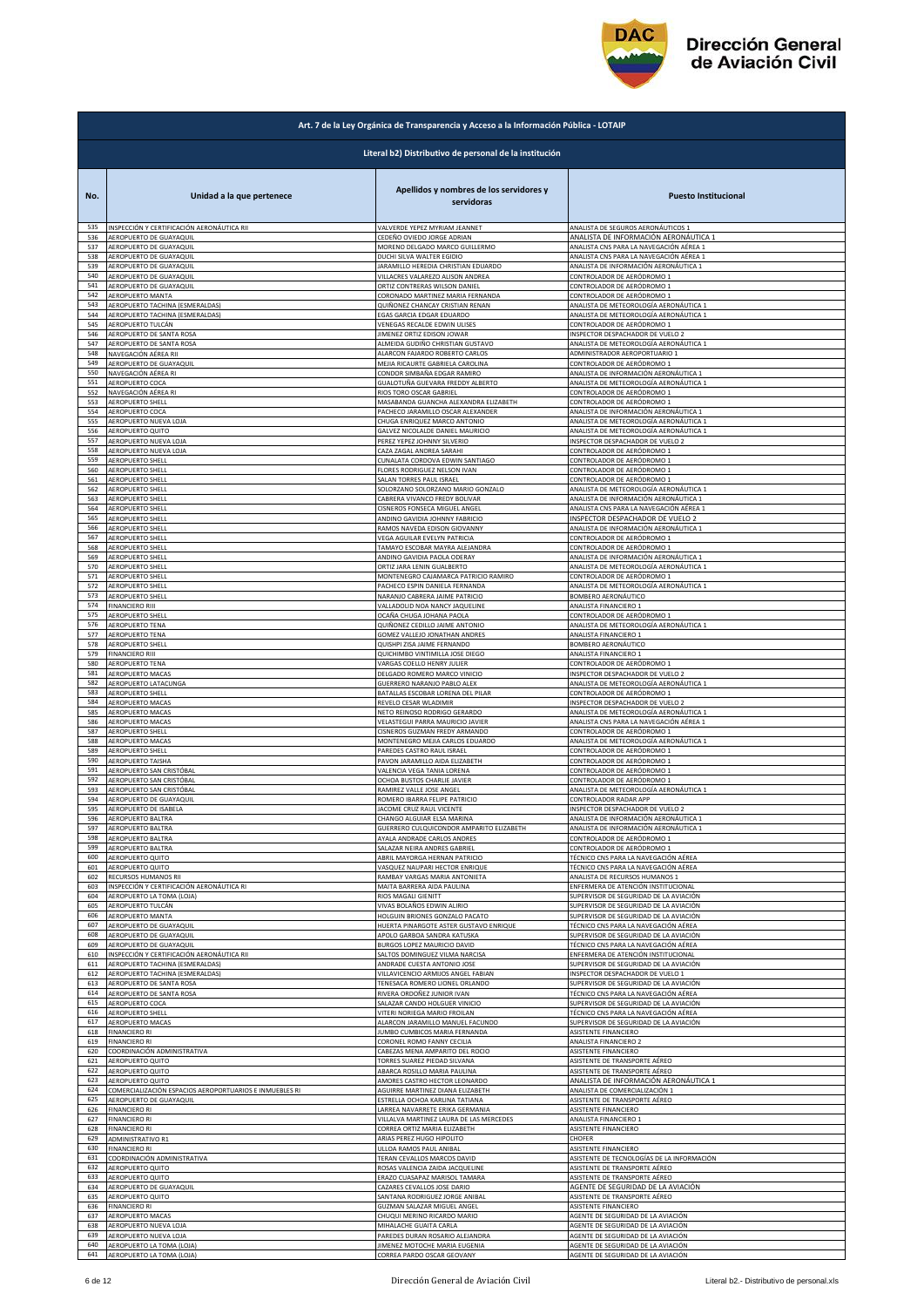

|            | Art. 7 de la Ley Orgánica de Transparencia y Acceso a la Información Pública - LOTAIP |                                                                         |                                                                                |  |
|------------|---------------------------------------------------------------------------------------|-------------------------------------------------------------------------|--------------------------------------------------------------------------------|--|
|            | Literal b2) Distributivo de personal de la institución                                |                                                                         |                                                                                |  |
| No.        | Unidad a la que pertenece                                                             | Apellidos y nombres de los servidores y<br>servidoras                   | <b>Puesto Institucional</b>                                                    |  |
| 535        | INSPECCIÓN Y CERTIFICACIÓN AERONÁUTICA RII                                            | VALVERDE YEPEZ MYRIAM JEANNET                                           | ANALISTA DE SEGUROS AERONÁUTICOS 1                                             |  |
| 536        | AEROPUERTO DE GUAYAQUI                                                                | CEDEÑO OVIEDO JORGE ADRIAN                                              | ANALISTA DE INFORMACIÓN AERONÁUTICA 1                                          |  |
| 537        | AEROPUERTO DE GUAYAQUIL                                                               | MORENO DELGADO MARCO GUILLERMO                                          | ANALISTA CNS PARA LA NAVEGACIÓN AÉREA 1                                        |  |
| 538        | AEROPUERTO DE GUAYAQUIL                                                               | DUCHI SILVA WALTER EGIDIO                                               | ANALISTA CNS PARA LA NAVEGACIÓN AÉREA 1                                        |  |
| 539        | AEROPUERTO DE GUAYAQUIL                                                               | JARAMILLO HEREDIA CHRISTIAN EDUARDO                                     | ANALISTA DE INFORMACIÓN AERONÁUTICA 1                                          |  |
| 540        | AEROPUERTO DE GUAYAQUIL                                                               | VILLACRES VALAREZO ALISON ANDREA                                        | CONTROLADOR DE AERÓDROMO 1                                                     |  |
| 541        | AEROPUERTO DE GUAYAQUIL                                                               | ORTIZ CONTRERAS WILSON DANIEL                                           | CONTROLADOR DE AERÓDROMO 1                                                     |  |
| 542        | AEROPUERTO MANTA                                                                      | CORONADO MARTINEZ MARIA FERNANDA                                        | CONTROLADOR DE AERÓDROMO 1                                                     |  |
| 543        | AEROPUERTO TACHINA (ESMERALDAS)                                                       | QUIÑONEZ CHANCAY CRISTIAN RENAN                                         | ANALISTA DE METEOROLOGÍA AERONÁUTICA 1                                         |  |
| 544        | AEROPUERTO TACHINA (ESMERALDAS)                                                       | EGAS GARCIA EDGAR EDUARDO                                               | ANALISTA DE METEOROLOGÍA AERONÁUTICA 1                                         |  |
| 545        | AEROPUERTO TULCÁN                                                                     | VENEGAS RECALDE EDWIN ULISES                                            | CONTROLADOR DE AERÓDROMO 1                                                     |  |
| 546        | AEROPUERTO DE SANTA ROSA                                                              | JIMENEZ ORTIZ EDISON JOWAR                                              | INSPECTOR DESPACHADOR DE VUELO 2                                               |  |
| 547        | AEROPUERTO DE SANTA ROSA                                                              | ALMEIDA GUDIÑO CHRISTIAN GUSTAVO                                        | ANALISTA DE METEOROLOGÍA AERONÁUTICA 1                                         |  |
| 548        | NAVEGACIÓN AÉREA RII                                                                  | ALARCON FAJARDO ROBERTO CARLOS                                          | ADMINISTRADOR AEROPORTUARIO 1                                                  |  |
| 549        | AEROPUERTO DE GUAYAQUIL                                                               | MEJIA RICAURTE GABRIELA CAROLINA                                        | CONTROLADOR DE AERÓDROMO :                                                     |  |
| 550        | NAVEGACIÓN AÉREA RI                                                                   | CONDOR SIMBAÑA EDGAR RAMIRO                                             | ANALISTA DE INFORMACIÓN AERONÁUTICA 1                                          |  |
| 551        | AEROPUERTO COCA                                                                       | GUALOTUÑA GUEVARA FREDDY ALBERTO                                        | ANALISTA DE METEOROLOGÍA AERONÁUTICA 1                                         |  |
| 552        | NAVEGACIÓN AÉREA RI                                                                   | RIOS TORO OSCAR GABRIEL                                                 | CONTROLADOR DE AERÓDROMO 1                                                     |  |
| 553        | AEROPUERTO SHELL                                                                      | MASABANDA GUANCHA ALEXANDRA ELIZABETH                                   | CONTROLADOR DE AERÓDROMO 1                                                     |  |
| 554        | AEROPUERTO COCA                                                                       | PACHECO JARAMILLO OSCAR ALEXANDER                                       | ANALISTA DE INFORMACIÓN AERONÁUTICA 1                                          |  |
| 555        | AEROPUERTO NUEVA LOJA                                                                 | CHUGA ENRIQUEZ MARCO ANTONIO                                            | ANALISTA DE METEOROLOGÍA AERONÁUTICA 1                                         |  |
| 556        | AEROPUERTO QUITO                                                                      | GALVEZ NICOLALDE DANIEL MAURICIO                                        | ANALISTA DE METEOROLOGÍA AERONÁUTICA 1                                         |  |
| 557        | AEROPUERTO NUEVA LOJA                                                                 | PEREZ YEPEZ JOHNNY SILVERIO                                             | INSPECTOR DESPACHADOR DE VUELO 2                                               |  |
| 558        | AEROPUERTO NUEVA LOJA                                                                 | CAZA ZAGAL ANDREA SARAHI                                                | CONTROLADOR DE AERÓDROMO 1                                                     |  |
| 559        | AEROPUERTO SHELL                                                                      | CUNALATA CORDOVA EDWIN SANTIAGO                                         | CONTROLADOR DE AERÓDROMO 1                                                     |  |
| 560<br>561 | AEROPUERTO SHELL                                                                      | FLORES RODRIGUEZ NELSON IVAN<br>SALAN TORRES PAUL ISRAEL                | CONTROLADOR DE AERÓDROMO 1                                                     |  |
| 562        | AEROPUERTO SHELL<br><b>AEROPUERTO SHELL</b>                                           | SOLORZANO SOLORZANO MARIO GONZALO                                       | CONTROLADOR DE AERÓDROMO 1<br>ANALISTA DE METEOROLOGÍA AERONÁUTICA 1           |  |
| 563        | AEROPUERTO SHELL                                                                      | CABRERA VIVANCO FREDY BOLIVAR                                           | ANALISTA DE INFORMACIÓN AERONÁUTICA 1                                          |  |
| 564        | AEROPUERTO SHELL                                                                      | CISNEROS FONSECA MIGUEL ANGEL                                           | ANALISTA CNS PARA LA NAVEGACIÓN AÉREA 1                                        |  |
| 565        | AEROPUERTO SHELL                                                                      | ANDINO GAVIDIA JOHNNY FABRICIO                                          | INSPECTOR DESPACHADOR DE VUELO 2                                               |  |
| 566        | AEROPUERTO SHELL                                                                      | RAMOS NAVEDA EDISON GIOVANNY                                            | ANALISTA DE INFORMACIÓN AERONÁUTICA 1                                          |  |
| 567        | AEROPUERTO SHELL                                                                      | VEGA AGUILAR EVELYN PATRICIA                                            | CONTROLADOR DE AERÓDROMO 1                                                     |  |
| 568        | <b>AEROPUERTO SHELL</b>                                                               | TAMAYO ESCOBAR MAYRA ALEJANDRA                                          | CONTROLADOR DE AERÓDROMO 1                                                     |  |
| 569        | <b>AEROPUERTO SHELL</b>                                                               | ANDINO GAVIDIA PAOLA ODERAY                                             | ANALISTA DE INFORMACIÓN AERONÁUTICA 1                                          |  |
| 570        | AEROPUERTO SHELL                                                                      | ORTIZ JARA LENIN GUALBERTO                                              | ANALISTA DE METEOROLOGÍA AERONÁUTICA 1                                         |  |
| 571        | <b>AEROPUERTO SHELL</b>                                                               | MONTENEGRO CAJAMARCA PATRICIO RAMIRO                                    | CONTROLADOR DE AERÓDROMO 1                                                     |  |
| 572        | AEROPUERTO SHELL                                                                      | PACHECO ESPIN DANIELA FERNANDA                                          | ANALISTA DE METEOROLOGÍA AERONÁUTICA 1                                         |  |
| 573        | AEROPUERTO SHELL                                                                      | NARANJO CABRERA JAIME PATRICIO                                          | BOMBERO AERONÁUTICO                                                            |  |
| 574        | <b>FINANCIERO RIII</b>                                                                | VALLADOLID NOA NANCY JAQUELINE                                          | ANALISTA FINANCIERO 1                                                          |  |
| 575        | AEROPUERTO SHELL<br>AEROPUERTO TENA                                                   | OCAÑA CHUGA JOHANA PAOLA                                                | CONTROLADOR DE AERÓDROMO 1<br>ANALISTA DE METEOROLOGÍA AERONÁUTICA 1           |  |
| 576<br>577 | <b>AEROPUERTO TENA</b>                                                                | QUIÑONEZ CEDILLO JAIME ANTONIO<br>GOMEZ VALLEJO JONATHAN ANDRES         | ANALISTA FINANCIERO 1                                                          |  |
| 578        | AEROPUERTO SHELL                                                                      | QUISHPI ZISA JAIME FERNANDO                                             | BOMBERO AERONÁUTICO                                                            |  |
| 579        | <b>FINANCIERO RIII</b>                                                                | QUICHIMBO VINTIMILLA JOSE DIEGO                                         | ANALISTA FINANCIERO 1                                                          |  |
| 580        | AEROPUERTO TENA                                                                       | VARGAS COELLO HENRY JULIER                                              | CONTROLADOR DE AERÓDROMO 1                                                     |  |
| 581        | <b>AEROPUERTO MACAS</b>                                                               | DELGADO ROMERO MARCO VINICIO                                            | INSPECTOR DESPACHADOR DE VUELO 2                                               |  |
| 582        | AEROPUERTO LATACUNGA                                                                  | GUERRERO NARANJO PABLO ALEX                                             | ANALISTA DE METEOROLOGÍA AERONÁUTICA 1                                         |  |
| 583        | <b>AEROPUERTO SHELL</b>                                                               | BATALLAS ESCOBAR LORENA DEL PILAR                                       | CONTROLADOR DE AERÓDROMO :                                                     |  |
| 584        | AEROPUERTO MACAS                                                                      | REVELO CESAR WLADIMIR                                                   | INSPECTOR DESPACHADOR DE VUELO 2                                               |  |
| 585        | AEROPUERTO MACAS                                                                      | NETO REINOSO RODRIGO GERARDO                                            | ANALISTA DE METEOROLOGÍA AERONÁUTICA 1                                         |  |
| 586        | <b>AEROPUERTO MACAS</b>                                                               | VELASTEGUI PARRA MAURICIO JAVIER                                        | ANALISTA CNS PARA LA NAVEGACIÓN AÉREA 1                                        |  |
| 587        | AEROPUERTO SHELL                                                                      | CISNEROS GUZMAN FREDY ARMANDO                                           | CONTROLADOR DE AERÓDROMO 1                                                     |  |
| 588        | AEROPUERTO MACAS                                                                      | MONTENEGRO MEJIA CARLOS EDUARDO                                         | ANALISTA DE METEOROLOGÍA AERONÁUTICA 1                                         |  |
| 589        | AEROPUERTO SHELL                                                                      | PAREDES CASTRO RAUL ISRAEL                                              | CONTROLADOR DE AERÓDROMO 1                                                     |  |
| 590        | AEROPUERTO TAISHA                                                                     | PAVON JARAMILLO AIDA ELIZABETH                                          | CONTROLADOR DE AERÓDROMO 1                                                     |  |
| 591        | AEROPUERTO SAN CRISTÓBAL                                                              | VALENCIA VEGA TANIA LORENA                                              | CONTROLADOR DE AERÓDROMO 1                                                     |  |
| 592        | AEROPUERTO SAN CRISTÓBAL                                                              | OCHOA BUSTOS CHARLIE JAVIER                                             | CONTROLADOR DE AERÓDROMO 1                                                     |  |
| 593        | AEROPUERTO SAN CRISTÓBAL                                                              | RAMIREZ VALLE JOSE ANGEL                                                | ANALISTA DE METEOROLOGÍA AERONÁUTICA 1                                         |  |
| 594        | AEROPUERTO DE GUAYAQUIL                                                               | ROMERO IBARRA FELIPE PATRICIO                                           | CONTROLADOR RADAR APP                                                          |  |
| 595        | AFROPLIFRTO DE ISAREI A                                                               | <b>IACOME CRUZ RAUL VICENTE</b>                                         | INSPECTOR DESPACHADOR DE VUELO 2                                               |  |
| 596<br>597 | AEROPUERTO BALTRA                                                                     | CHANGO ALGUIAR ELSA MARINA                                              | ANALISTA DE INFORMACIÓN AERONÁUTICA 1<br>ANALISTA DE INFORMACIÓN AERONÁUTICA 1 |  |
| 598        | AEROPUERTO BALTRA<br>AEROPUERTO BALTRA                                                | GUERRERO CULQUICONDOR AMPARITO ELIZABETH<br>AYALA ANDRADE CARLOS ANDRES | CONTROLADOR DE AERÓDROMO 1                                                     |  |
| 599        | AEROPUERTO BALTRA                                                                     | SALAZAR NEIRA ANDRES GABRIEL                                            | CONTROLADOR DE AERÓDROMO 1                                                     |  |
| 600        | AEROPUERTO QUITO                                                                      | ABRIL MAYORGA HERNAN PATRICIO                                           | TÉCNICO CNS PARA LA NAVEGACIÓN AÉREA                                           |  |
| 601        | AEROPUERTO QUITO                                                                      | VASQUEZ NAUPARI HECTOR ENRIQUE                                          | TÉCNICO CNS PARA LA NAVEGACIÓN AÉREA                                           |  |
| 602        | RECURSOS HUMANOS RII                                                                  | RAMBAY VARGAS MARIA ANTONIETA                                           | ANALISTA DE RECURSOS HUMANOS 1                                                 |  |
| 603        | INSPECCIÓN Y CERTIFICACIÓN AERONÁUTICA RI                                             | MAITA BARRERA AIDA PAULINA                                              | ENFERMERA DE ATENCIÓN INSTITUCIONAL                                            |  |
| 604        | AEROPUERTO LA TOMA (LOJA)                                                             | RIOS MAGALI GIENITT                                                     | SUPERVISOR DE SEGURIDAD DE LA AVIACIÓN                                         |  |
| 605        | AEROPUERTO TULCÁN                                                                     | VIVAS BOLAÑOS EDWIN ALIRIO                                              | SUPERVISOR DE SEGURIDAD DE LA AVIACIÓN                                         |  |
| 606        | AEROPUERTO MANTA                                                                      | HOLGUIN BRIONES GONZALO PACATO                                          | SUPERVISOR DE SEGURIDAD DE LA AVIACIÓN                                         |  |
| 607        | AEROPUERTO DE GUAYAQUIL                                                               | HUERTA PINARGOTE ASTER GUSTAVO ENRIQUE                                  | TÉCNICO CNS PARA LA NAVEGACIÓN AÉREA                                           |  |
| 608        | AEROPUERTO DE GUAYAQUIL                                                               | APOLO GARBOA SANDRA KATUSKA                                             | SUPERVISOR DE SEGURIDAD DE LA AVIACIÓN                                         |  |
| 609        | AEROPUERTO DE GUAYAQUIL                                                               | <b>BURGOS LOPEZ MAURICIO DAVID</b>                                      | TÉCNICO CNS PARA LA NAVEGACIÓN AÉREA                                           |  |
| 610        | INSPECCIÓN Y CERTIFICACIÓN AERONÁUTICA RII                                            | SALTOS DOMINGUEZ VILMA NARCISA                                          | ENFERMERA DE ATENCIÓN INSTITUCIONAL                                            |  |
| 611        | AEROPUERTO TACHINA (ESMERALDAS)                                                       | ANDRADE CUESTA ANTONIO JOSE                                             | SUPERVISOR DE SEGURIDAD DE LA AVIACIÓN                                         |  |
| 612        | AEROPUERTO TACHINA (ESMERALDAS)                                                       | VILLAVICENCIO ARMIJOS ANGEL FABIAN                                      | INSPECTOR DESPACHADOR DE VUELO 1                                               |  |
| 613        | AEROPUERTO DE SANTA ROSA                                                              | TENESACA ROMERO LIONEL ORLANDO                                          | SUPERVISOR DE SEGURIDAD DE LA AVIACIÓN                                         |  |
| 614        | AEROPUERTO DE SANTA ROSA                                                              | RIVERA ORDOÑEZ JUNIOR IVAN                                              | TÉCNICO CNS PARA LA NAVEGACIÓN AÉREA                                           |  |
| 615        | AEROPUERTO COCA                                                                       | SALAZAR CANDO HOLGUER VINICIO                                           | SUPERVISOR DE SEGURIDAD DE LA AVIACIÓN                                         |  |
| 616        | AEROPUERTO SHELL                                                                      | VITERI NORIEGA MARIO FROILAN                                            | TÉCNICO CNS PARA LA NAVEGACIÓN AÉREA                                           |  |
| 617        | AEROPUERTO MACAS                                                                      | ALARCON JARAMILLO MANUEL FACUNDO                                        | SUPERVISOR DE SEGURIDAD DE LA AVIACIÓN                                         |  |
| 618        | <b>FINANCIERO RI</b>                                                                  | JUMBO CUMBICOS MARIA FERNANDA                                           | ASISTENTE FINANCIERO                                                           |  |
| 619        | <b>FINANCIERO RI</b>                                                                  | CORONEL ROMO FANNY CECILIA                                              | ANALISTA FINANCIERO 2                                                          |  |
| 620        | COORDINACIÓN ADMINISTRATIVA                                                           | CABEZAS MENA AMPARITO DEL ROCIO                                         | ASISTENTE FINANCIERO                                                           |  |
| 621        | AEROPUERTO QUITO                                                                      | TORRES SUAREZ PIEDAD SILVANA                                            | ASISTENTE DE TRANSPORTE AÉREO                                                  |  |
| 622        | AEROPUERTO QUITO                                                                      | ABARCA ROSILLO MARIA PAULINA                                            | ASISTENTE DE TRANSPORTE AÉREO                                                  |  |
| 623        | AEROPUERTO QUITO                                                                      | AMORES CASTRO HECTOR LEONARDO                                           | ANALISTA DE INFORMACIÓN AERONÁUTICA 1                                          |  |
| 624        | COMERCIALIZACIÓN ESPACIOS AEROPORTUARIOS E INMUEBLES RI                               | AGUIRRE MARTINEZ DIANA ELIZABETH                                        | ANALISTA DE COMERCIALIZACIÓN 1                                                 |  |
| 625        | AEROPUERTO DE GUAYAQUIL                                                               | ESTRELLA OCHOA KARLINA TATIANA                                          | ASISTENTE DE TRANSPORTE AÉREO                                                  |  |
| 626        | FINANCIERO RI                                                                         | LARREA NAVARRETE ERIKA GERMANIA                                         | ASISTENTE FINANCIERO                                                           |  |
| 627        | <b>FINANCIERO RI</b>                                                                  | VILLALVA MARTINEZ LAURA DE LAS MERCEDES                                 | ANALISTA FINANCIERO 1                                                          |  |
| 628        | <b>FINANCIERO RI</b>                                                                  | CORREA ORTIZ MARIA ELIZABETH                                            | ASISTENTE FINANCIERO                                                           |  |
| 629        | ADMINISTRATIVO R1                                                                     | ARIAS PEREZ HUGO HIPOLITO                                               | CHOFER                                                                         |  |
| 630        | <b>FINANCIERO RI</b>                                                                  | ULLOA RAMOS PAUL ANIBAL                                                 | ASISTENTE FINANCIERO                                                           |  |
| 631        | COORDINACIÓN ADMINISTRATIVA                                                           | TERAN CEVALLOS MARCOS DAVID                                             | ASISTENTE DE TECNOLOGÍAS DE LA INFORMACIÓN                                     |  |
| 632        | AEROPUERTO QUITO                                                                      | ROSAS VALENCIA ZAIDA JACQUELINE                                         | ASISTENTE DE TRANSPORTE AÉREO                                                  |  |
| 633        | AEROPUERTO QUITO                                                                      | ERAZO CUASAPAZ MARISOL TAMARA                                           |                                                                                |  |
| 634        | AEROPUERTO DE GUAYAQUIL                                                               | CAZARES CEVALLOS JOSE DARIO                                             | ASISTENTE DE TRANSPORTE AÉREO<br>AGENTE DE SEGURIDAD DE LA AVIACIÓN            |  |
| 635        | AEROPUERTO QUITO                                                                      | SANTANA RODRIGUEZ JORGE ANIBAL                                          | ASISTENTE DE TRANSPORTE AÉREO                                                  |  |
| 636        | <b>FINANCIERO RI</b>                                                                  | GUZMAN SALAZAR MIGUEL ANGEL                                             | ASISTENTE FINANCIERO                                                           |  |
| 637        | <b>AEROPUERTO MACAS</b>                                                               | CHUQUI MERINO RICARDO MARIO                                             | AGENTE DE SEGURIDAD DE LA AVIACIÓN                                             |  |
| 638        | AEROPUERTO NUEVA LOJA                                                                 | MIHALACHE GUAITA CARLA                                                  | AGENTE DE SEGURIDAD DE LA AVIACIÓN                                             |  |
| 639        | AEROPUERTO NUEVA LOJA                                                                 | PAREDES DURAN ROSARIO ALEJANDRA                                         | AGENTE DE SEGURIDAD DE LA AVIACIÓN                                             |  |
| 640        | AEROPUERTO LA TOMA (LOJA)                                                             | <b>IIMENEZ MOTOCHE MARIA EUGENIA</b>                                    | AGENTE DE SEGURIDAD DE LA AVIACIÓN                                             |  |
| 641        | AEROPUERTO LA TOMA (LOJA)                                                             | CORREA PARDO OSCAR GEOVANY                                              | AGENTE DE SEGURIDAD DE LA AVIACIÓN                                             |  |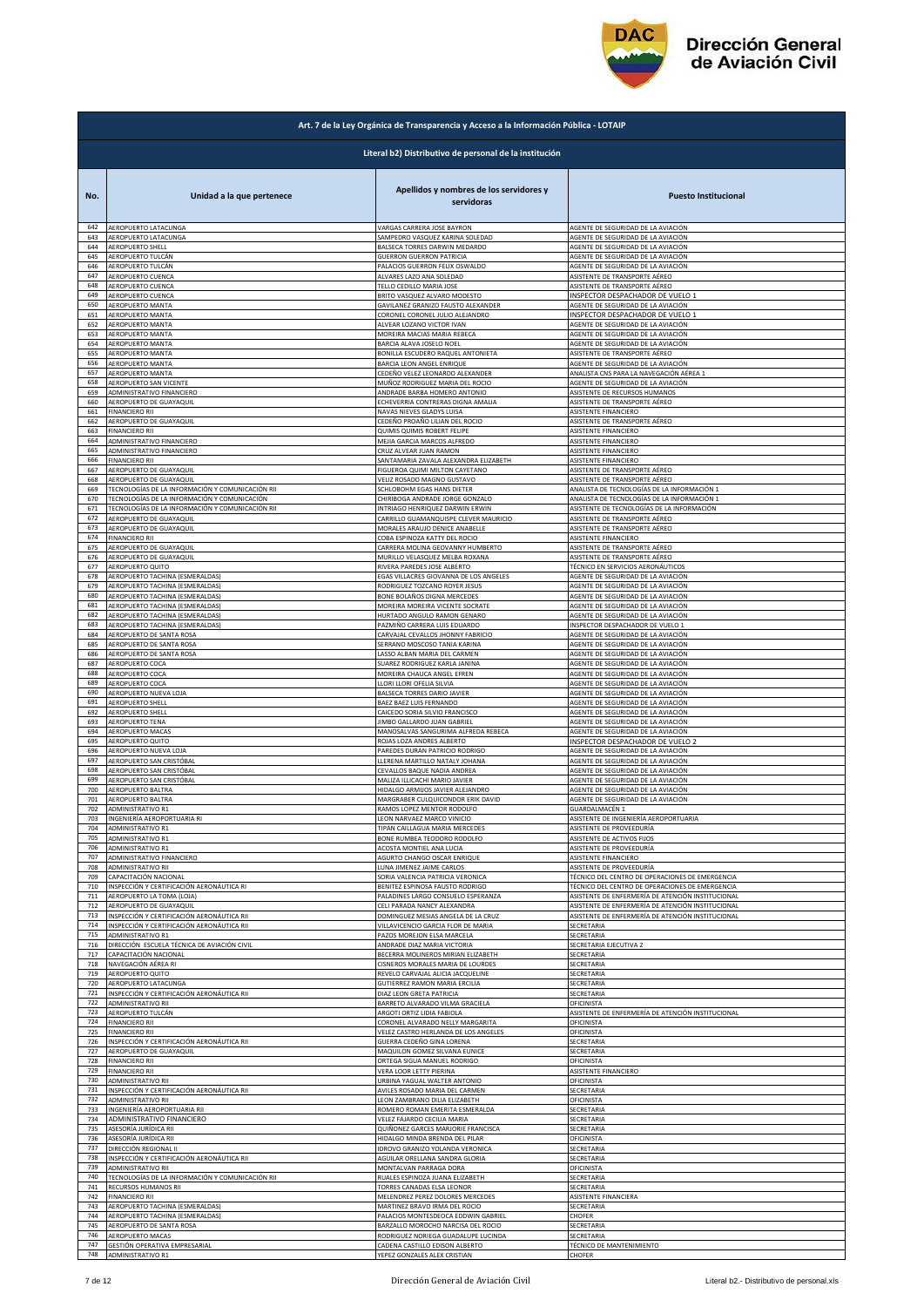

|            | Art. 7 de la Ley Orgánica de Transparencia y Acceso a la Información Pública - LOTAIP |                                                                          |                                                   |  |
|------------|---------------------------------------------------------------------------------------|--------------------------------------------------------------------------|---------------------------------------------------|--|
|            | Literal b2) Distributivo de personal de la institución                                |                                                                          |                                                   |  |
| No.        | Unidad a la que pertenece                                                             | Apellidos y nombres de los servidores y<br>servidoras                    | <b>Puesto Institucional</b>                       |  |
| 642        | AEROPUERTO LATACUNGA                                                                  | VARGAS CARRERA JOSE BAYRON                                               | AGENTE DE SEGURIDAD DE LA AVIACIÓN                |  |
| 643        | AEROPUERTO LATACUNGA                                                                  | SAMPEDRO VASQUEZ KARINA SOLEDAD                                          | AGENTE DE SEGURIDAD DE LA AVIACIÓN                |  |
| 644        | AEROPUERTO SHELL                                                                      | BALSECA TORRES DARWIN MEDARDO                                            | AGENTE DE SEGURIDAD DE LA AVIACIÓN                |  |
| 645        | AEROPUERTO TULCÁN                                                                     | <b>GUERRON GUERRON PATRICIA</b>                                          | AGENTE DE SEGURIDAD DE LA AVIACIÓN                |  |
| 646        | AEROPUERTO TULCÁN                                                                     | PALACIOS GUERRON FELIX OSWALDO                                           | AGENTE DE SEGURIDAD DE LA AVIACIÓN                |  |
| 647        | AEROPUERTO CUENCA                                                                     | ALVARES LAZO ANA SOLEDAD                                                 | ASISTENTE DE TRANSPORTE AÉREO                     |  |
| 648        | AEROPUERTO CUENCA                                                                     | TELLO CEDILLO MARIA JOSE                                                 | ASISTENTE DE TRANSPORTE AÉREO                     |  |
| 649        | AEROPUERTO CUENCA                                                                     | BRITO VASQUEZ ALVARO MODESTO                                             | INSPECTOR DESPACHADOR DE VUELO 1                  |  |
| 650        | AEROPUERTO MANTA                                                                      | GAVILANEZ GRANIZO FAUSTO ALEXANDER                                       | AGENTE DE SEGURIDAD DE LA AVIACIÓN                |  |
| 651        | AEROPUERTO MANTA                                                                      | CORONEL CORONEL JULIO ALEJANDRO                                          | INSPECTOR DESPACHADOR DE VUELO :                  |  |
| 652        | AEROPUERTO MANTA                                                                      | ALVEAR LOZANO VICTOR IVAN                                                | AGENTE DE SEGURIDAD DE LA AVIACIÓN                |  |
| 653        | AEROPUERTO MANTA                                                                      | MOREIRA MACIAS MARIA REBECA                                              | AGENTE DE SEGURIDAD DE LA AVIACIÓN                |  |
| 654        | AEROPUERTO MANTA                                                                      | BARCIA ALAVA JOSELO NOEL                                                 | AGENTE DE SEGURIDAD DE LA AVIACIÓN                |  |
| 655        | AEROPUERTO MANTA                                                                      | BONILLA ESCUDERO RAQUEL ANTONIETA                                        | ASISTENTE DE TRANSPORTE AÉREO                     |  |
| 656        | <b>AEROPUERTO MANTA</b>                                                               | BARCIA LEON ANGEL ENRIQUE                                                | AGENTE DE SEGURIDAD DE LA AVIACIÓN                |  |
| 657        | <b>AEROPUERTO MANTA</b>                                                               | CEDEÑO VELEZ LEONARDO ALEXANDER                                          | ANALISTA CNS PARA LA NAVEGACIÓN AÉREA 1           |  |
| 658        | AEROPUERTO SAN VICENTE                                                                | MUÑOZ RODRIGUEZ MARIA DEL ROCIO                                          | AGENTE DE SEGURIDAD DE LA AVIACIÓN                |  |
| 659        | ADMINISTRATIVO FINANCIERO                                                             | ANDRADE BARBA HOMERO ANTONIO                                             | ASISTENTE DE RECURSOS HUMANOS                     |  |
| 660        | AEROPUERTO DE GUAYAQUIL                                                               | ECHEVERRIA CONTRERAS DIGNA AMALIA                                        | ASISTENTE DE TRANSPORTE AÉREO                     |  |
| 661        | <b>FINANCIERO RII</b>                                                                 | NAVAS NIEVES GLADYS LUISA                                                | ASISTENTE FINANCIERO                              |  |
| 662        | AEROPUERTO DE GUAYAQUIL                                                               | CEDEÑO PROAÑO LILIAN DEL ROCIO                                           | ASISTENTE DE TRANSPORTE AÉREO                     |  |
| 663        | <b>FINANCIERO RII</b><br>ADMINISTRATIVO FINANCIERO                                    | QUIMIS QUIMIS ROBERT FELIPE                                              | ASISTENTE FINANCIERO<br>ASISTENTE FINANCIERO      |  |
| 664<br>665 | ADMINISTRATIVO FINANCIERO                                                             | MEJIA GARCIA MARCOS ALFREDO<br>CRUZ ALVEAR JUAN RAMON                    | ASISTENTE FINANCIERO                              |  |
| 666        | <b>FINANCIERO RII</b>                                                                 | SANTAMARIA ZAVALA ALEXANDRA ELIZABETH                                    | ASISTENTE FINANCIERO                              |  |
| 667        | AEROPUERTO DE GUAYAQUII                                                               | <b>FIGUEROA QUIMI MILTON CAYETANO</b>                                    | ASISTENTE DE TRANSPORTE AÉREO                     |  |
| 668        | AEROPUERTO DE GUAYAQUIL                                                               | VELIZ ROSADO MAGNO GUSTAVO                                               | ASISTENTE DE TRANSPORTE AÉREO                     |  |
| 669        | TECNOLOGÍAS DE LA INFORMACIÓN Y COMUNICACIÓN RII                                      | SCHLOBOHM EGAS HANS DIETER                                               | ANALISTA DE TECNOLOGÍAS DE LA INFORMACIÓN 1       |  |
| 670        | TECNOLOGÍAS DE LA INFORMACIÓN Y COMUNICACIÓN                                          | CHIRIBOGA ANDRADE JORGE GONZALO                                          | ANALISTA DE TECNOLOGÍAS DE LA INFORMACIÓN 1       |  |
| 671        | TECNOLOGÍAS DE LA INFORMACIÓN Y COMUNICACIÓN RII                                      | INTRIAGO HENRIQUEZ DARWIN ERWIN                                          | ASISTENTE DE TECNOLOGÍAS DE LA INFORMACIÓN        |  |
| 672        | AEROPUERTO DE GUAYAQUIL                                                               | CARRILLO GUAMANQUISPE CLEVER MAURICIO                                    | ASISTENTE DE TRANSPORTE AÉREO                     |  |
| 673        | AEROPUERTO DE GUAYAQUIL                                                               | MORALES ARAUJO DENICE ANABELLE                                           | ASISTENTE DE TRANSPORTE AÉREO                     |  |
| 674        | <b>FINANCIERO RII</b>                                                                 | COBA ESPINOZA KATTY DEL ROCIO                                            | ASISTENTE FINANCIERO                              |  |
| 675        | AEROPUERTO DE GUAYAQUIL                                                               | CARRERA MOLINA GEOVANNY HUMBERTO                                         | ASISTENTE DE TRANSPORTE AÉREO                     |  |
| 676        | AEROPUERTO DE GUAYAQUIL                                                               | MURILLO VELASQUEZ MELBA ROXANA                                           | ASISTENTE DE TRANSPORTE AÉREO                     |  |
| 677        | AEROPUERTO QUITO                                                                      | RIVERA PAREDES JOSE ALBERTO                                              | TÉCNICO EN SERVICIOS AERONÁUTICOS                 |  |
| 678        | AEROPUERTO TACHINA (ESMERALDAS)                                                       | EGAS VILLACRES GIOVANNA DE LOS ANGELES                                   | AGENTE DE SEGURIDAD DE LA AVIACIÓN                |  |
| 679        | AEROPUERTO TACHINA (ESMERALDAS)                                                       | RODRIGUEZ TOZCANO ROYER JESUS                                            | AGENTE DE SEGURIDAD DE LA AVIACIÓN                |  |
| 680        | AEROPUERTO TACHINA (ESMERALDAS)                                                       | BONE BOLAÑOS DIGNA MERCEDES                                              | AGENTE DE SEGURIDAD DE LA AVIACIÓN                |  |
| 681        | AEROPUERTO TACHINA (ESMERALDAS)                                                       | MOREIRA MOREIRA VICENTE SOCRATE                                          | AGENTE DE SEGURIDAD DE LA AVIACIÓN                |  |
| 682        | AEROPUERTO TACHINA (ESMERALDAS)                                                       | HURTADO ANGULO RAMON GENARO                                              | AGENTE DE SEGURIDAD DE LA AVIACIÓN                |  |
| 683        | AEROPUERTO TACHINA (ESMERALDAS)                                                       | PAZMIÑO CARRERA LUIS EDUARDO                                             | INSPECTOR DESPACHADOR DE VUELO 1                  |  |
| 684        | AEROPUERTO DE SANTA ROSA                                                              | CARVAJAL CEVALLOS JHONNY FABRICIO                                        | AGENTE DE SEGURIDAD DE LA AVIACIÓN                |  |
| 685        | AEROPUERTO DE SANTA ROSA                                                              | SERRANO MOSCOSO TANIA KARINA                                             | AGENTE DE SEGURIDAD DE LA AVIACIÓN                |  |
| 686        | AEROPUERTO DE SANTA ROSA                                                              | LASSO ALBAN MARIA DEL CARMEN                                             | AGENTE DE SEGURIDAD DE LA AVIACIÓN                |  |
| 687        | AEROPUERTO COCA                                                                       | SUAREZ RODRIGUEZ KARLA JANINA                                            | AGENTE DE SEGURIDAD DE LA AVIACIÓN                |  |
| 688        | AEROPUERTO COCA                                                                       | MOREIRA CHAUCA ANGEL EFREN                                               | AGENTE DE SEGURIDAD DE LA AVIACIÓN                |  |
| 689        | AEROPUERTO COCA                                                                       | LLORI LLORI OFELIA SILVIA                                                | AGENTE DE SEGURIDAD DE LA AVIACIÓN                |  |
| 690        | AEROPUERTO NUEVA LOJA                                                                 | BALSECA TORRES DARIO JAVIER                                              | AGENTE DE SEGURIDAD DE LA AVIACIÓN                |  |
| 691        | AEROPUERTO SHELL                                                                      | BAEZ BAEZ LUIS FERNANDO                                                  | AGENTE DE SEGURIDAD DE LA AVIACIÓN                |  |
| 692        | AEROPUERTO SHELL                                                                      | CAICEDO SORIA SILVIO FRANCISCO                                           | AGENTE DE SEGURIDAD DE LA AVIACIÓN                |  |
| 693        | <b>AEROPUERTO TENA</b>                                                                | JIMBO GALLARDO JUAN GABRIEL                                              | AGENTE DE SEGURIDAD DE LA AVIACIÓN                |  |
| 694        | AEROPUERTO MACAS                                                                      | MANOSALVAS SANGURIMA ALFREDA REBECA                                      | AGENTE DE SEGURIDAD DE LA AVIACIÓN                |  |
| 695        | AEROPUERTO QUITO                                                                      | ROJAS LOZA ANDRES ALBERTO                                                | INSPECTOR DESPACHADOR DE VUELO 2                  |  |
| 696        | AEROPUERTO NUEVA LOJA                                                                 | PAREDES DURAN PATRICIO RODRIGO                                           | AGENTE DE SEGURIDAD DE LA AVIACIÓN                |  |
| 697        | AEROPUERTO SAN CRISTÓBAL                                                              | LLERENA MARTILLO NATALY JOHANA                                           | AGENTE DE SEGURIDAD DE LA AVIACIÓN                |  |
| 698        | AEROPUERTO SAN CRISTÓBAL                                                              | CEVALLOS BAQUE NADIA ANDREA                                              | AGENTE DE SEGURIDAD DE LA AVIACIÓN                |  |
| 699        | AEROPUERTO SAN CRISTÓBAL                                                              | MALIZA ILLICACHI MARIO JAVIER                                            | <u>AGENTE DE SEGURIDAD DE LA AVIACIÓN</u>         |  |
| 700        | AEROPUERTO BALTRA                                                                     | HIDALGO ARMIJOS JAVIER ALEJANDRO                                         | AGENTE DE SEGURIDAD DE LA AVIACIÓN                |  |
| 701        | AEROPUERTO BALTRA                                                                     | MARGRABER CULQUICONDOR ERIK DAVID                                        | AGENTE DE SEGURIDAD DE LA AVIACIÓN                |  |
| 702        | ADMINISTRATIVO R1                                                                     | RAMOS LOPEZ MENTOR RODOLEO                                               | GUARDAI MACÉN 1                                   |  |
| 703        | INGENIERÍA AEROPORTUARIA RI                                                           | LEON NARVAEZ MARCO VINICIO                                               | ASISTENTE DE INGENIERÍA AEROPORTUARIA             |  |
| 704        | <b>ADMINISTRATIVO R1</b>                                                              | TIPAN CAILLAGUA MARIA MERCEDES                                           | ASISTENTE DE PROVEEDURÍA                          |  |
| 705        | ADMINISTRATIVO R1                                                                     | BONE RUMBEA TEODORO RODOLFO                                              | ASISTENTE DE ACTIVOS FIJOS                        |  |
| 706        | ADMINISTRATIVO R1                                                                     | ACOSTA MONTIEL ANA LUCIA                                                 | ASISTENTE DE PROVEEDURÍA                          |  |
| 707        | ADMINISTRATIVO FINANCIERO                                                             | AGURTO CHANGO OSCAR ENRIQUE                                              | ASISTENTE FINANCIERO                              |  |
| 708        | ADMINISTRATIVO RII                                                                    | LUNA JIMENEZ JAIME CARLOS                                                | ASISTENTE DE PROVEEDURÍA                          |  |
| 709        | CAPACITACIÓN NACIONAL                                                                 | SORIA VALENCIA PATRICIA VERONICA                                         | TÉCNICO DEL CENTRO DE OPERACIONES DE EMERGENCIA   |  |
| 710        | INSPECCIÓN Y CERTIFICACIÓN AERONÁUTICA RI                                             | BENITEZ ESPINOSA FAUSTO RODRIGO                                          | TÉCNICO DEL CENTRO DE OPERACIONES DE EMERGENCIA   |  |
| 711        | AEROPUERTO LA TOMA (LOJA)                                                             | PALADINES LARGO CONSUELO ESPERANZA                                       | ASISTENTE DE ENFERMERÍA DE ATENCIÓN INSTITUCIONAL |  |
| 712        | AEROPUERTO DE GUAYAQUIL                                                               | CELI PARADA NANCY ALEXANDRA                                              | ASISTENTE DE ENFERMERÍA DE ATENCIÓN INSTITUCIONAL |  |
| 713        | INSPECCIÓN Y CERTIFICACIÓN AERONÁUTICA RII                                            | DOMINGUEZ MESIAS ANGELA DE LA CRUZ                                       | ASISTENTE DE ENFERMERÍA DE ATENCIÓN INSTITUCIONAL |  |
| 714        | INSPECCIÓN Y CERTIFICACIÓN AERONÁUTICA RII                                            | VILLAVICENCIO GARCIA FLOR DE MARIA                                       | SECRETARIA                                        |  |
| 715        | ADMINISTRATIVO R1                                                                     | PAZOS MOREJON ELSA MARCELA                                               | SECRETARIA                                        |  |
| 716        | DIRECCIÓN ESCUELA TÉCNICA DE AVIACIÓN CIVIL                                           | ANDRADE DIAZ MARIA VICTORIA                                              | SECRETARIA EJECUTIVA 2                            |  |
| 717        | CAPACITACIÓN NACIONAL                                                                 | BECERRA MOLINEROS MIRIAN ELIZABETH                                       | SECRETARIA                                        |  |
| 718        | NAVEGACIÓN AÉREA RI                                                                   | CISNEROS MORALES MARIA DE LOURDES                                        | SECRETARIA                                        |  |
| 719        | AEROPUERTO QUITO                                                                      | REVELO CARVAJAL ALICIA JACQUELINE                                        | SECRETARIA                                        |  |
| 720        | AEROPUERTO LATACUNGA                                                                  | GUTIERREZ RAMON MARIA ERCILIA                                            | SECRETARIA                                        |  |
| 721        | INSPECCIÓN Y CERTIFICACIÓN AERONÁUTICA RII                                            | DIAZ LEON GRETA PATRICIA                                                 | SECRETARIA                                        |  |
| 722        | <b>ADMINISTRATIVO RII</b>                                                             | BARRETO ALVARADO VILMA GRACIELA                                          | OFICINISTA                                        |  |
| 723<br>724 | AEROPUERTO TULCÁN<br><b>FINANCIERO RII</b>                                            | ARGOTI ORTIZ LIDIA FABIOLA                                               | ASISTENTE DE ENFERMERÍA DE ATENCIÓN INSTITUCIONAL |  |
| 725        | <b>FINANCIERO RII</b>                                                                 | CORONEL ALVARADO NELLY MARGARITA<br>VELEZ CASTRO HERLANDA DE LOS ANGELES | OFICINISTA<br>OFICINISTA                          |  |
| 726        | INSPECCIÓN Y CERTIFICACIÓN AERONÁUTICA RII                                            | GUERRA CEDEÑO GINA LORENA                                                | SECRETARIA                                        |  |
| 727        | AEROPUERTO DE GUAYAQUIL                                                               | MAQUILON GOMEZ SILVANA EUNICE                                            | SECRETARIA                                        |  |
| 728        | <b>FINANCIERO RII</b>                                                                 | ORTEGA SIGUA MANUEL RODRIGO                                              | OFICINISTA                                        |  |
| 729        | <b>FINANCIERO RII</b>                                                                 | <b>VERA LOOR LETTY PIERINA</b>                                           | ASISTENTE FINANCIERO                              |  |
| 730        | ADMINISTRATIVO RII                                                                    | URBINA YAGUAL WALTER ANTONIO                                             | OFICINISTA                                        |  |
| 731        | INSPECCIÓN Y CERTIFICACIÓN AERONÁUTICA RII                                            | AVILES ROSADO MARIA DEL CARMEN                                           | SECRETARIA                                        |  |
| 732        | ADMINISTRATIVO RII                                                                    | LEON ZAMBRANO DILIA ELIZABETH                                            | OFICINISTA                                        |  |
| 733        | INGENIERÍA AEROPORTUARIA RII                                                          | ROMERO ROMAN EMERITA ESMERALDA                                           | SECRETARIA                                        |  |
| 734        | ADMINISTRATIVO FINANCIERO                                                             | VELEZ FAJARDO CECILIA MARIA                                              | SECRETARIA                                        |  |
| 735        | ASESORÍA JURÍDICA RII                                                                 | QUIÑONEZ GARCES MARJORIE FRANCISCA                                       | SECRETARIA                                        |  |
| 736        | ASESORÍA JURÍDICA RII                                                                 | HIDALGO MINDA BRENDA DEL PILAR                                           | OFICINISTA                                        |  |
| 737        | DIRECCIÓN REGIONAL II                                                                 | IDROVO GRANIZO YOLANDA VERONICA                                          | SECRETARIA                                        |  |
| 738        | INSPECCIÓN Y CERTIFICACIÓN AERONÁUTICA RII                                            | AGUILAR ORELLANA SANDRA GLORIA                                           | SECRETARIA                                        |  |
| 739        | ADMINISTRATIVO RII                                                                    | MONTALVAN PARRAGA DORA                                                   | OFICINISTA                                        |  |
| 740        | TECNOLOGÍAS DE LA INFORMACIÓN Y COMUNICACIÓN RII                                      | RUALES ESPINOZA JUANA ELIZABETH                                          | SECRETARIA                                        |  |
| 741        | RECURSOS HUMANOS RII                                                                  | TORRES CANADAS ELSA LEONOR                                               | ECRETARIA                                         |  |
| 742        | <b>FINANCIERO RII</b>                                                                 | MELENDREZ PEREZ DOLORES MERCEDES                                         | ASISTENTE FINANCIERA                              |  |
| 743        | AEROPUERTO TACHINA (ESMERALDAS)                                                       | MARTINEZ BRAVO IRMA DEL ROCIO                                            | SECRETARIA                                        |  |
| 744        | AEROPUERTO TACHINA (ESMERALDAS)                                                       | PALACIOS MONTESDEOCA EDDWIN GABRIEL                                      | CHOFER                                            |  |
| 745        | AEROPUERTO DE SANTA ROSA                                                              | BARZALLO MOROCHO NARCISA DEL ROCIO                                       | SECRETARIA                                        |  |
| 746        | AEROPUERTO MACAS                                                                      | RODRIGUEZ NORIEGA GUADALUPE LUCINDA                                      | SECRETARIA                                        |  |
| 747        | GESTIÓN OPERATIVA EMPRESARIAL                                                         | CADENA CASTILLO EDISON ALBERTO                                           | TÉCNICO DE MANTENIMIENTO                          |  |
|            | <b>ADMINISTRATIVO R1</b>                                                              | YEPEZ GONZALES ALEX CRISTIAN                                             | CHOFER                                            |  |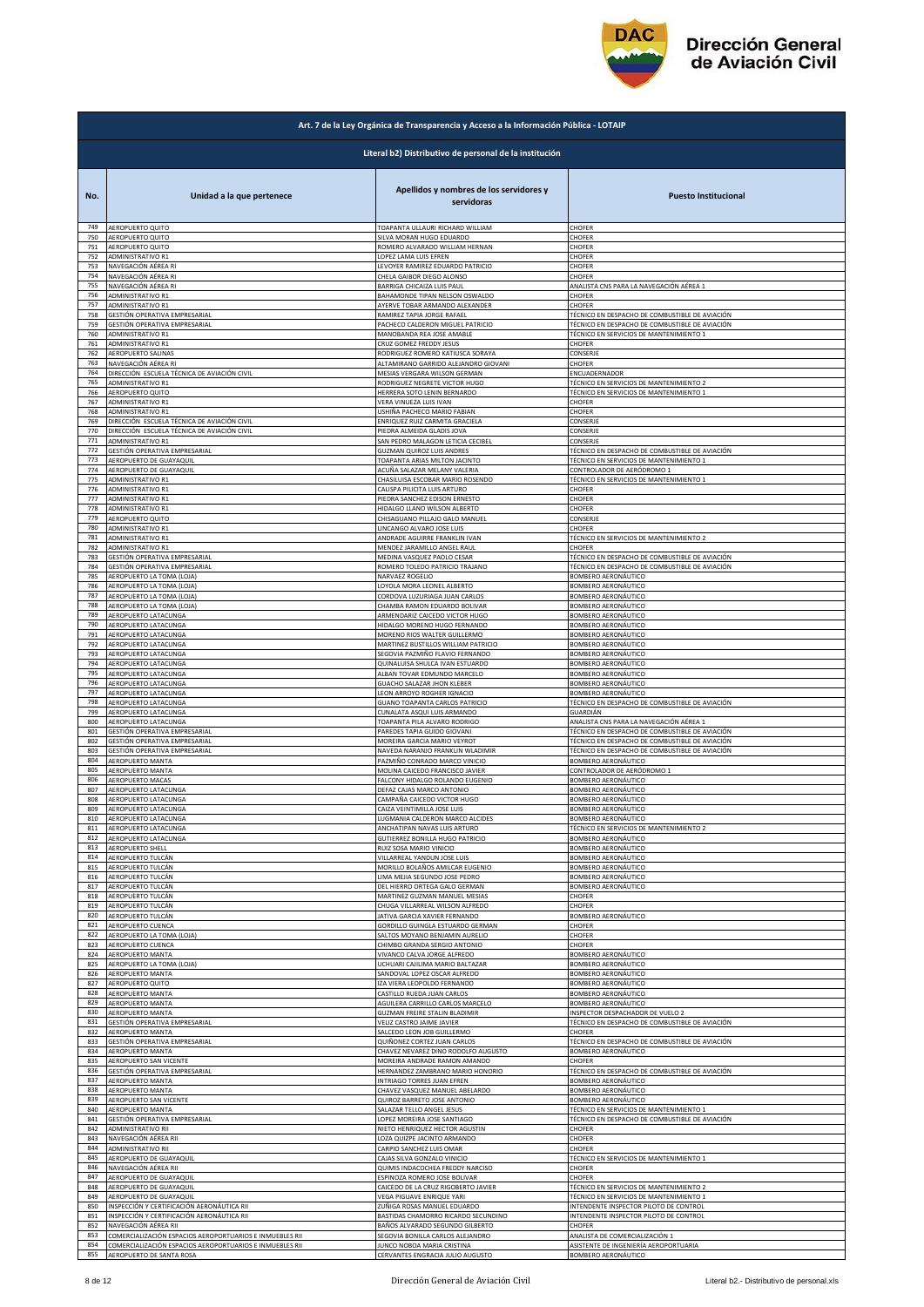

|            | Art. 7 de la Ley Orgánica de Transparencia y Acceso a la Información Pública - LOTAIP |                                                                |                                                                |  |
|------------|---------------------------------------------------------------------------------------|----------------------------------------------------------------|----------------------------------------------------------------|--|
|            | Literal b2) Distributivo de personal de la institución                                |                                                                |                                                                |  |
| No.        | Unidad a la que pertenece                                                             | Apellidos y nombres de los servidores y<br>servidoras          | <b>Puesto Institucional</b>                                    |  |
| 749        | AEROPUERTO QUITO                                                                      | TOAPANTA ULLAURI RICHARD WILLIAM                               | CHOFER                                                         |  |
| 750        | AEROPUERTO QUITO                                                                      | SILVA MORAN HUGO EDUARDO                                       | CHOFER                                                         |  |
| 751        | AEROPUERTO QUITO                                                                      | ROMERO ALVARADO WILLIAM HERNAN                                 | CHOFER                                                         |  |
| 752        | ADMINISTRATIVO R1                                                                     |                                                                | CHOFER                                                         |  |
| 753        | NAVEGACIÓN AÉREA RI                                                                   | LOPEZ LAMA LUIS EFREN<br>LEVOYER RAMIREZ EDUARDO PATRICIO      | CHOFER                                                         |  |
| 754        | NAVEGACIÓN AÉREA RI                                                                   | CHELA GAIBOR DIEGO ALONSO                                      | CHOFER                                                         |  |
| 755        | NAVEGACIÓN AÉREA RI                                                                   | BARRIGA CHICAIZA LUIS PAUL                                     | ANALISTA CNS PARA LA NAVEGACIÓN AÉREA 1                        |  |
| 756        | ADMINISTRATIVO R1                                                                     | BAHAMONDE TIPAN NELSON OSWALDO                                 | CHOFER                                                         |  |
| 757        | <b>ADMINISTRATIVO R1</b>                                                              | AYERVE TOBAR ARMANDO ALEXANDER                                 | CHOFER                                                         |  |
| 758        | GESTIÓN OPERATIVA EMPRESARIAL                                                         | RAMIREZ TAPIA JORGE RAFAEL                                     | TÉCNICO EN DESPACHO DE COMBUSTIBLE DE AVIACIÓN                 |  |
| 759        | GESTIÓN OPERATIVA EMPRESARIAL                                                         | PACHECO CALDERON MIGUEL PATRICIO                               | FÉCNICO EN DESPACHO DE COMBUSTIBLE DE AVIACIÓN                 |  |
| 760        | ADMINISTRATIVO R1                                                                     | MANOBANDA REA JOSE AMABLE                                      | TÉCNICO EN SERVICIOS DE MANTENIMIENTO 1                        |  |
| 761        | ADMINISTRATIVO R1                                                                     | CRUZ GOMEZ FREDDY JESUS                                        | CHOFER                                                         |  |
| 762        | AEROPUERTO SALINAS                                                                    | RODRIGUEZ ROMERO KATIUSCA SORAYA                               | CONSERJE                                                       |  |
| 763        | NAVEGACIÓN AÉREA RI                                                                   | ALTAMIRANO GARRIDO ALEJANDRO GIOVANI                           | <b>CHOFER</b>                                                  |  |
| 764        | DIRECCIÓN ESCUELA TÉCNICA DE AVIACIÓN CIVIL                                           | MESIAS VERGARA WILSON GERMAN                                   | ENCUADERNADOR                                                  |  |
| 765        | ADMINISTRATIVO R1                                                                     | RODRIGUEZ NEGRETE VICTOR HUGO                                  | <b>FÉCNICO EN SERVICIOS DE MANTENIMIENTO 2</b>                 |  |
| 766        | AEROPUERTO QUITO                                                                      | HERRERA SOTO LENIN BERNARDO                                    | TÉCNICO EN SERVICIOS DE MANTENIMIENTO 1                        |  |
| 767        | <b>ADMINISTRATIVO R1</b>                                                              | VERA VINUEZA LUIS IVAN                                         | CHOFER                                                         |  |
| 768        | ADMINISTRATIVO R1                                                                     | USHIÑA PACHECO MARIO FABIAN                                    | CHOFER                                                         |  |
| 769        | DIRECCIÓN ESCUELA TÉCNICA DE AVIACIÓN CIVIL                                           | ENRIQUEZ RUIZ CARMITA GRACIELA                                 | CONSERJE                                                       |  |
| 770<br>771 | DIRECCIÓN ESCUELA TÉCNICA DE AVIACIÓN CIVIL                                           | PIEDRA ALMEIDA GLADIS JOVA                                     | CONSERJE                                                       |  |
| 772        | <b>ADMINISTRATIVO R1</b>                                                              | SAN PEDRO MALAGON LETICIA CECIBEI                              | CONSERJE                                                       |  |
|            | GESTIÓN OPERATIVA EMPRESARIAL                                                         | <b>GUZMAN QUIROZ LUIS ANDRES</b>                               | TÉCNICO EN DESPACHO DE COMBUSTIBLE DE AVIACIÓN                 |  |
| 773        | AEROPUERTO DE GUAYAQUIL                                                               | TOAPANTA ARIAS MILTON JACINTO                                  | TÉCNICO EN SERVICIOS DE MANTENIMIENTO 1                        |  |
| 774        | AEROPUERTO DE GUAYAQUIL                                                               | ACUÑA SALAZAR MELANY VALERIA                                   | CONTROLADOR DE AERÓDROMO 1                                     |  |
| 775        | ADMINISTRATIVO R1                                                                     | CHASILUISA ESCOBAR MARIO ROSENDO                               | TÉCNICO EN SERVICIOS DE MANTENIMIENTO 1                        |  |
| 776        | ADMINISTRATIVO R1                                                                     | CALISPA PILICITA LUIS ARTURO                                   | CHOFER                                                         |  |
| 777        | ADMINISTRATIVO R1                                                                     | PIEDRA SANCHEZ EDISON ERNESTO                                  | CHOFER                                                         |  |
| 778        | ADMINISTRATIVO R1                                                                     | HIDALGO LLANO WILSON ALBERTO                                   | CHOFER                                                         |  |
| 779        | AEROPUERTO QUITO                                                                      | CHISAGUANO PILLAJO GALO MANUEL                                 | CONSERJE                                                       |  |
| 780        | <b>ADMINISTRATIVO R1</b>                                                              | LINCANGO ALVARO JOSE LUIS                                      | CHOFER                                                         |  |
| 781        | ADMINISTRATIVO R1                                                                     | ANDRADE AGUIRRE FRANKLIN IVAN                                  | TÉCNICO EN SERVICIOS DE MANTENIMIENTO 2                        |  |
| 782        | <b>ADMINISTRATIVO R1</b>                                                              | MENDEZ JARAMILLO ANGEL RAUL                                    | CHOFER                                                         |  |
| 783        | GESTIÓN OPERATIVA EMPRESARIAL                                                         | MEDINA VASQUEZ PAOLO CESAR                                     | TÉCNICO EN DESPACHO DE COMBUSTIBLE DE AVIACIÓN                 |  |
| 784        | GESTIÓN OPERATIVA EMPRESARIAL                                                         | ROMERO TOLEDO PATRICIO TRAJANO                                 | FÉCNICO EN DESPACHO DE COMBUSTIBLE DE AVIACIÓN                 |  |
| 785        | AEROPUERTO LA TOMA (LOJA)                                                             |                                                                | BOMBERO AERONÁUTICO                                            |  |
| 786        | AEROPUERTO LA TOMA (LOJA)                                                             | NARVAEZ ROGELIO<br>LOYOLA MORA LEONEL ALBERTO                  | BOMBERO AERONÁUTICO                                            |  |
| 787        | AEROPUERTO LA TOMA (LOJA)                                                             | CORDOVA LUZURIAGA JUAN CARLOS                                  | BOMBERO AERONÁUTICO                                            |  |
| 788        | AEROPUERTO LA TOMA (LOJA)                                                             | CHAMBA RAMON EDUARDO BOLIVAR                                   | <b>3OMBERO AERONÁUTICO</b>                                     |  |
| 789        | AEROPUERTO LATACUNGA                                                                  | ARMENDARIZ CAICEDO VICTOR HUGO                                 | BOMBERO AERONÁUTICO                                            |  |
| 790        | AEROPUERTO LATACUNGA                                                                  | HIDALGO MORENO HUGO FERNANDO                                   | BOMBERO AERONÁUTICO                                            |  |
| 791        | AEROPUERTO LATACUNGA                                                                  | MORENO RIOS WALTER GUILLERMO                                   | BOMBERO AERONÁUTICO                                            |  |
| 792        | AEROPUERTO LATACUNGA                                                                  | MARTINEZ BUSTILLOS WILLIAM PATRICIO                            | BOMBERO AERONÁUTICO                                            |  |
| 793        | AEROPUERTO LATACUNGA                                                                  | SEGOVIA PAZMIÑO FLAVIO FERNANDO                                | BOMBERO AERONÁUTICO                                            |  |
| 794        | AEROPUERTO LATACUNGA                                                                  | QUINALUISA SHULCA IVAN ESTUARDO                                | BOMBERO AERONÁUTICO                                            |  |
| 795        | AEROPUERTO LATACUNGA                                                                  | ALBAN TOVAR EDMUNDO MARCELO                                    | BOMBERO AERONÁUTICO                                            |  |
| 796        | AEROPUERTO LATACUNGA                                                                  | GUACHO SALAZAR JHON KLEBER                                     | BOMBERO AERONÁUTICO                                            |  |
| 797        | AEROPUERTO LATACUNGA                                                                  | LEON ARROYO ROGHER IGNACIO                                     | BOMBERO AERONÁUTICO                                            |  |
| 798        | AEROPUERTO LATACUNGA                                                                  | GUANO TOAPANTA CARLOS PATRICIO                                 | TÉCNICO EN DESPACHO DE COMBUSTIBLE DE AVIACIÓN                 |  |
| 799        | AEROPUERTO LATACUNGA                                                                  | CUNALATA ASQUI LUIS ARMANDO                                    | GUARDIÁN                                                       |  |
| 800        | AEROPUERTO LATACUNGA                                                                  | <b>TOAPANTA PILA ALVARO RODRIGO</b>                            | ANALISTA CNS PARA LA NAVEGACIÓN AÉREA 1                        |  |
| 801        | GESTIÓN OPERATIVA EMPRESARIAL                                                         | PAREDES TAPIA GUIDO GIOVANI                                    | FÉCNICO EN DESPACHO DE COMBUSTIBLE DE AVIACIÓN                 |  |
| 802        | GESTIÓN OPERATIVA EMPRESARIAL                                                         | MOREIRA GARCIA MARIO VEYROT                                    | TÉCNICO EN DESPACHO DE COMBUSTIBLE DE AVIACIÓN                 |  |
| 803        | GESTIÓN OPERATIVA EMPRESARIAL                                                         | NAVEDA NARANJO FRANKLIN WLADIMIR                               | TÉCNICO EN DESPACHO DE COMBUSTIBLE DE AVIACIÓN                 |  |
| 804        | <b>AEROPUERTO MANTA</b>                                                               | PAZMIÑO CONRADO MARCO VINICIO                                  | BOMBERO AERONÁUTICO                                            |  |
| 805        | <b>AEROPUERTO MANTA</b>                                                               | MOLINA CAICEDO FRANCISCO JAVIER                                | CONTROLADOR DE AERÓDROMO 1                                     |  |
| 806        | AEROPUERTO MACAS                                                                      | FALCONY HIDALGO ROLANDO EUGENIO                                | BOMBERO AERONÁUTICO                                            |  |
| 807        | AEROPUERTO LATACUNGA                                                                  | DEFAZ CAJAS MARCO ANTONIO                                      | BOMBERO AERONÁUTICO                                            |  |
| 808        | AEROPUERTO LATACUNGA                                                                  | CAMPAÑA CAICEDO VICTOR HUGO                                    | BOMBERO AERONÁUTICO                                            |  |
| R∩Q        | <b>CROBILERTO LATACUNCA</b>                                                           | AIZA VEINTIMILLA JOSE LLUS                                     | OMBERO AERONÁLITICO                                            |  |
| 810        | AEROPUERTO LATACUNGA                                                                  | LUGMANIA CALDERON MARCO ALCIDES                                | BOMBERO AERONÁUTICO                                            |  |
| 811        | AEROPUERTO LATACUNGA                                                                  | ANCHATIPAN NAVAS LUIS ARTURO                                   | TÉCNICO EN SERVICIOS DE MANTENIMIENTO 2<br>BOMBERO AERONÁUTICO |  |
| 812        | AEROPUERTO LATACUNGA                                                                  | GUTIERREZ BONILLA HUGO PATRICIO                                | BOMBERO AERONÁUTICO                                            |  |
| 813        | AEROPUERTO SHELL                                                                      | RUIZ SOSA MARIO VINICIO                                        |                                                                |  |
| 814        | AEROPUERTO TULCÁN                                                                     | VILLARREAL YANDUN JOSE LUIS                                    | BOMBERO AERONÁUTICO                                            |  |
| 815        | AEROPUERTO TULCÁN                                                                     | MORILLO BOLAÑOS AMILCAR EUGENIO                                | BOMBERO AERONÁUTICO                                            |  |
| 816        | AEROPUERTO TULCÁN                                                                     | LIMA MEJIA SEGUNDO JOSE PEDRO                                  | BOMBERO AERONÁUTICO                                            |  |
| 817        | AEROPUERTO TULCÁN                                                                     | DEL HIERRO ORTEGA GALO GERMAN                                  | BOMBERO AERONÁUTICO                                            |  |
| 818        | AEROPUERTO TULCÁN                                                                     | MARTINEZ GUZMAN MANUEL MESIAS                                  | CHOFER                                                         |  |
| 819        | AEROPUERTO TULCÁN                                                                     | CHUGA VILLARREAL WILSON ALFREDO                                | CHOFER                                                         |  |
| 820        | AEROPUERTO TULCÁN                                                                     | <b>JATIVA GARCIA XAVIER FERNANDO</b>                           | BOMBERO AERONÁUTICO                                            |  |
| 821        | AEROPUERTO CUENCA                                                                     | GORDILLO GUINGLA ESTUARDO GERMAN                               | CHOFER                                                         |  |
| 822        | AEROPUERTO LA TOMA (LOJA)<br>AEROPUERTO CUENCA                                        | SALTOS MOYANO BENJAMIN AURELIO<br>CHIMBO GRANDA SERGIO ANTONIO | CHOFER                                                         |  |
| 823<br>824 | AEROPUERTO MANTA                                                                      | VIVANCO CALVA JORGE ALFREDO                                    | CHOFER<br>BOMBERO AERONÁUTICO                                  |  |
| 825        | AEROPUERTO LA TOMA (LOJA)                                                             | JCHUARI CAJILIMA MARIO BALTAZAR                                | <b>3OMBERO AERONÁUTICO</b>                                     |  |
| 826        | AEROPUERTO MANTA                                                                      | SANDOVAL LOPEZ OSCAR ALFREDO                                   | BOMBERO AERONÁUTICO                                            |  |
| 827        | AEROPUERTO QUITO                                                                      | IZA VIERA LEOPOLDO FERNANDO                                    | BOMBERO AERONÁUTICO                                            |  |
| 828        | AEROPUERTO MANTA                                                                      | CASTILLO RUEDA JUAN CARLOS                                     | BOMBERO AERONÁUTICO                                            |  |
| 829        | AEROPUERTO MANTA                                                                      | AGUILERA CARRILLO CARLOS MARCELO                               | BOMBERO AERONÁUTICO                                            |  |
| 830        | AEROPUERTO MANTA                                                                      | <b>GUZMAN FREIRE STALIN BLADIMIR</b>                           | INSPECTOR DESPACHADOR DE VUELO 2                               |  |
| 831        | GESTIÓN OPERATIVA EMPRESARIAL                                                         | VELIZ CASTRO JAIME JAVIER                                      | TÉCNICO EN DESPACHO DE COMBUSTIBLE DE AVIACIÓN                 |  |
| 832        | AEROPUERTO MANTA                                                                      | SALCEDO LEON JOB GUILLERMO                                     | CHOFER                                                         |  |
| 833        | GESTIÓN OPERATIVA EMPRESARIAL                                                         | QUIÑONEZ CORTEZ JUAN CARLOS                                    | FÉCNICO EN DESPACHO DE COMBUSTIBLE DE AVIACIÓN                 |  |
| 834        | AEROPUERTO MANTA                                                                      | CHAVEZ NEVAREZ DINO RODOLFO AUGUSTO                            | BOMBERO AERONÁUTICO                                            |  |
| 835        | AEROPUERTO SAN VICENTE                                                                | MOREIRA ANDRADE RAMON AMANDO                                   | CHOFER                                                         |  |
| 836        | GESTIÓN OPERATIVA EMPRESARIAL                                                         | HERNANDEZ ZAMBRANO MARIO HONORIO                               | TÉCNICO EN DESPACHO DE COMBUSTIBLE DE AVIACIÓN                 |  |
| 837        | AEROPUERTO MANTA                                                                      | INTRIAGO TORRES JUAN EFREN                                     | BOMBERO AERONÁUTICO                                            |  |
| 838        | AEROPUERTO MANTA                                                                      | CHAVEZ VASQUEZ MANUEL ABELARDO                                 | BOMBERO AERONÁUTICO                                            |  |
| 839        | AEROPUERTO SAN VICENTE                                                                | QUIROZ BARRETO JOSE ANTONIO                                    | BOMBERO AERONÁUTICO                                            |  |
| 840        | AEROPUERTO MANTA                                                                      | SALAZAR TELLO ANGEL JESUS                                      | TÉCNICO EN SERVICIOS DE MANTENIMIENTO 1                        |  |
| 841        | GESTIÓN OPERATIVA EMPRESARIAL                                                         | LOPEZ MOREIRA JOSE SANTIAGO                                    | TÉCNICO EN DESPACHO DE COMBUSTIBLE DE AVIACIÓN                 |  |
| 842        | ADMINISTRATIVO RII                                                                    | NIETO HENRIQUEZ HECTOR AGUSTIN                                 | CHOFER                                                         |  |
| 843        | NAVEGACIÓN AÉREA RII                                                                  | LOZA QUIZPE JACINTO ARMANDO                                    | CHOFER                                                         |  |
| 844        | ADMINISTRATIVO RII                                                                    | CARPIO SANCHEZ LUIS OMAR                                       | CHOFER                                                         |  |
| 845        | AEROPUERTO DE GUAYAQUII                                                               | CAJAS SILVA GONZALO VINICIO                                    | TÉCNICO EN SERVICIOS DE MANTENIMIENTO 1                        |  |
| 846        | NAVEGACIÓN AÉREA RII                                                                  | QUIMIS INDACOCHEA FREDDY NARCISO                               | CHOFER                                                         |  |
| 847        | AEROPUERTO DE GUAYAQUIL                                                               | ESPINOZA ROMERO JOSE BOLIVAR                                   | CHOFER                                                         |  |
| 848        | AEROPUERTO DE GUAYAQUIL                                                               | CAICEDO DE LA CRUZ RIGOBERTO JAVIER                            | TÉCNICO EN SERVICIOS DE MANTENIMIENTO 2                        |  |
| 849        | AEROPUERTO DE GUAYAQUIL                                                               | VEGA PIGUAVE ENRIQUE YARI                                      | TÉCNICO EN SERVICIOS DE MANTENIMIENTO 1                        |  |
| 850        | INSPECCIÓN Y CERTIFICACIÓN AERONÁUTICA RII                                            | ZUÑIGA ROSAS MANUEL EDUARDO                                    | <b>INTENDENTE INSPECTOR PILOTO DE CONTROL</b>                  |  |
| 851        | INSPECCIÓN Y CERTIFICACIÓN AERONÁUTICA RII                                            | BASTIDAS CHAMORRO RICARDO SECUNDINO                            | INTENDENTE INSPECTOR PILOTO DE CONTROL                         |  |
| 852        | NAVEGACIÓN AÉREA RII                                                                  | BAÑOS ALVARADO SEGUNDO GILBERTO                                | CHOFER                                                         |  |
| 853        | COMERCIALIZACIÓN ESPACIOS AEROPORTUARIOS E INMUEBLES RII                              | SEGOVIA BONILLA CARLOS ALEJANDRO                               | ANALISTA DE COMERCIALIZACIÓN 1                                 |  |
| 854        | COMERCIALIZACIÓN ESPACIOS AEROPORTUARIOS E INMUEBLES RII                              | JUNCO NOBOA MARIA CRISTINA                                     | ASISTENTE DE INGENIERÍA AEROPORTUARIA                          |  |
| 855        | AEROPUERTO DE SANTA ROSA                                                              | CERVANTES ENGRACIA JULIO AUGUSTO                               | BOMBERO AERONÁUTICO                                            |  |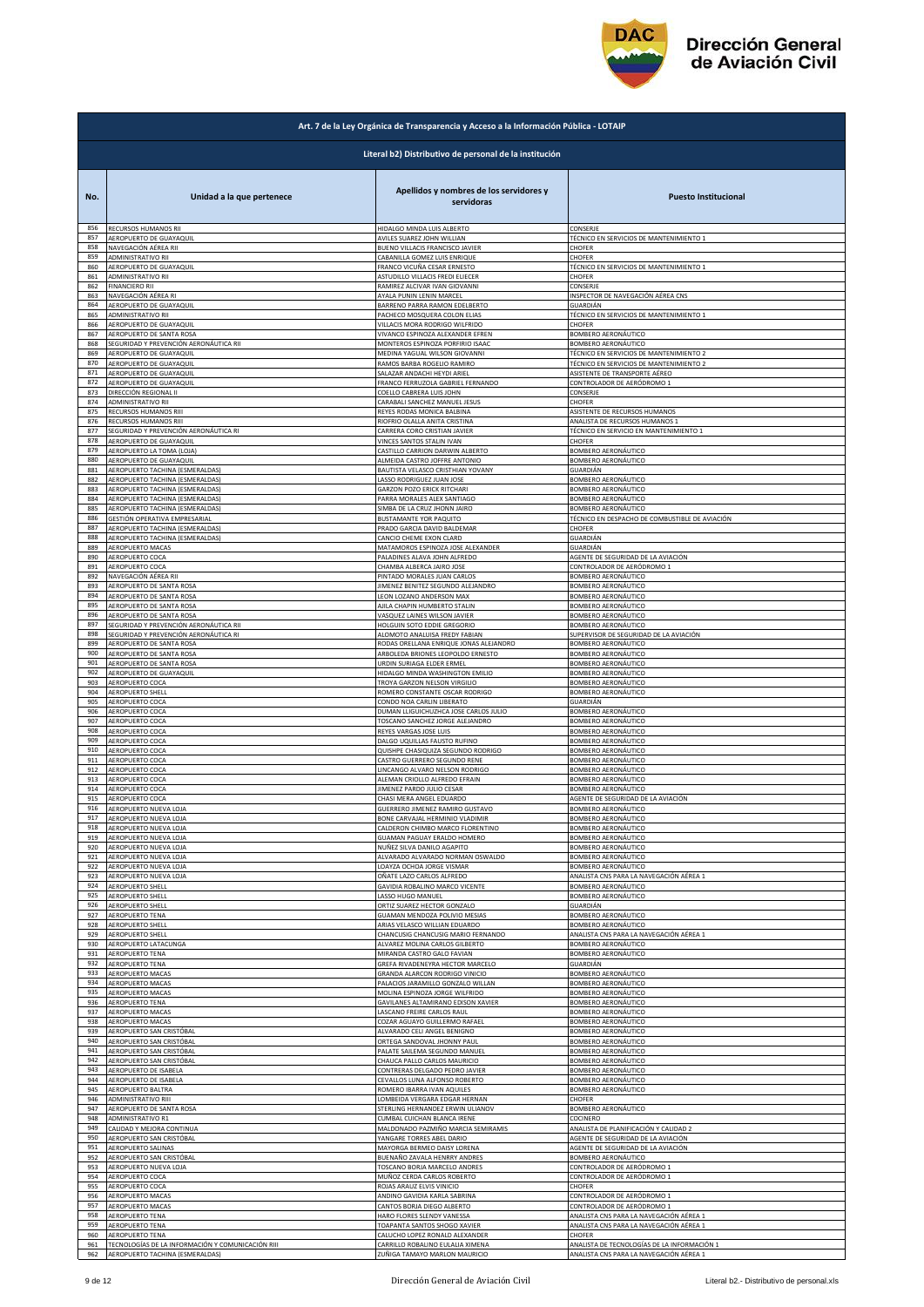

|            | Art. 7 de la Ley Orgánica de Transparencia y Acceso a la Información Pública - LOTAIP |                                                        |                                                                       |  |
|------------|---------------------------------------------------------------------------------------|--------------------------------------------------------|-----------------------------------------------------------------------|--|
|            |                                                                                       | Literal b2) Distributivo de personal de la institución |                                                                       |  |
| No.        | Unidad a la que pertenece                                                             | Apellidos y nombres de los servidores y<br>servidoras  | <b>Puesto Institucional</b>                                           |  |
| 856        | RECURSOS HUMANOS RII                                                                  | HIDALGO MINDA LUIS ALBERTO                             | CONSERJE                                                              |  |
| 857        | AEROPUERTO DE GUAYAQUIL                                                               | AVILES SUAREZ JOHN WILLIAN                             | TÉCNICO EN SERVICIOS DE MANTENIMIENTO 1                               |  |
| 858        | NAVEGACIÓN AÉREA RII                                                                  | BUENO VILLACIS FRANCISCO JAVIER                        | CHOFER                                                                |  |
| 859        | ADMINISTRATIVO RII                                                                    | CABANILLA GOMEZ LUIS ENRIQUE                           | CHOFER                                                                |  |
| 860        | AEROPUERTO DE GUAYAQUIL                                                               | FRANCO VICUÑA CESAR ERNESTO                            | TÉCNICO EN SERVICIOS DE MANTENIMIENTO 1                               |  |
| 861        | ADMINISTRATIVO RII                                                                    | ASTUDILLO VILLACIS FREDI ELIECER                       | CHOFER                                                                |  |
| 862        | <b>FINANCIERO RII</b>                                                                 | RAMIREZ ALCIVAR IVAN GIOVANNI                          | CONSERJE                                                              |  |
| 863        | NAVEGACIÓN AÉREA RI                                                                   | AYALA PUNIN LENIN MARCEL                               | INSPECTOR DE NAVEGACIÓN AÉREA CNS                                     |  |
| 864        | AEROPUERTO DE GUAYAQUIL                                                               | BARRENO PARRA RAMON EDELBERTO                          | GUARDIÁN                                                              |  |
| 865        | ADMINISTRATIVO RII                                                                    | PACHECO MOSQUERA COLON ELIAS                           | TÉCNICO EN SERVICIOS DE MANTENIMIENTO 1                               |  |
| 866        | AEROPUERTO DE GUAYAQUIL                                                               | VILLACIS MORA RODRIGO WILFRIDO                         | CHOFER                                                                |  |
| 867        | AEROPUERTO DE SANTA ROSA                                                              | VIVANCO ESPINOZA ALEXANDER EFREN                       | <b>BOMBERO AERONÁUTICO</b>                                            |  |
| 868<br>869 | SEGURIDAD Y PREVENCIÓN AERONÁUTICA RII                                                | MONTEROS ESPINOZA PORFIRIO ISAAC                       | BOMBERO AERONÁUTICO                                                   |  |
| 870        | AEROPUERTO DE GUAYAQUIL                                                               | MEDINA YAGUAL WILSON GIOVANNI                          | TÉCNICO EN SERVICIOS DE MANTENIMIENTO 2                               |  |
|            | AEROPUERTO DE GUAYAQUIL                                                               | RAMOS BARBA ROGELIO RAMIRO                             | TÉCNICO EN SERVICIOS DE MANTENIMIENTO 2                               |  |
| 871        | AEROPUERTO DE GUAYAQUIL                                                               | SALAZAR ANDACHI HEYDI ARIEL                            | ASISTENTE DE TRANSPORTE AÉREO                                         |  |
| 872        | AEROPUERTO DE GUAYAQUIL                                                               | FRANCO FERRUZOLA GABRIEL FERNANDO                      | CONTROLADOR DE AERÓDROMO 1                                            |  |
| 873        | DIRECCIÓN REGIONAL II                                                                 | COELLO CABRERA LUIS JOHN                               | CONSERJE                                                              |  |
| 874        | ADMINISTRATIVO RII                                                                    | CARABALI SANCHEZ MANUEL JESUS                          | CHOFER                                                                |  |
| 875        | RECURSOS HUMANOS RIII                                                                 | REYES RODAS MONICA BALBINA                             | ASISTENTE DE RECURSOS HUMANOS                                         |  |
| 876        | RECURSOS HUMANOS RIII                                                                 | RIOFRIO OLALLA ANITA CRISTINA                          | ANALISTA DE RECURSOS HUMANOS 1                                        |  |
| 877        | SEGURIDAD Y PREVENCIÓN AERONÁUTICA RI                                                 | CARRERA CORO CRISTIAN JAVIER                           | TÉCNICO EN SERVICIO EN MANTENIMIENTO 1                                |  |
| 878        | AEROPUERTO DE GUAYAQUIL                                                               | VINCES SANTOS STALIN IVAN                              | CHOFER                                                                |  |
| 879        | AEROPUERTO LA TOMA (LOJA)                                                             | CASTILLO CARRION DARWIN ALBERTO                        | BOMBERO AERONÁUTICO                                                   |  |
| 880        | AEROPUERTO DE GUAYAQUIL                                                               | ALMEIDA CASTRO JOFFRE ANTONIO                          | BOMBERO AERONÁUTICO                                                   |  |
| 881        | AEROPUERTO TACHINA (ESMERALDAS)                                                       | BAUTISTA VELASCO CRISTHIAN YOVANY                      | GUARDIÁN                                                              |  |
| 882        | <b>AEROPUERTO TACHINA (ESMERALDAS)</b>                                                | ASSO RODRIGUEZ JUAN JOSE                               | BOMBERO AERONÁUTICO                                                   |  |
| 883        | AEROPUERTO TACHINA (ESMERALDAS)                                                       | <b>GARZON POZO ERICK RITCHARI</b>                      | BOMBERO AERONÁUTICO                                                   |  |
| 884        | AEROPUERTO TACHINA (ESMERALDAS)                                                       | PARRA MORALES ALEX SANTIAGO                            | BOMBERO AERONÁUTICO                                                   |  |
| 885<br>886 | AEROPUERTO TACHINA (ESMERALDAS)                                                       | SIMBA DE LA CRUZ JHONN JAIRO                           | BOMBERO AERONÁUTICO<br>TÉCNICO EN DESPACHO DE COMBUSTIBLE DE AVIACIÓN |  |
| 887        | GESTIÓN OPERATIVA EMPRESARIAL<br>AEROPUERTO TACHINA (ESMERALDAS)                      | BUSTAMANTE YOR PAQUITO<br>PRADO GARCIA DAVID BALDEMAR  | CHOFER                                                                |  |
| 888        | AEROPUERTO TACHINA (ESMERALDAS)                                                       | CANCIO CHEME EXON CLARD                                | GUARDIÁN                                                              |  |
| 889        | AEROPUERTO MACAS                                                                      | MATAMOROS ESPINOZA JOSE ALEXANDER                      | GUARDIÁN                                                              |  |
| 890        | AEROPUERTO COCA                                                                       | PALADINES ALAVA JOHN ALFREDO                           | AGENTE DE SEGURIDAD DE LA AVIACIÓN                                    |  |
| 891        | AEROPUERTO COCA                                                                       | CHAMBA ALBERCA JAIRO JOSE                              | CONTROLADOR DE AERÓDROMO 1                                            |  |
| 892        | NAVEGACIÓN AÉREA RII                                                                  | PINTADO MORALES JUAN CARLOS                            | BOMBERO AERONÁUTICO                                                   |  |
| 893        | AEROPUERTO DE SANTA ROSA                                                              | IIMENEZ BENITEZ SEGUNDO ALEJANDRO                      | BOMBERO AERONÁUTICO                                                   |  |
| 894        | AEROPUERTO DE SANTA ROSA                                                              | LEON LOZANO ANDERSON MAX                               | BOMBERO AERONÁUTICO                                                   |  |
| 895        | AEROPUERTO DE SANTA ROSA                                                              | AJILA CHAPIN HUMBERTO STALIN                           | BOMBERO AERONÁUTICO                                                   |  |
| 896        | AEROPUERTO DE SANTA ROSA                                                              | VASQUEZ LAINES WILSON JAVIER                           | BOMBERO AERONÁUTICO                                                   |  |
| 897        | SEGURIDAD Y PREVENCIÓN AERONÁUTICA RII                                                | HOLGUIN SOTO EDDIE GREGORIO                            | BOMBERO AERONÁUTICO                                                   |  |
| 898        | SEGURIDAD Y PREVENCIÓN AERONÁUTICA RI                                                 | ALOMOTO ANALUISA FREDY FABIAN                          | SUPERVISOR DE SEGURIDAD DE LA AVIACIÓN                                |  |
| 899        | AEROPUERTO DE SANTA ROSA                                                              | RODAS ORELLANA ENRIQUE JONAS ALEJANDRO                 | 3OMBERO AERONÁUTICO                                                   |  |
| 900        | AEROPUERTO DE SANTA ROSA                                                              | ARBOLEDA BRIONES LEOPOLDO ERNESTO                      | BOMBERO AERONÁUTICO                                                   |  |
| 901        | AEROPUERTO DE SANTA ROSA                                                              | URDIN SURIAGA ELDER ERMEL                              | BOMBERO AERONÁUTICO                                                   |  |
| 902        | AEROPUERTO DE GUAYAQUIL                                                               | <b>HIDALGO MINDA WASHINGTON EMILIO</b>                 | BOMBERO AERONÁUTICO                                                   |  |
| 903        | AEROPUERTO COCA                                                                       | TROYA GARZON NELSON VIRGILIO                           | BOMBERO AERONÁUTICO                                                   |  |
| 904        | AEROPUERTO SHELL                                                                      | ROMERO CONSTANTE OSCAR RODRIGO                         | BOMBERO AERONÁUTICO                                                   |  |
| 905        | AEROPUERTO COCA                                                                       | CONDO NOA CARLIN LIBERATO                              | GUARDIÁN                                                              |  |
| 906        | AEROPUERTO COCA                                                                       | DUMAN LLIGUICHUZHCA JOSE CARLOS JULIO                  | BOMBERO AERONÁUTICO                                                   |  |
| 907        | AEROPUERTO COCA                                                                       | <b>TOSCANO SANCHEZ JORGE ALEJANDRO</b>                 | BOMBERO AERONÁUTICO                                                   |  |
| 908        | AEROPUERTO COCA                                                                       | REYES VARGAS JOSE LUIS                                 | BOMBERO AERONÁUTICO                                                   |  |
| 909        |                                                                                       | DALGO UQUILLAS FAUSTO RUFINO                           | BOMBERO AERONÁUTICO                                                   |  |
| 910        | AEROPUERTO COCA<br>AEROPUERTO COCA                                                    | QUISHPE CHASIQUIZA SEGUNDO RODRIGO                     | BOMBERO AERONÁUTICO                                                   |  |
| 911        | AEROPUERTO COCA                                                                       | CASTRO GUERRERO SEGUNDO RENE                           | BOMBERO AERONÁUTICO                                                   |  |
| 912        | AEROPUERTO COCA                                                                       | LINCANGO ALVARO NELSON RODRIGO                         | BOMBERO AERONÁUTICO                                                   |  |
| 913        | AEROPUERTO COCA                                                                       | ALEMAN CRIOLLO ALFREDO EFRAIN                          | BOMBERO AERONÁUTICO                                                   |  |
| 914        | AEROPUERTO COCA                                                                       | JIMENEZ PARDO JULIO CESAR                              | BOMBERO AERONÁUTICO                                                   |  |
| 915        | AEROPUERTO COCA                                                                       | CHASI MERA ANGEL EDUARDO                               | AGENTE DE SEGURIDAD DE LA AVIACIÓN                                    |  |
| 916        | AEROPUERTO NUEVA LOJA                                                                 | GUERRERO JIMENEZ RAMIRO GUSTAVO                        | <b>BOMBERO AERONÁUTICO</b>                                            |  |
| 917        | AEROPUERTO NUEVA LOJA                                                                 | BONE CARVAJAL HERMINIO VLADIMIR                        | BOMBERO AERONÁUTICO                                                   |  |
| 918        | AEROPUERTO NUEVA LOJA                                                                 | CALDERON CHIMBO MARCO FLORENTINO                       | BOMBERO AERONÁUTICO                                                   |  |
| 919        | AEROPUERTO NUEVA LOJA                                                                 | GUAMAN PAGUAY ERALDO HOMERO                            | BOMBERO AERONÁUTICO                                                   |  |
| 920        | AEROPUERTO NUEVA LOJA                                                                 | NUÑEZ SILVA DANILO AGAPITO                             | BOMBERO AERONÁUTICO                                                   |  |
| 921        | AEROPUERTO NUEVA LOJA                                                                 | ALVARADO ALVARADO NORMAN OSWALDO                       | BOMBERO AERONÁUTICO                                                   |  |
| 922        | AEROPUERTO NUEVA LOJA                                                                 | LOAYZA OCHOA JORGE VISMAR                              | BOMBERO AERONÁUTICO                                                   |  |
| 923        | AEROPUERTO NUEVA LOJA                                                                 | OÑATE LAZO CARLOS ALFREDO                              | ANALISTA CNS PARA LA NAVEGACIÓN AÉREA 1                               |  |
| 924        | <b>AEROPUERTO SHELL</b>                                                               | GAVIDIA ROBALINO MARCO VICENTE                         | <b>BOMBERO AERONÁUTICO</b>                                            |  |
| 925        | <b>AEROPUERTO SHELL</b>                                                               | ASSO HUGO MANUEL                                       | BOMBERO AERONÁUTICO                                                   |  |
| 926        | AEROPUERTO SHELL                                                                      | ORTIZ SUAREZ HECTOR GONZALO                            | GUARDIÁN                                                              |  |
| 927        | AEROPUERTO TENA                                                                       | GUAMAN MENDOZA POLIVIO MESIAS                          | BOMBERO AERONÁUTICO                                                   |  |
| 928        | AEROPUERTO SHELL                                                                      | ARIAS VELASCO WILLIAN EDUARDO                          | BOMBERO AERONÁUTICO                                                   |  |
| 929        | AEROPUERTO SHELL                                                                      | CHANCUSIG CHANCUSIG MARIO FERNANDO                     | ANALISTA CNS PARA LA NAVEGACIÓN AÉREA 1                               |  |
| 930        | AEROPUERTO LATACUNGA                                                                  | ALVAREZ MOLINA CARLOS GILBERTO                         | BOMBERO AERONÁUTICO                                                   |  |
| 931        | AEROPUERTO TENA                                                                       | MIRANDA CASTRO GALO FAVIAN                             | BOMBERO AERONÁUTICO                                                   |  |
| 932        | <b>AEROPUERTO TENA</b>                                                                | GREFA RIVADENEYRA HECTOR MARCELO                       | GUARDIÁN                                                              |  |
| 933<br>934 | AEROPUERTO MACAS                                                                      | GRANDA ALARCON RODRIGO VINICIO                         | BOMBERO AERONÁUTICO                                                   |  |
| 935        | AEROPUERTO MACAS                                                                      | PALACIOS JARAMILLO GONZALO WILLAN                      | BOMBERO AERONÁUTICO                                                   |  |
|            | AEROPUERTO MACAS                                                                      | MOLINA ESPINOZA JORGE WILFRIDO                         | BOMBERO AERONÁUTICO                                                   |  |
| 936        | AEROPUERTO TENA                                                                       | GAVILANES ALTAMIRANO EDISON XAVIER                     | BOMBERO AERONÁUTICO                                                   |  |
| 937        | AEROPUERTO MACAS                                                                      | ASCANO FREIRE CARLOS RAUL                              | BOMBERO AERONÁUTICO                                                   |  |
| 938        | AEROPUERTO MACAS                                                                      | COZAR AGUAYO GUILLERMO RAFAEL                          | BOMBERO AERONÁUTICO                                                   |  |
| 939        | AEROPUERTO SAN CRISTÓBAL                                                              | ALVARADO CELI ANGEL BENIGNO                            | BOMBERO AERONÁUTICO                                                   |  |
| 940        | AEROPUERTO SAN CRISTÓBAL                                                              | ORTEGA SANDOVAL JHONNY PAUL                            | BOMBERO AERONÁUTICO                                                   |  |
| 941        | AEROPUERTO SAN CRISTÓBAL                                                              | PALATE SAILEMA SEGUNDO MANUEL                          | BOMBERO AERONÁUTICO                                                   |  |
| 942        | AEROPUERTO SAN CRISTÓBAL                                                              | CHAUCA PALLO CARLOS MAURICIO                           | BOMBERO AERONÁUTICO                                                   |  |
| 943        | AEROPUERTO DE ISABELA                                                                 | CONTRERAS DELGADO PEDRO JAVIER                         | BOMBERO AERONÁUTICO                                                   |  |
| 944        | AEROPUERTO DE ISABELA                                                                 | CEVALLOS LUNA ALFONSO ROBERTO                          | BOMBERO AERONÁUTICO                                                   |  |
| 945        | AEROPUERTO BALTRA                                                                     | ROMERO IBARRA IVAN AQUILES                             | BOMBERO AERONÁUTICO                                                   |  |
| 946        | ADMINISTRATIVO RIII                                                                   | LOMBEIDA VERGARA EDGAR HERNAN                          | CHOFER                                                                |  |
| 947        | AEROPUERTO DE SANTA ROSA                                                              | STERLING HERNANDEZ ERWIN ULIANOV                       | BOMBERO AERONÁUTICO                                                   |  |
| 948        | ADMINISTRATIVO R1                                                                     | CUMBAL CUICHAN BLANCA IRENE                            | COCINERO                                                              |  |
| 949        | CALIDAD Y MEJORA CONTINUA                                                             | MALDONADO PAZMIÑO MARCIA SEMIRAMIS                     | ANALISTA DE PLANIFICACIÓN Y CALIDAD 2                                 |  |
| 950        | AEROPUERTO SAN CRISTÓBAL                                                              | <b>ANGARE TORRES ABEL DARIO</b>                        | AGENTE DE SEGURIDAD DE LA AVIACIÓN                                    |  |
| 951        | AEROPUERTO SALINAS                                                                    | MAYORGA BERMEO DAISY LORENA                            | AGENTE DE SEGURIDAD DE LA AVIACIÓN                                    |  |
| 952        | AEROPUERTO SAN CRISTÓBAL                                                              | BUENAÑO ZAVALA HENRRY ANDRES                           | BOMBERO AERONÁUTICO                                                   |  |
| 953        | AEROPUERTO NUEVA LOJA                                                                 | TOSCANO BORJA MARCELO ANDRES                           | CONTROLADOR DE AERÓDROMO 1                                            |  |
| 954        | AEROPUERTO COCA                                                                       | MUÑOZ CERDA CARLOS ROBERTO                             | CONTROLADOR DE AERÓDROMO 1                                            |  |
| 955        | AEROPUERTO COCA                                                                       | ROJAS ARAUZ ELVIS VINICIO                              | CHOFER                                                                |  |
| 956        | AEROPUERTO MACAS                                                                      | ANDINO GAVIDIA KARLA SABRINA                           | CONTROLADOR DE AERÓDROMO 1                                            |  |
| 957        | AEROPUERTO MACAS                                                                      | CANTOS BORJA DIEGO ALBERTO                             | CONTROLADOR DE AERÓDROMO 1                                            |  |
| 958        | AEROPUERTO TENA                                                                       | HARO FLORES SLENDY VANESSA                             | ANALISTA CNS PARA LA NAVEGACIÓN AÉREA 1                               |  |
| 959        | AEROPUERTO TENA                                                                       | TOAPANTA SANTOS SHOGO XAVIER                           | ANALISTA CNS PARA LA NAVEGACIÓN AÉREA 1                               |  |
| 960        | AEROPUERTO TENA                                                                       | CALUCHO LOPEZ RONALD ALEXANDER                         | CHOFER                                                                |  |
| 961        | TECNOLOGÍAS DE LA INFORMACIÓN Y COMUNICACIÓN RIII                                     | CARRILLO ROBALINO EULALIA XIMENA                       | ANALISTA DE TECNOLOGÍAS DE LA INFORMACIÓN 1                           |  |
| 962        | AEROPUERTO TACHINA (ESMERALDAS)                                                       | ZUÑIGA TAMAYO MARLON MAURICIO                          | ANALISTA CNS PARA LA NAVEGACIÓN AÉREA 1                               |  |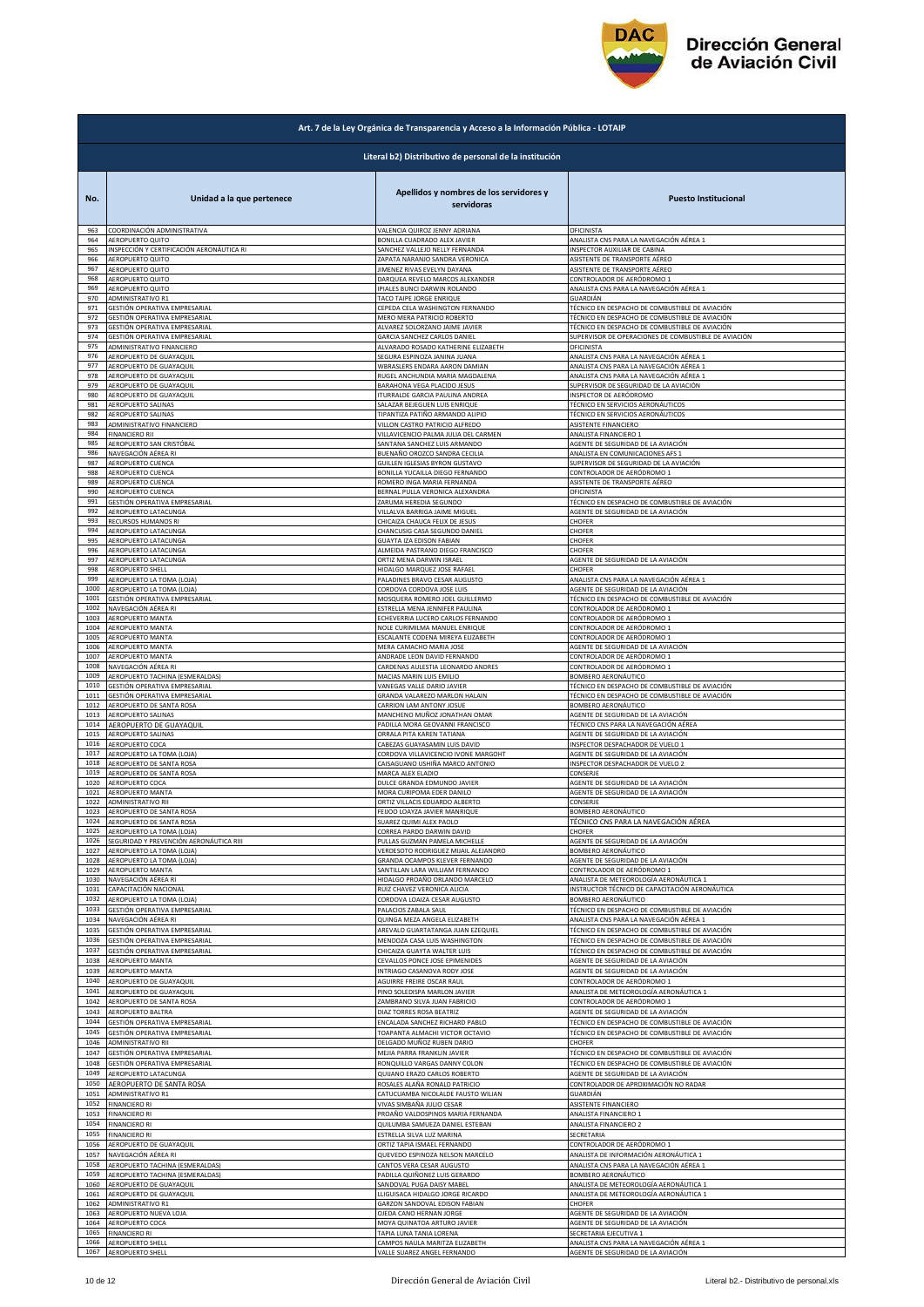

|              | Art. 7 de la Ley Orgánica de Transparencia y Acceso a la Información Pública - LOTAIP |                                                         |                                                              |  |
|--------------|---------------------------------------------------------------------------------------|---------------------------------------------------------|--------------------------------------------------------------|--|
|              | Literal b2) Distributivo de personal de la institución                                |                                                         |                                                              |  |
| No.          | Unidad a la que pertenece                                                             | Apellidos y nombres de los servidores y<br>servidoras   | <b>Puesto Institucional</b>                                  |  |
| 963          | COORDINACIÓN ADMINISTRATIVA                                                           | VALENCIA QUIROZ JENNY ADRIANA                           | OFICINISTA                                                   |  |
| 964          | AEROPUERTO QUITO                                                                      | BONILLA CUADRADO ALEX JAVIER                            | ANALISTA CNS PARA LA NAVEGACIÓN AÉREA 1                      |  |
| 965          | INSPECCIÓN Y CERTIFICACIÓN AERONÁUTICA RI                                             | SANCHEZ VALLEJO NELLY FERNANDA                          | INSPECTOR AUXILIAR DE CABINA                                 |  |
| 966          | AEROPUERTO QUITO                                                                      | ZAPATA NARANJO SANDRA VERONICA                          | ASISTENTE DE TRANSPORTE AÉREO                                |  |
| 967          | AEROPUERTO QUITO                                                                      | JIMENEZ RIVAS EVELYN DAYANA                             | ASISTENTE DE TRANSPORTE AÉREO                                |  |
| 968          | AEROPUERTO QUITO                                                                      | DARQUEA REVELO MARCOS ALEXANDER                         | CONTROLADOR DE AERÓDROMO 1                                   |  |
| 969          | AEROPUERTO QUITO                                                                      | IPIALES BUNCI DARWIN ROLANDO                            | ANALISTA CNS PARA LA NAVEGACIÓN AÉREA 1                      |  |
| 970          | ADMINISTRATIVO R1                                                                     | TACO TAIPE JORGE ENRIQUE                                | GUARDIÁN                                                     |  |
| 971          | GESTIÓN OPERATIVA EMPRESARIAL                                                         | CEPEDA CELA WASHINGTON FERNANDO                         | TÉCNICO EN DESPACHO DE COMBUSTIBLE DE AVIACIÓN               |  |
| 972          | GESTIÓN OPERATIVA EMPRESARIAL                                                         | MERO MERA PATRICIO ROBERTO                              | TÉCNICO EN DESPACHO DE COMBUSTIBLE DE AVIACIÓN               |  |
| 973          | GESTIÓN OPERATIVA EMPRESARIAL                                                         | ALVAREZ SOLORZANO JAIME JAVIER                          | TÉCNICO EN DESPACHO DE COMBUSTIBLE DE AVIACIÓN               |  |
| 974          | GESTIÓN OPERATIVA EMPRESARIAL                                                         | GARCIA SANCHEZ CARLOS DANIEL                            | SUPERVISOR DE OPERACIONES DE COMBUSTIBLE DE AVIACIÓN         |  |
| 975<br>976   | ADMINISTRATIVO FINANCIERO                                                             | ALVARADO ROSADO KATHERINE ELIZABETH                     | OFICINISTA                                                   |  |
| 977          | AEROPUERTO DE GUAYAQUIL                                                               | SEGURA ESPINOZA JANINA JUANA                            | ANALISTA CNS PARA LA NAVEGACIÓN AÉREA 1                      |  |
|              | AEROPUERTO DE GUAYAQUIL                                                               | WBRASLERS ENDARA AARON DAMIAN                           | ANALISTA CNS PARA LA NAVEGACIÓN AÉREA 1                      |  |
| 978          | AEROPUERTO DE GUAYAQUIL                                                               | RUGEL ANCHUNDIA MARIA MAGDALENA                         | ANALISTA CNS PARA LA NAVEGACIÓN AÉREA 1                      |  |
| 979          | AEROPUERTO DE GUAYAQUIL                                                               | BARAHONA VEGA PLACIDO JESUS                             | SUPERVISOR DE SEGURIDAD DE LA AVIACIÓN                       |  |
| 980          | AEROPUERTO DE GUAYAQUIL                                                               | ITURRALDE GARCIA PAULINA ANDREA                         | INSPECTOR DE AERÓDROMO                                       |  |
| 981          | AEROPUERTO SALINAS                                                                    | SALAZAR BEJEGUEN LUIS ENRIQUE                           | TÉCNICO EN SERVICIOS AERONÁUTICOS                            |  |
| 982          | AEROPUERTO SALINAS                                                                    | TIPANTIZA PATIÑO ARMANDO ALIPIO                         | TÉCNICO EN SERVICIOS AERONÁUTICOS                            |  |
| 983          | ADMINISTRATIVO FINANCIERO                                                             | VILLON CASTRO PATRICIO ALFREDO                          | ASISTENTE FINANCIERO                                         |  |
| 984          | <b>FINANCIERO RII</b>                                                                 | VILLAVICENCIO PALMA JULIA DEL CARMEN                    | ANALISTA FINANCIERO 1                                        |  |
| 985          | AEROPUERTO SAN CRISTÓBAL                                                              | SANTANA SANCHEZ LUIS ARMANDO                            | AGENTE DE SEGURIDAD DE LA AVIACIÓN                           |  |
| 986          | NAVEGACIÓN AÉREA RI                                                                   | BUENAÑO OROZCO SANDRA CECILIA                           | ANALISTA EN COMUNICACIONES AFS 1                             |  |
| 987          | AEROPUERTO CUENCA                                                                     | GUILLEN IGLESIAS BYRON GUSTAVO                          | SUPERVISOR DE SEGURIDAD DE LA AVIACIÓN                       |  |
| 988          | AEROPUERTO CUENCA                                                                     | BONILLA YUCAILLA DIEGO FERNANDO                         | CONTROLADOR DE AERÓDROMO 1                                   |  |
| 989          | AEROPUERTO CUENCA                                                                     | ROMERO INGA MARIA FERNANDA                              | ASISTENTE DE TRANSPORTE AÉREO                                |  |
| 990          | AEROPUERTO CUENCA                                                                     | BERNAL PULLA VERONICA ALEXANDRA                         |                                                              |  |
| 991          | GESTIÓN OPERATIVA EMPRESARIAL                                                         | ZARUMA HEREDIA SEGUNDO                                  | OFICINISTA<br>TÉCNICO EN DESPACHO DE COMBUSTIBLE DE AVIACIÓN |  |
| 992          | AEROPUERTO LATACUNGA                                                                  | VILLALVA BARRIGA JAIME MIGUEL                           | AGENTE DE SEGURIDAD DE LA AVIACIÓN                           |  |
| 993          | RECURSOS HUMANOS RI                                                                   | CHICAIZA CHAUCA FELIX DE JESUS                          | CHOFER                                                       |  |
| 994          | AEROPUERTO LATACUNGA                                                                  | CHANCUSIG CASA SEGUNDO DANIEL                           | CHOFER                                                       |  |
| 995          | AEROPUERTO LATACUNGA                                                                  | GUAYTA IZA EDISON FABIAN                                | CHOFER                                                       |  |
| 996<br>997   | AEROPUERTO LATACUNGA                                                                  | ALMEIDA PASTRANO DIEGO FRANCISCO                        | CHOFER<br>AGENTE DE SEGURIDAD DE LA AVIACIÓN                 |  |
| 998          | AEROPUERTO LATACUNGA<br>AEROPUERTO SHELL                                              | ORTIZ MENA DARWIN ISRAEL<br>HIDALGO MARQUEZ JOSE RAFAEL | CHOFER                                                       |  |
| 999          | AEROPUERTO LA TOMA (LOJA)                                                             | PALADINES BRAVO CESAR AUGUSTO                           | ANALISTA CNS PARA LA NAVEGACIÓN AÉREA 1                      |  |
| 1000         | AEROPUERTO LA TOMA (LOJA)                                                             | CORDOVA CORDOVA JOSE LUIS                               | AGENTE DE SEGURIDAD DE LA AVIACIÓN                           |  |
| 1001         | GESTIÓN OPERATIVA EMPRESARIAL                                                         | MOSQUERA ROMERO JOEL GUILLERMO                          | TÉCNICO EN DESPACHO DE COMBUSTIBLE DE AVIACIÓN               |  |
| 1002         | NAVEGACIÓN AÉREA RI                                                                   | ESTRELLA MENA JENNIFER PAULINA                          | CONTROLADOR DE AERÓDROMO 1                                   |  |
| 1003<br>1004 | AEROPUERTO MANTA                                                                      | ECHEVERRIA LUCERO CARLOS FERNANDO                       | CONTROLADOR DE AERÓDROMO 1                                   |  |
| 1005         | AEROPUERTO MANTA                                                                      | NOLE CURIMILMA MANUEL ENRIQUE                           | CONTROLADOR DE AERÓDROMO 1                                   |  |
|              | AEROPUERTO MANTA                                                                      | ESCALANTE CODENA MIREYA ELIZABETH                       | CONTROLADOR DE AERÓDROMO 1                                   |  |
| 1006         | AEROPUERTO MANTA                                                                      | MERA CAMACHO MARIA JOSE                                 | AGENTE DE SEGURIDAD DE LA AVIACIÓN                           |  |
| 1007         | AEROPUERTO MANTA                                                                      | ANDRADE LEON DAVID FERNANDO                             | CONTROLADOR DE AERÓDROMO 1                                   |  |
| 1008         | NAVEGACIÓN AÉREA RI                                                                   | CARDENAS AULESTIA LEONARDO ANDRES                       | CONTROLADOR DE AERÓDROMO 1                                   |  |
| 1009         | AEROPUERTO TACHINA (ESMERALDAS)                                                       | MACIAS MARIN LUIS EMILIO                                | BOMBERO AERONÁUTICO                                          |  |
| 1010         | GESTIÓN OPERATIVA EMPRESARIAL                                                         | VANEGAS VALLE DARIO JAVIER                              | TÉCNICO EN DESPACHO DE COMBUSTIBLE DE AVIACIÓN               |  |
| 1011         | GESTIÓN OPERATIVA EMPRESARIAL                                                         | GRANDA VALAREZO MARLON HALAIN                           | TÉCNICO EN DESPACHO DE COMBUSTIBLE DE AVIACIÓN               |  |
| 1012         | AEROPUERTO DE SANTA ROSA                                                              | CARRION LAM ANTONY JOSUE                                | BOMBERO AERONÁUTICO                                          |  |
| 1013         | <b>AEROPUERTO SALINAS</b>                                                             | MANCHENO MUÑOZ JONATHAN OMAR                            | AGENTE DE SEGURIDAD DE LA AVIACIÓN                           |  |
| 1014         | AEROPUERTO DE GUAYAQUIL                                                               | PADILLA MORA GEOVANNI FRANCISCO                         | TÉCNICO CNS PARA LA NAVEGACIÓN AÉREA                         |  |
| 1015         | AEROPUERTO SALINAS                                                                    | ORRALA PITA KAREN TATIANA                               | AGENTE DE SEGURIDAD DE LA AVIACIÓN                           |  |
| 1016         | AEROPUERTO COCA                                                                       | CABEZAS GUAYASAMIN LUIS DAVID                           | NSPECTOR DESPACHADOR DE VUELO 1                              |  |
| 1017         | AEROPUERTO LA TOMA (LOJA)                                                             | CORDOVA VILLAVICENCIO IVONE MARGOHT                     | AGENTE DE SEGURIDAD DE LA AVIACIÓN                           |  |
| 1018         | AEROPUERTO DE SANTA ROSA                                                              | CAISAGUANO USHIÑA MARCO ANTONIO                         | INSPECTOR DESPACHADOR DE VUELO 2                             |  |
| 1019         | AEROPUERTO DE SANTA ROSA                                                              | MARCA ALEX ELADIO                                       | CONSERJE                                                     |  |
| 1020         | AEROPUERTO COCA                                                                       | DULCE GRANDA EDMUNDO JAVIER                             | AGENTE DE SEGURIDAD DE LA AVIACIÓN                           |  |
| 1021         | AEROPUERTO MANTA                                                                      | MORA CURIPOMA EDER DANILO                               | AGENTE DE SEGURIDAD DE LA AVIACIÓN                           |  |
| 1022         | <b>ADMINISTRATIVO RII</b>                                                             | ORTIZ VILLACIS EDUARDO ALBERTO                          | CONSERJE                                                     |  |
| 1023         | AFROPUFRTO DE SANTA ROSA                                                              | FEIIOO LOAYZA JAVIER MANRIOUE                           | BOMBERO AFRONÁUTICO                                          |  |
| 1024         | AEROPUERTO DE SANTA ROSA                                                              | SUAREZ QUIMI ALEX PAOLO                                 | TÉCNICO CNS PARA LA NAVEGACIÓN AÉREA                         |  |
| 1025         | AEROPUERTO LA TOMA (LOJA)                                                             | CORREA PARDO DARWIN DAVID                               | CHOFER                                                       |  |
| 1026         | SEGURIDAD Y PREVENCIÓN AERONÁUTICA RIII                                               | PULLAS GUZMAN PAMELA MICHELLE                           | AGENTE DE SEGURIDAD DE LA AVIACIÓN                           |  |
| 1027         | AEROPUERTO LA TOMA (LOJA)                                                             | VERDESOTO RODRIGUEZ MIJAIL ALEJANDRO                    | BOMBERO AERONÁUTICO                                          |  |
| 1028         | AEROPUERTO LA TOMA (LOJA)                                                             | GRANDA OCAMPOS KLEVER FERNANDO                          | AGENTE DE SEGURIDAD DE LA AVIACIÓN                           |  |
| 1029         | AEROPUERTO MANTA                                                                      | SANTILLAN LARA WILLIAM FERNANDO                         | CONTROLADOR DE AERÓDROMO 1                                   |  |
| 1030         | NAVEGACIÓN AÉREA RI                                                                   | HIDALGO PROAÑO ORLANDO MARCELO                          | ANALISTA DE METEOROLOGÍA AERONÁUTICA 1                       |  |
| 1031         | CAPACITACIÓN NACIONAL                                                                 | RUIZ CHAVEZ VERONICA ALICIA                             | INSTRUCTOR TÉCNICO DE CAPACITACIÓN AERONÁUTICA               |  |
| 1032         | AEROPUERTO LA TOMA (LOJA)                                                             | CORDOVA LOAIZA CESAR AUGUSTO                            | BOMBERO AERONÁUTICO                                          |  |
| 1033         | GESTIÓN OPERATIVA EMPRESARIAL                                                         | PALACIOS ZABALA SAUL                                    | TÉCNICO EN DESPACHO DE COMBUSTIBLE DE AVIACIÓN               |  |
| 1034         | NAVEGACIÓN AÉREA RI                                                                   | QUINGA MEZA ANGELA ELIZABETH                            | ANALISTA CNS PARA LA NAVEGACIÓN AÉREA 1                      |  |
| 1035         | GESTIÓN OPERATIVA EMPRESARIAL                                                         | AREVALO GUARTATANGA JUAN EZEQUIEL                       | TÉCNICO EN DESPACHO DE COMBUSTIBLE DE AVIACIÓN               |  |
| 1036         | GESTIÓN OPERATIVA EMPRESARIAL                                                         | MENDOZA CASA LUIS WASHINGTON                            | FÉCNICO EN DESPACHO DE COMBUSTIBLE DE AVIACIÓN               |  |
| 1037         | GESTIÓN OPERATIVA EMPRESARIAL                                                         | CHICAIZA GUAYTA WALTER LUIS                             | TÉCNICO EN DESPACHO DE COMBUSTIBLE DE AVIACIÓN               |  |
| 1038         | AEROPUERTO MANTA                                                                      | CEVALLOS PONCE JOSE EPIMENIDES                          | AGENTE DE SEGURIDAD DE LA AVIACIÓN                           |  |
| 1039         | AEROPUERTO MANTA                                                                      | INTRIAGO CASANOVA RODY JOSE                             | AGENTE DE SEGURIDAD DE LA AVIACIÓN                           |  |
| 1040         | AEROPUERTO DE GUAYAQUIL                                                               | AGUIRRE FREIRE OSCAR RAUL                               | CONTROLADOR DE AERÓDROMO 1                                   |  |
| 1041         | AEROPUERTO DE GUAYAQUIL                                                               | PINO SOLEDISPA MARLON JAVIER                            | ANALISTA DE METEOROLOGÍA AERONÁUTICA 1                       |  |
| 1042         | AEROPUERTO DE SANTA ROSA                                                              | ZAMBRANO SILVA JUAN FABRICIO                            | CONTROLADOR DE AERÓDROMO 1                                   |  |
| 1043         | AEROPUERTO BALTRA                                                                     | <b>DIAZ TORRES ROSA BEATRIZ</b>                         | AGENTE DE SEGURIDAD DE LA AVIACIÓN                           |  |
| 1044         | GESTIÓN OPERATIVA EMPRESARIAL                                                         | ENCALADA SANCHEZ RICHARD PABLO                          | TÉCNICO EN DESPACHO DE COMBUSTIBLE DE AVIACIÓN               |  |
| 1045         | GESTIÓN OPERATIVA EMPRESARIAL                                                         | TOAPANTA ALMACHI VICTOR OCTAVIO                         | TÉCNICO EN DESPACHO DE COMBUSTIBLE DE AVIACIÓN               |  |
| 1046         | ADMINISTRATIVO RII                                                                    | DELGADO MUÑOZ RUBEN DARIO                               | CHOFER                                                       |  |
| 1047         | GESTIÓN OPERATIVA EMPRESARIAL                                                         | MEJIA PARRA FRANKLIN JAVIER                             | TÉCNICO EN DESPACHO DE COMBUSTIBLE DE AVIACIÓN               |  |
| 1048         | GESTIÓN OPERATIVA EMPRESARIAL                                                         | RONQUILLO VARGAS DANNY COLON                            | TÉCNICO EN DESPACHO DE COMBUSTIBLE DE AVIACIÓN               |  |
| 1049         | AEROPUERTO LATACUNGA                                                                  | QUIJANO ERAZO CARLOS ROBERTO                            | AGENTE DE SEGURIDAD DE LA AVIACIÓN                           |  |
| 1050         | AEROPUERTO DE SANTA ROSA                                                              | ROSALES ALAÑA RONALD PATRICIO                           | CONTROLADOR DE APROXIMACIÓN NO RADAR                         |  |
| 1051         | ADMINISTRATIVO R1                                                                     | CATUCUAMBA NICOLALDE FAUSTO WILIAN                      | GUARDIÁN                                                     |  |
| 1052         | <b>FINANCIERO RI</b>                                                                  | VIVAS SIMBAÑA JULIO CESAR                               | ASISTENTE FINANCIERO                                         |  |
| 1053         | <b>FINANCIERO RI</b>                                                                  | PROAÑO VALDOSPINOS MARIA FERNANDA                       | ANALISTA FINANCIERO 1                                        |  |
| 1054         | <b>FINANCIERO RI</b>                                                                  | QUILUMBA SAMUEZA DANIEL ESTEBAN                         | ANALISTA FINANCIERO 2                                        |  |
| 1055         | <b>FINANCIERO RI</b>                                                                  | ESTRELLA SILVA LUZ MARINA                               | SECRETARIA                                                   |  |
| 1056         | AEROPUERTO DE GUAYAQUIL                                                               | ORTIZ TAPIA ISMAEL FERNANDO                             | CONTROLADOR DE AERÓDROMO 1                                   |  |
| 1057         | NAVEGACIÓN AÉREA RI                                                                   | QUEVEDO ESPINOZA NELSON MARCELO                         | ANALISTA DE INFORMACIÓN AERONÁUTICA 1                        |  |
| 1058         | AEROPUERTO TACHINA (ESMERALDAS)                                                       | CANTOS VERA CESAR AUGUSTO                               | ANALISTA CNS PARA LA NAVEGACIÓN AÉREA 1                      |  |
| 1059         | AEROPUERTO TACHINA (ESMERALDAS)                                                       | PADILLA QUIÑONEZ LUIS GERARDO                           | BOMBERO AERONÁUTICO                                          |  |
| 1060         | AEROPUERTO DE GUAYAQUIL                                                               | SANDOVAL PUGA DAISY MABEL                               | ANALISTA DE METEOROLOGÍA AERONÁUTICA 1                       |  |
| 1061         | AEROPUERTO DE GUAYAQUIL                                                               | LLIGUISACA HIDALGO JORGE RICARDO                        | ANALISTA DE METEOROLOGÍA AERONÁUTICA 1                       |  |
| 1062         | ADMINISTRATIVO R1                                                                     | GARZON SANDOVAL EDISON FABIAN                           | CHOFFR                                                       |  |
| 1063         | AEROPUERTO NUEVA LOJA                                                                 | OJEDA CANO HERNAN JORGE                                 | AGENTE DE SEGURIDAD DE LA AVIACIÓN                           |  |
| 1064         | AEROPUERTO COCA                                                                       | MOYA QUINATOA ARTURO JAVIER                             | AGENTE DE SEGURIDAD DE LA AVIACIÓN                           |  |
| 1065         | <b>FINANCIERO RI</b>                                                                  | TAPIA LUNA TANIA LORENA                                 | SECRETARIA EJECUTIVA 1                                       |  |
| 1066         | AEROPUERTO SHELL                                                                      | CAMPOS NAULA MARITZA ELIZABETH                          | ANALISTA CNS PARA LA NAVEGACIÓN AÉREA 1                      |  |
| 1067         | AEROPUERTO SHELL                                                                      | VALLE SUAREZ ANGEL FERNANDO                             | AGENTE DE SEGURIDAD DE LA AVIACIÓN                           |  |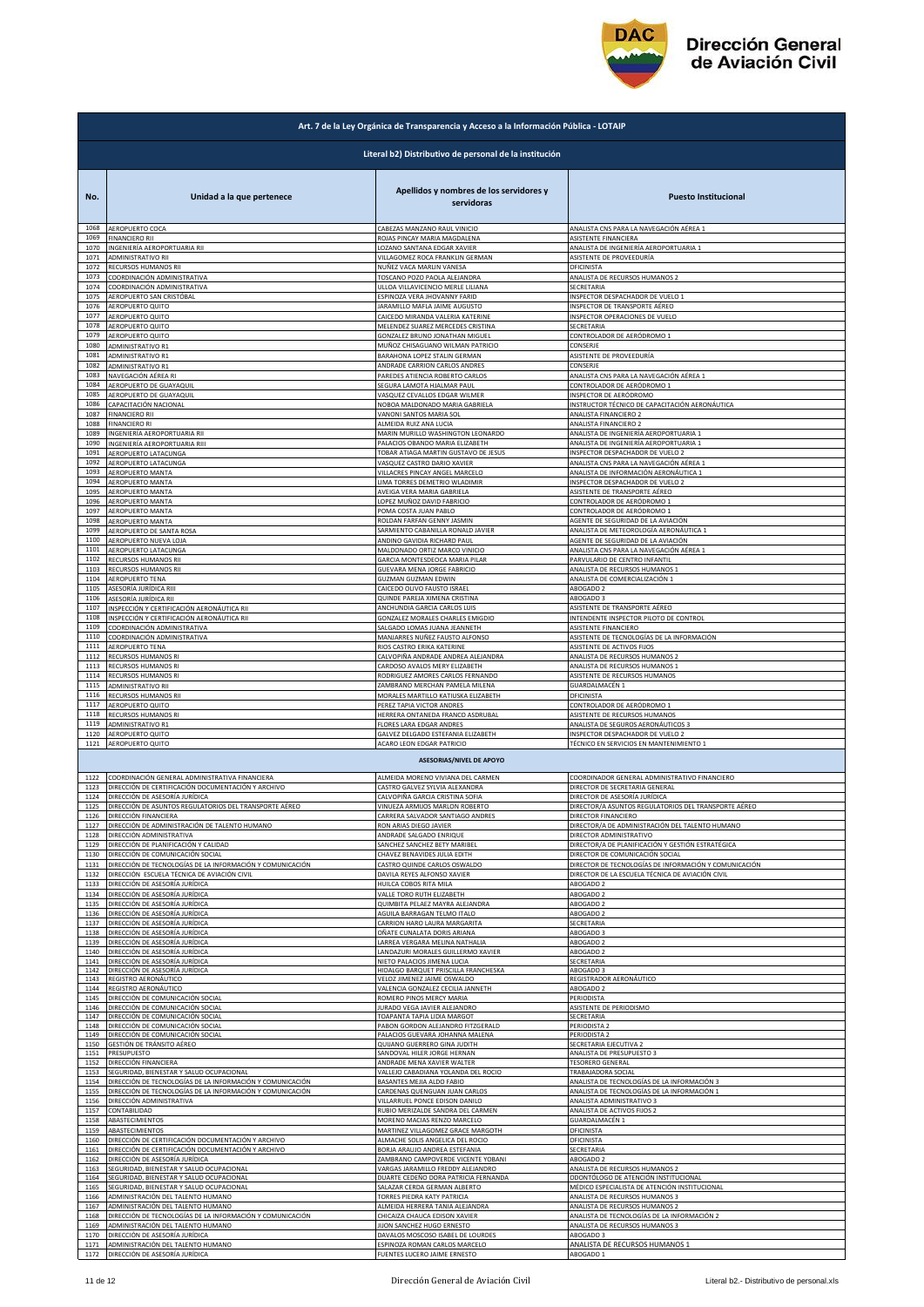

|              | Art. 7 de la Ley Orgánica de Transparencia y Acceso a la Información Pública - LOTAIP |                                                                                           |                                                                                     |  |
|--------------|---------------------------------------------------------------------------------------|-------------------------------------------------------------------------------------------|-------------------------------------------------------------------------------------|--|
|              | Literal b2) Distributivo de personal de la institución                                |                                                                                           |                                                                                     |  |
| No.          | Unidad a la que pertenece                                                             | Apellidos y nombres de los servidores y<br>servidoras                                     | <b>Puesto Institucional</b>                                                         |  |
| 1068         | AEROPUERTO COCA                                                                       | CABEZAS MANZANO RAUL VINICIO                                                              | ANALISTA CNS PARA LA NAVEGACIÓN AÉREA 1                                             |  |
| 1069         | <b>FINANCIERO RII</b>                                                                 | ROJAS PINCAY MARIA MAGDALENA                                                              | <b>ASISTENTE FINANCIERA</b>                                                         |  |
| 1070         | INGENIERÍA AEROPORTUARIA RII                                                          | LOZANO SANTANA EDGAR XAVIER                                                               | ANALISTA DE INGENIERÍA AEROPORTUARIA 1                                              |  |
| 1071         | ADMINISTRATIVO RII                                                                    | VILLAGOMEZ ROCA FRANKLIN GERMAN                                                           | ASISTENTE DE PROVEEDURÍA                                                            |  |
| 1072         | RECURSOS HUMANOS RII                                                                  | NUÑEZ VACA MARLIN VANESA                                                                  | OFICINISTA                                                                          |  |
| 1073         | COORDINACIÓN ADMINISTRATIVA                                                           | TOSCANO POZO PAOLA ALEJANDRA                                                              | ANALISTA DE RECURSOS HUMANOS 2                                                      |  |
| 1074         | COORDINACIÓN ADMINISTRATIVA                                                           | ULLOA VILLAVICENCIO MERLE LILIANA                                                         | SECRETARIA                                                                          |  |
| 1075         | AEROPUERTO SAN CRISTÓBAL                                                              | ESPINOZA VERA JHOVANNY FARID                                                              | <b>INSPECTOR DESPACHADOR DE VUELO 1</b>                                             |  |
| 1076         | AEROPUERTO QUITO                                                                      | JARAMILLO MAFLA JAIME AUGUSTO                                                             | INSPECTOR DE TRANSPORTE AÉREO                                                       |  |
| 1077         | AEROPUERTO QUITO                                                                      | CAICEDO MIRANDA VALERIA KATERINE                                                          | INSPECTOR OPERACIONES DE VUELO                                                      |  |
| 1078         | AEROPUERTO QUITO                                                                      | MELENDEZ SUAREZ MERCEDES CRISTINA                                                         | SECRETARIA                                                                          |  |
| 1079<br>1080 | AEROPUERTO QUITO                                                                      | GONZALEZ BRUNO JONATHAN MIGUEL                                                            | CONTROLADOR DE AERÓDROMO 1                                                          |  |
| 1081         | ADMINISTRATIVO R1                                                                     | MUÑOZ CHISAGUANO WILMAN PATRICIO                                                          | CONSERJE                                                                            |  |
|              | <b>ADMINISTRATIVO R1</b>                                                              | BARAHONA LOPEZ STALIN GERMAN                                                              | ASISTENTE DE PROVEEDURÍA                                                            |  |
| 1082         | <b>ADMINISTRATIVO R1</b>                                                              | ANDRADE CARRION CARLOS ANDRES                                                             | CONSERJE                                                                            |  |
| 1083         | NAVEGACIÓN AÉREA RI                                                                   | PAREDES ATIENCIA ROBERTO CARLOS                                                           | ANALISTA CNS PARA LA NAVEGACIÓN AÉREA 1                                             |  |
| 1084         | AEROPUERTO DE GUAYAQUIL                                                               | SEGURA LAMOTA HJALMAR PAUL                                                                | CONTROLADOR DE AERÓDROMO 1                                                          |  |
| 1085         | AEROPUERTO DE GUAYAQUIL                                                               | VASQUEZ CEVALLOS EDGAR WILMER                                                             | INSPECTOR DE AERÓDROMO                                                              |  |
| 1086         | CAPACITACIÓN NACIONAL                                                                 | NOBOA MALDONADO MARIA GABRIELA                                                            | INSTRUCTOR TÉCNICO DE CAPACITACIÓN AERONÁUTICA                                      |  |
| 1087         | <b>FINANCIERO RII</b>                                                                 | VANONI SANTOS MARIA SOL                                                                   | ANALISTA FINANCIERO 2                                                               |  |
| 1088         | <b>FINANCIERO RI</b>                                                                  | ALMEIDA RUIZ ANA LUCIA                                                                    | ANALISTA FINANCIERO 2                                                               |  |
| 1089         | INGENIERÍA AEROPORTUARIA RII                                                          | MARIN MURILLO WASHINGTON LEONARDO                                                         | ANALISTA DE INGENIERÍA AEROPORTUARIA 1                                              |  |
| 1090         | INGENIERÍA AEROPORTUARIA RIII                                                         | PALACIOS OBANDO MARIA ELIZABETH                                                           | ANALISTA DE INGENIERÍA AEROPORTUARIA 1                                              |  |
| 1091         | AEROPUERTO LATACUNGA                                                                  | TOBAR ATIAGA MARTIN GUSTAVO DE JESUS                                                      | NSPECTOR DESPACHADOR DE VUELO 2                                                     |  |
| 1092         | AEROPUERTO LATACUNGA                                                                  | VASQUEZ CASTRO DARIO XAVIER                                                               | ANALISTA CNS PARA LA NAVEGACIÓN AÉREA 1                                             |  |
| 1093         | AEROPUERTO MANTA                                                                      | VILLACRES PINCAY ANGEL MARCELO                                                            | ANALISTA DE INFORMACIÓN AERONÁUTICA 1                                               |  |
| 1094         | AEROPUERTO MANTA                                                                      | LIMA TORRES DEMETRIO WLADIMIR                                                             | INSPECTOR DESPACHADOR DE VUELO 2                                                    |  |
| 1095         | AEROPUERTO MANTA                                                                      | AVEIGA VERA MARIA GABRIELA                                                                | ASISTENTE DE TRANSPORTE AÉREO                                                       |  |
| 1096         | AEROPUERTO MANTA                                                                      | LOPEZ MUÑOZ DAVID FABRICIO                                                                | CONTROLADOR DE AERÓDROMO 1                                                          |  |
| 1097         | AEROPUERTO MANTA                                                                      | POMA COSTA JUAN PABLO                                                                     | CONTROLADOR DE AERÓDROMO 1                                                          |  |
| 1098         | AEROPUERTO MANTA                                                                      | ROLDAN FARFAN GENNY JASMIN                                                                | AGENTE DE SEGURIDAD DE LA AVIACIÓN                                                  |  |
| 1099         | AEROPUERTO DE SANTA ROSA                                                              | SARMIENTO CABANILLA RONALD JAVIER                                                         | ANALISTA DE METEOROLOGÍA AERONÁUTICA 1                                              |  |
| 1100         | AEROPUERTO NUEVA LOJA                                                                 | ANDINO GAVIDIA RICHARD PAUL                                                               | AGENTE DE SEGURIDAD DE LA AVIACIÓN                                                  |  |
| 1101         | AEROPUERTO LATACUNGA                                                                  | MALDONADO ORTIZ MARCO VINICIO                                                             | ANALISTA CNS PARA LA NAVEGACIÓN AÉREA 1                                             |  |
| 1102         | RECURSOS HUMANOS RII                                                                  | GARCIA MONTESDEOCA MARIA PILAR                                                            | ARVULARIO DE CENTRO INFANTIL                                                        |  |
| 1103         | RECURSOS HUMANOS RII                                                                  | GUEVARA MENA JORGE FABRICIO                                                               | ANALISTA DE RECURSOS HUMANOS 1                                                      |  |
| 1104         | AEROPUERTO TENA                                                                       | <b>GUZMAN GUZMAN EDWIN</b>                                                                | ANALISTA DE COMERCIALIZACIÓN 1                                                      |  |
| 1105         | ASESORÍA JURÍDICA RIII                                                                | CAICEDO OLIVO FAUSTO ISRAEL                                                               | ABOGADO 2                                                                           |  |
| 1106         | ASESORÍA JURÍDICA RII                                                                 | QUINDE PAREJA XIMENA CRISTINA                                                             | ABOGADO 3                                                                           |  |
| 1107         | INSPECCIÓN Y CERTIFICACIÓN AERONÁUTICA RII                                            | ANCHUNDIA GARCIA CARLOS LUIS                                                              | ASISTENTE DE TRANSPORTE AÉREO                                                       |  |
| 1108         | INSPECCIÓN Y CERTIFICACIÓN AERONÁUTICA RII                                            | GONZALEZ MORALES CHARLES EMIGDIO                                                          | INTENDENTE INSPECTOR PILOTO DE CONTROL                                              |  |
| 1109         | COORDINACIÓN ADMINISTRATIVA                                                           | SALGADO LOMAS JUANA JEANNETH                                                              | ASISTENTE FINANCIERO                                                                |  |
| 1110         | COORDINACIÓN ADMINISTRATIVA                                                           | MANJARRES NUÑEZ FAUSTO ALFONSO                                                            | ASISTENTE DE TECNOLOGÍAS DE LA INFORMACIÓN                                          |  |
| 1111         | AEROPUERTO TENA                                                                       | RIOS CASTRO ERIKA KATERINE                                                                | ASISTENTE DE ACTIVOS FIJOS                                                          |  |
| 1112         | RECURSOS HUMANOS RI                                                                   | CALVOPIÑA ANDRADE ANDREA ALEJANDRA                                                        | ANALISTA DE RECURSOS HUMANOS 2                                                      |  |
| 1113         | RECURSOS HUMANOS RI                                                                   | CARDOSO AVALOS MERY ELIZABETH                                                             | ANALISTA DE RECURSOS HUMANOS 1                                                      |  |
| 1114         | RECURSOS HUMANOS RI                                                                   | RODRIGUEZ AMORES CARLOS FERNANDO                                                          | SISTENTE DE RECURSOS HUMANOS                                                        |  |
| 1115         | ADMINISTRATIVO RII                                                                    | ZAMBRANO MERCHAN PAMELA MILENA                                                            | GUARDALMACÉN 1                                                                      |  |
| 1116         | RECURSOS HUMANOS RII                                                                  | MORALES MARTILLO KATIUSKA ELIZABETH                                                       | OFICINISTA                                                                          |  |
| 1117         | AEROPUERTO QUITO                                                                      | PEREZ TAPIA VICTOR ANDRES                                                                 | CONTROLADOR DE AERÓDROMO 1                                                          |  |
| 1118         | RECURSOS HUMANOS RI                                                                   | HERRERA ONTANEDA FRANCO ASDRUBAL                                                          | ASISTENTE DE RECURSOS HUMANOS                                                       |  |
| 1119         | <b>ADMINISTRATIVO R1</b>                                                              | <b>FLORES LARA EDGAR ANDRES</b>                                                           | ANALISTA DE SEGUROS AERONÁUTICOS 3                                                  |  |
| 1120         | AEROPUERTO QUITO                                                                      | GALVEZ DELGADO ESTEFANIA ELIZABETH                                                        | INSPECTOR DESPACHADOR DE VUELO 2                                                    |  |
| 1121         | AEROPUERTO QUITO                                                                      | ACARO LEON EDGAR PATRICIO<br><b>ASESORIAS/NIVEL DE APOYO</b>                              | TÉCNICO EN SERVICIOS EN MANTENIMIENTO 1                                             |  |
| 1122         | COORDINACIÓN GENERAL ADMINISTRATIVA FINANCIERA                                        | ALMEIDA MORENO VIVIANA DEL CARMEN                                                         | COORDINADOR GENERAL ADMINISTRATIVO FINANCIERO                                       |  |
| 1123         | DIRECCIÓN DE CERTIFICACIÓN DOCUMENTACIÓN Y ARCHIVO                                    | CASTRO GALVEZ SYLVIA ALEXANDRA                                                            | DIRECTOR DE SECRETARIA GENERAL                                                      |  |
| 1124         | DIRECCIÓN DE ASESORÍA JURÍDICA                                                        | CALVOPIÑA GARCIA CRISTINA SOFIA                                                           | )IRECTOR DE ASESORÍA JURÍDICA                                                       |  |
| 1125         | DIRECCION DE ASUNTOS REGULATORIOS DEL TRANSPORTE AEREO                                | VINUEZA ARMIJOS MARLON ROBERTO                                                            | )IRECTOR/A ASUNTOS REGULATORIOS DEL TRANSPORTE AEREC                                |  |
| 1126         | DIRECCIÓN FINANCIERA                                                                  | CARRERA SALVADOR SANTIAGO ANDRES                                                          | <b>DIRECTOR FINANCIERO</b>                                                          |  |
| 1127         | DIRECCIÓN DE ADMINISTRACIÓN DE TALENTO HUMANO                                         | RON ARIAS DIEGO JAVIER                                                                    | DIRECTOR/A DE ADMINISTRACIÓN DEL TALENTO HUMANO                                     |  |
| 1128         | DIRECCIÓN ADMINISTRATIVA                                                              | ANDRADE SALGADO ENRIQUE                                                                   | DIRECTOR ADMINISTRATIVO                                                             |  |
| 1129         | DIRECCIÓN DE PLANIFICACIÓN Y CALIDAD                                                  | SANCHEZ SANCHEZ BETY MARIBEL                                                              | DIRECTOR/A DE PLANIFICACIÓN Y GESTIÓN ESTRATÉGICA                                   |  |
| 1130         | DIRECCIÓN DE COMUNICACIÓN SOCIAL                                                      | CHAVEZ BENAVIDES JULIA EDITH                                                              | DIRECTOR DE COMUNICACIÓN SOCIAL                                                     |  |
| 1131         | DIRECCIÓN DE TECNOLOGÍAS DE LA INFORMACIÓN Y COMUNICACIÓN                             | CASTRO QUINDE CARLOS OSWALDO                                                              | DIRECTOR DE TECNOLOGÍAS DE INFORMACIÓN Y COMUNICACIÓN                               |  |
| 1132         | DIRECCIÓN ESCUELA TÉCNICA DE AVIACIÓN CIVIL                                           | DAVILA REYES ALFONSO XAVIER                                                               | DIRECTOR DE LA ESCUELA TÉCNICA DE AVIACIÓN CIVIL                                    |  |
| 1133         | DIRECCIÓN DE ASESORÍA JURÍDICA                                                        | HUILCA COBOS RITA MILA                                                                    | ABOGADO 2                                                                           |  |
| 1134         | DIRECCIÓN DE ASESORÍA JURÍDICA                                                        | VALLE TORO RUTH ELIZABETH                                                                 | ABOGADO 2                                                                           |  |
| 1135         | DIRECCIÓN DE ASESORÍA JURÍDICA                                                        | QUIMBITA PELAEZ MAYRA ALEJANDRA                                                           | ABOGADO 2                                                                           |  |
| 1136         | DIRECCIÓN DE ASESORÍA JURÍDICA                                                        | AGUILA BARRAGAN TELMO ITALO                                                               | ABOGADO 2                                                                           |  |
| 1137         | DIRECCIÓN DE ASESORÍA JURÍDICA                                                        | CARRION HARO LAURA MARGARITA                                                              | SECRETARIA                                                                          |  |
| 1138         | DIRECCIÓN DE ASESORÍA JURÍDICA                                                        | OÑATE CUNALATA DORIS ARIANA                                                               | ABOGADO 3                                                                           |  |
| 1139         | DIRECCIÓN DE ASESORÍA JURÍDICA                                                        | LARREA VERGARA MELINA NATHALIA                                                            | ABOGADO 2                                                                           |  |
| 1140         | DIRECCIÓN DE ASESORÍA JURÍDICA                                                        | LANDAZURI MORALES GUILLERMO XAVIER                                                        | ABOGADO 2                                                                           |  |
| 1141         | DIRECCIÓN DE ASESORÍA JURÍDICA                                                        | NIETO PALACIOS JIMENA LUCIA                                                               | SECRETARIA                                                                          |  |
| 1142         | DIRECCIÓN DE ASESORÍA JURÍDICA                                                        | HIDALGO BARQUET PRISCILLA FRANCHESKA                                                      | ABOGADO 3                                                                           |  |
| 1143         | REGISTRO AERONÁUTICO                                                                  | VELOZ JIMENEZ JAIME OSWALDO                                                               | REGISTRADOR AERONÁUTICO                                                             |  |
| 1144         | REGISTRO AERONÁUTICO                                                                  | VALENCIA GONZALEZ CECILIA JANNETH                                                         | ABOGADO 2                                                                           |  |
| 1145         | DIRECCIÓN DE COMUNICACIÓN SOCIAL                                                      | ROMERO PINOS MERCY MARIA                                                                  | PERIODISTA                                                                          |  |
| 1146         | DIRECCIÓN DE COMUNICACIÓN SOCIAL                                                      | JURADO VEGA JAVIER ALEJANDRO                                                              | ASISTENTE DE PERIODISMO                                                             |  |
| 1147         | DIRECCIÓN DE COMUNICACIÓN SOCIAL                                                      | TOAPANTA TAPIA LIDIA MARGOT                                                               | SECRETARIA                                                                          |  |
| 1148         | DIRECCIÓN DE COMUNICACIÓN SOCIAL                                                      | PABON GORDON ALEJANDRO FITZGERALD                                                         | <b>ERIODISTA 2</b>                                                                  |  |
| 1149<br>1150 | DIRECCIÓN DE COMUNICACIÓN SOCIAL                                                      | PALACIOS GUEVARA JOHANNA MALENA                                                           | PERIODISTA 2                                                                        |  |
| 1151<br>1152 | GESTIÓN DE TRÁNSITO AÉREO<br>PRESUPUESTO<br>DIRECCIÓN FINANCIERA                      | QUIJANO GUERRERO GINA JUDITH<br>SANDOVAL HILER JORGE HERNAN<br>ANDRADE MENA XAVIER WALTER | ECRETARIA EJECUTIVA 2<br><b>NALISTA DE PRESUPUESTO 3</b><br><b>FESORERO GENERAL</b> |  |
| 1153         | SEGURIDAD, BIENESTAR Y SALUD OCUPACIONAL                                              | VALLEJO CABADIANA YOLANDA DEL ROCIO                                                       | <b>TRABAJADORA SOCIAL</b>                                                           |  |
| 1154         | DIRECCIÓN DE TECNOLOGÍAS DE LA INFORMACIÓN Y COMUNICACIÓN                             | BASANTES MEJIA ALDO FABIO                                                                 | ANALISTA DE TECNOLOGÍAS DE LA INFORMACIÓN 3                                         |  |
| 1155         | DIRECCIÓN DE TECNOLOGÍAS DE LA INFORMACIÓN Y COMUNICACIÓN                             | CARDENAS QUENGUAN JUAN CARLOS                                                             | ANALISTA DE TECNOLOGÍAS DE LA INFORMACIÓN 1                                         |  |
| 1156         | DIRECCIÓN ADMINISTRATIVA                                                              | VILLARRUEL PONCE EDISON DANILO                                                            | ANALISTA ADMINISTRATIVO 3                                                           |  |
| 1157         | CONTABILIDAD                                                                          | RUBIO MERIZALDE SANDRA DEL CARMEN                                                         | ANALISTA DE ACTIVOS FIJOS 2                                                         |  |
| 1158         | ABASTECIMIENTOS                                                                       | MORENO MACIAS RENZO MARCELO                                                               | GUARDALMACÉN 1                                                                      |  |
| 1159         | ABASTECIMIENTOS                                                                       | MARTINEZ VILLAGOMEZ GRACE MARGOTH                                                         | OFICINISTA                                                                          |  |
| 1160         | DIRECCIÓN DE CERTIFICACIÓN DOCUMENTACIÓN Y ARCHIVO                                    | ALMACHE SOLIS ANGELICA DEL ROCIO                                                          | OFICINISTA                                                                          |  |
| 1161         | DIRECCIÓN DE CERTIFICACIÓN DOCUMENTACIÓN Y ARCHIVO                                    | BORJA ARAUJO ANDREA ESTEFANIA                                                             | SECRETARIA                                                                          |  |
| 1162         | DIRECCIÓN DE ASESORÍA JURÍDICA                                                        | ZAMBRANO CAMPOVERDE VICENTE YOBANI                                                        | ABOGADO 2                                                                           |  |
| 1163         | SEGURIDAD, BIENESTAR Y SALUD OCUPACIONAL                                              | VARGAS JARAMILLO FREDDY ALEJANDRO                                                         | ANALISTA DE RECURSOS HUMANOS 2                                                      |  |
| 1164         | SEGURIDAD, BIENESTAR Y SALUD OCUPACIONAL                                              | DUARTE CEDEÑO DORA PATRICIA FERNANDA                                                      | ODONTÓLOGO DE ATENCIÓN INSTITUCIONAL                                                |  |
| 1165         | SEGURIDAD, BIENESTAR Y SALUD OCUPACIONAL                                              | SALAZAR CERDA GERMAN ALBERTO                                                              | MÉDICO ESPECIALISTA DE ATENCIÓN INSTITUCIONAL                                       |  |
| 1166         | ADMINISTRACIÓN DEL TALENTO HUMANO                                                     | TORRES PIEDRA KATY PATRICIA                                                               | ANALISTA DE RECURSOS HUMANOS 3                                                      |  |
| 1167         | ADMINISTRACIÓN DEL TALENTO HUMANO                                                     | ALMEIDA HERRERA TANIA ALEJANDRA                                                           | ANALISTA DE RECURSOS HUMANOS 2                                                      |  |
| 1168         | DIRECCIÓN DE TECNOLOGÍAS DE LA INFORMACIÓN Y COMUNICACIÓN                             | CHICAIZA CHAUCA EDISON XAVIER                                                             | ANALISTA DE TECNOLOGÍAS DE LA INFORMACIÓN 2                                         |  |
| 1169         | ADMINISTRACIÓN DEL TALENTO HUMANO                                                     | JIJON SANCHEZ HUGO ERNESTO                                                                | ANALISTA DE RECURSOS HUMANOS 3                                                      |  |
| 1170         | DIRECCIÓN DE ASESORÍA JURÍDICA                                                        | DAVALOS MOSCOSO ISABEL DE LOURDES                                                         | <b>BOGADO 3</b>                                                                     |  |
| 1171         | ADMINISTRACIÓN DEL TALENTO HUMANO                                                     | ESPINOZA ROMAN CARLOS MARCELO                                                             | ANALISTA DE RECURSOS HUMANOS 1                                                      |  |
| 1172         | DIRECCIÓN DE ASESORÍA JURÍDICA                                                        | FUENTES LUCERO JAIME ERNESTO                                                              | ABOGADO 1                                                                           |  |